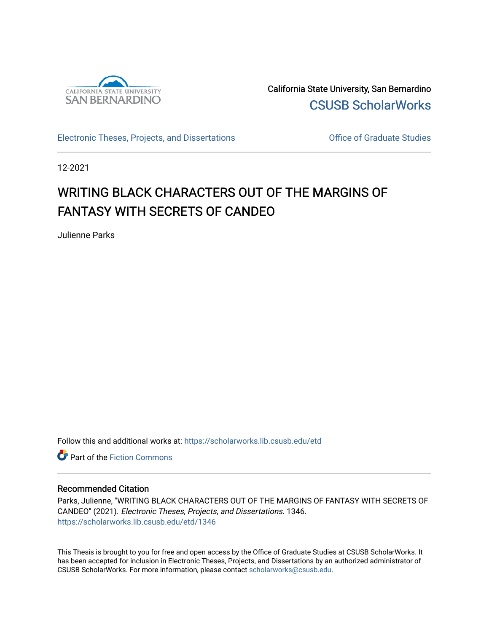

California State University, San Bernardino [CSUSB ScholarWorks](https://scholarworks.lib.csusb.edu/) 

[Electronic Theses, Projects, and Dissertations](https://scholarworks.lib.csusb.edu/etd) **Electronic Studies** Office of Graduate Studies

12-2021

# WRITING BLACK CHARACTERS OUT OF THE MARGINS OF FANTASY WITH SECRETS OF CANDEO

Julienne Parks

Follow this and additional works at: [https://scholarworks.lib.csusb.edu/etd](https://scholarworks.lib.csusb.edu/etd?utm_source=scholarworks.lib.csusb.edu%2Fetd%2F1346&utm_medium=PDF&utm_campaign=PDFCoverPages) 

**C** Part of the Fiction Commons

#### Recommended Citation

Parks, Julienne, "WRITING BLACK CHARACTERS OUT OF THE MARGINS OF FANTASY WITH SECRETS OF CANDEO" (2021). Electronic Theses, Projects, and Dissertations. 1346. [https://scholarworks.lib.csusb.edu/etd/1346](https://scholarworks.lib.csusb.edu/etd/1346?utm_source=scholarworks.lib.csusb.edu%2Fetd%2F1346&utm_medium=PDF&utm_campaign=PDFCoverPages) 

This Thesis is brought to you for free and open access by the Office of Graduate Studies at CSUSB ScholarWorks. It has been accepted for inclusion in Electronic Theses, Projects, and Dissertations by an authorized administrator of CSUSB ScholarWorks. For more information, please contact [scholarworks@csusb.edu](mailto:scholarworks@csusb.edu).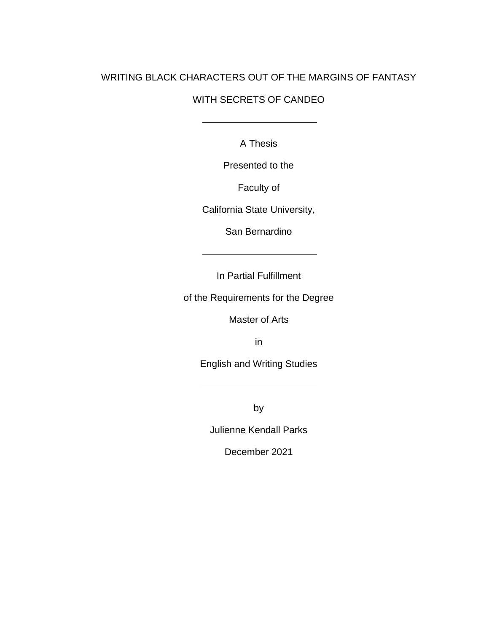### WRITING BLACK CHARACTERS OUT OF THE MARGINS OF FANTASY

### WITH SECRETS OF CANDEO

A Thesis

Presented to the

Faculty of

California State University,

San Bernardino

In Partial Fulfillment

of the Requirements for the Degree

Master of Arts

in

English and Writing Studies

by

Julienne Kendall Parks

December 2021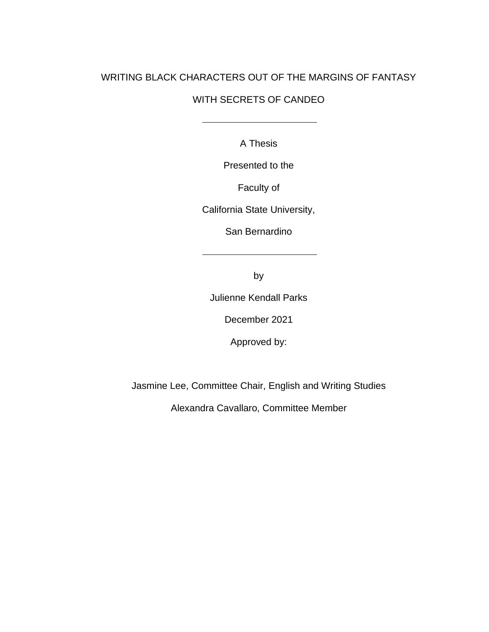## WRITING BLACK CHARACTERS OUT OF THE MARGINS OF FANTASY

## WITH SECRETS OF CANDEO

A Thesis

Presented to the

Faculty of

California State University,

San Bernardino

by

Julienne Kendall Parks

December 2021

Approved by:

Jasmine Lee, Committee Chair, English and Writing Studies

Alexandra Cavallaro, Committee Member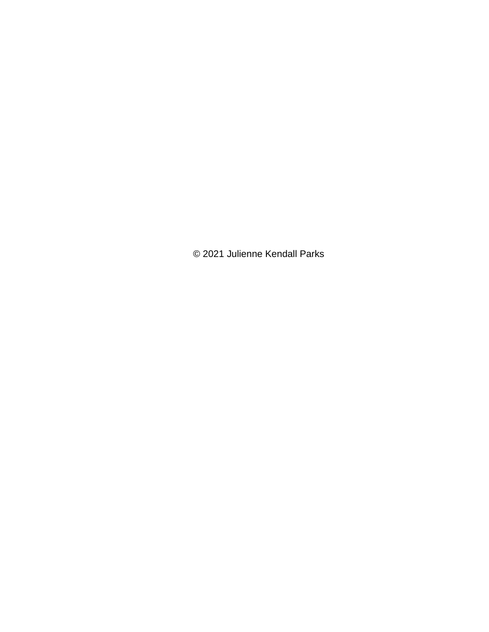© 2021 Julienne Kendall Parks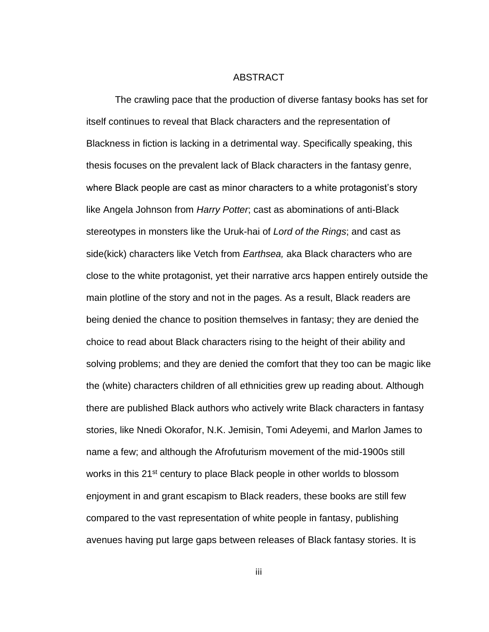#### ABSTRACT

<span id="page-4-0"></span>The crawling pace that the production of diverse fantasy books has set for itself continues to reveal that Black characters and the representation of Blackness in fiction is lacking in a detrimental way. Specifically speaking, this thesis focuses on the prevalent lack of Black characters in the fantasy genre, where Black people are cast as minor characters to a white protagonist's story like Angela Johnson from *Harry Potter*; cast as abominations of anti-Black stereotypes in monsters like the Uruk-hai of *Lord of the Rings*; and cast as side(kick) characters like Vetch from *Earthsea,* aka Black characters who are close to the white protagonist, yet their narrative arcs happen entirely outside the main plotline of the story and not in the pages. As a result, Black readers are being denied the chance to position themselves in fantasy; they are denied the choice to read about Black characters rising to the height of their ability and solving problems; and they are denied the comfort that they too can be magic like the (white) characters children of all ethnicities grew up reading about. Although there are published Black authors who actively write Black characters in fantasy stories, like Nnedi Okorafor, N.K. Jemisin, Tomi Adeyemi, and Marlon James to name a few; and although the Afrofuturism movement of the mid-1900s still works in this 21<sup>st</sup> century to place Black people in other worlds to blossom enjoyment in and grant escapism to Black readers, these books are still few compared to the vast representation of white people in fantasy, publishing avenues having put large gaps between releases of Black fantasy stories. It is

iii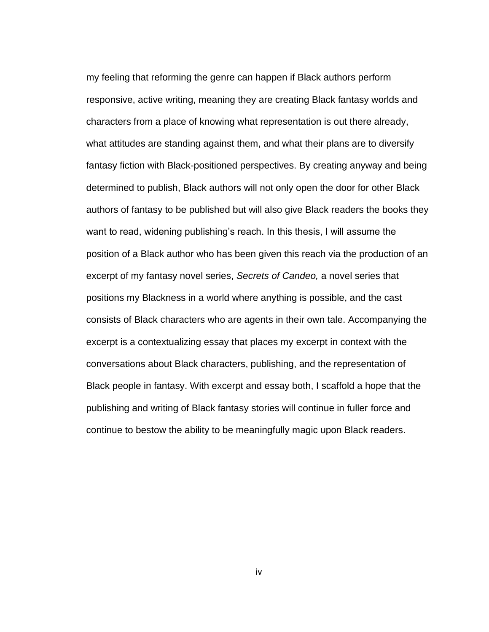my feeling that reforming the genre can happen if Black authors perform responsive, active writing, meaning they are creating Black fantasy worlds and characters from a place of knowing what representation is out there already, what attitudes are standing against them, and what their plans are to diversify fantasy fiction with Black-positioned perspectives. By creating anyway and being determined to publish, Black authors will not only open the door for other Black authors of fantasy to be published but will also give Black readers the books they want to read, widening publishing's reach. In this thesis, I will assume the position of a Black author who has been given this reach via the production of an excerpt of my fantasy novel series, *Secrets of Candeo,* a novel series that positions my Blackness in a world where anything is possible, and the cast consists of Black characters who are agents in their own tale. Accompanying the excerpt is a contextualizing essay that places my excerpt in context with the conversations about Black characters, publishing, and the representation of Black people in fantasy. With excerpt and essay both, I scaffold a hope that the publishing and writing of Black fantasy stories will continue in fuller force and continue to bestow the ability to be meaningfully magic upon Black readers.

iv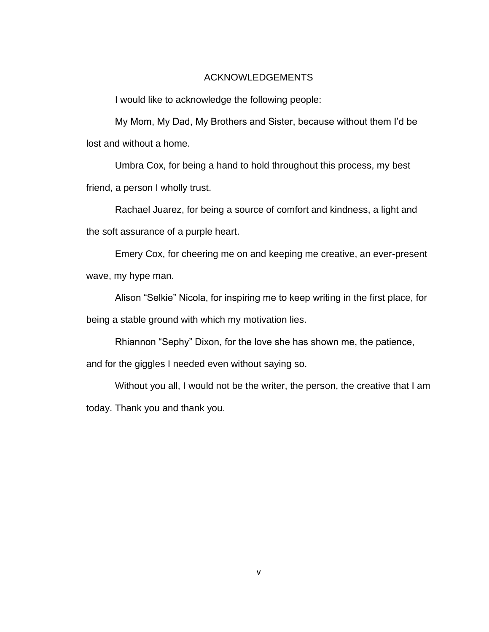#### ACKNOWLEDGEMENTS

<span id="page-6-0"></span>I would like to acknowledge the following people:

My Mom, My Dad, My Brothers and Sister, because without them I'd be lost and without a home.

Umbra Cox, for being a hand to hold throughout this process, my best friend, a person I wholly trust.

Rachael Juarez, for being a source of comfort and kindness, a light and the soft assurance of a purple heart.

Emery Cox, for cheering me on and keeping me creative, an ever-present wave, my hype man.

Alison "Selkie" Nicola, for inspiring me to keep writing in the first place, for being a stable ground with which my motivation lies.

Rhiannon "Sephy" Dixon, for the love she has shown me, the patience,

and for the giggles I needed even without saying so.

Without you all, I would not be the writer, the person, the creative that I am today. Thank you and thank you.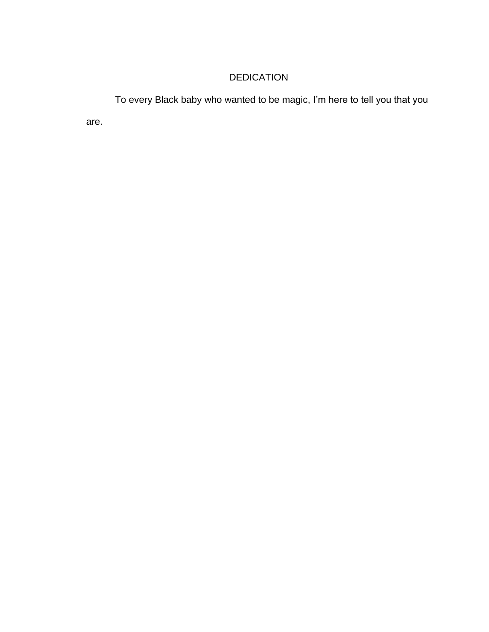## DEDICATION

To every Black baby who wanted to be magic, I'm here to tell you that you

are.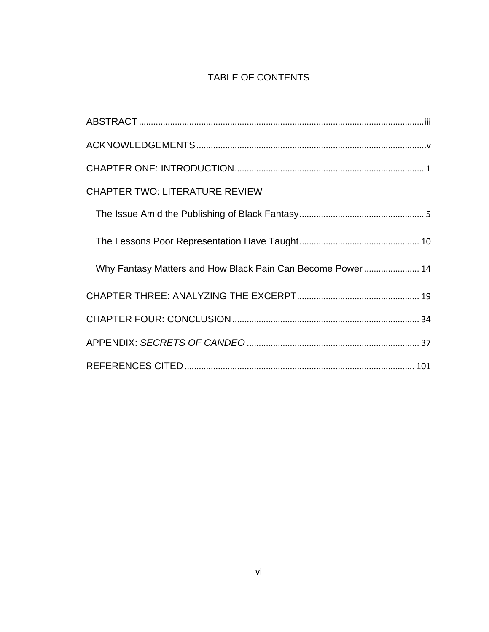## TABLE OF CONTENTS

| <b>CHAPTER TWO: LITERATURE REVIEW</b>                       |
|-------------------------------------------------------------|
|                                                             |
|                                                             |
| Why Fantasy Matters and How Black Pain Can Become Power  14 |
|                                                             |
|                                                             |
|                                                             |
|                                                             |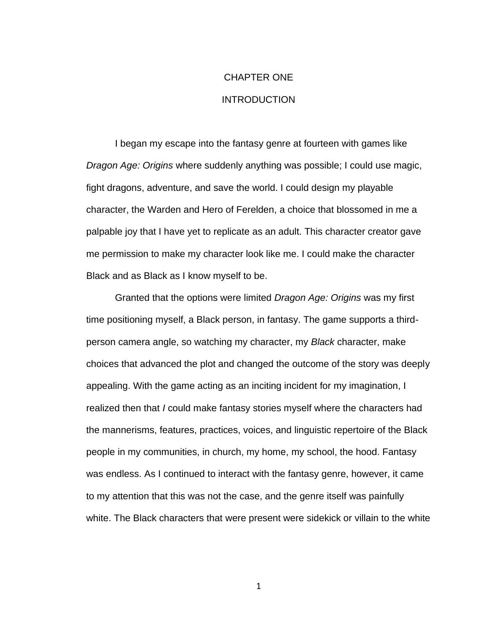## CHAPTER ONE INTRODUCTION

<span id="page-9-0"></span>I began my escape into the fantasy genre at fourteen with games like *Dragon Age: Origins* where suddenly anything was possible; I could use magic, fight dragons, adventure, and save the world. I could design my playable character, the Warden and Hero of Ferelden, a choice that blossomed in me a palpable joy that I have yet to replicate as an adult. This character creator gave me permission to make my character look like me. I could make the character Black and as Black as I know myself to be.

Granted that the options were limited *Dragon Age: Origins* was my first time positioning myself, a Black person, in fantasy. The game supports a thirdperson camera angle, so watching my character, my *Black* character, make choices that advanced the plot and changed the outcome of the story was deeply appealing. With the game acting as an inciting incident for my imagination, I realized then that *I* could make fantasy stories myself where the characters had the mannerisms, features, practices, voices, and linguistic repertoire of the Black people in my communities, in church, my home, my school, the hood. Fantasy was endless. As I continued to interact with the fantasy genre, however, it came to my attention that this was not the case, and the genre itself was painfully white. The Black characters that were present were sidekick or villain to the white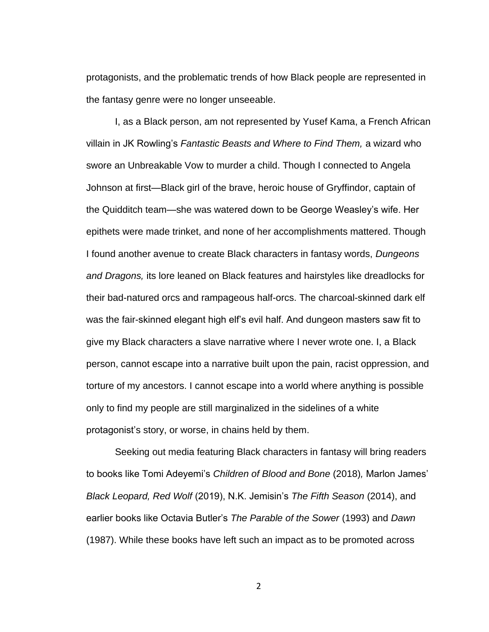protagonists, and the problematic trends of how Black people are represented in the fantasy genre were no longer unseeable.

I, as a Black person, am not represented by Yusef Kama, a French African villain in JK Rowling's *Fantastic Beasts and Where to Find Them,* a wizard who swore an Unbreakable Vow to murder a child. Though I connected to Angela Johnson at first—Black girl of the brave, heroic house of Gryffindor, captain of the Quidditch team—she was watered down to be George Weasley's wife. Her epithets were made trinket, and none of her accomplishments mattered. Though I found another avenue to create Black characters in fantasy words, *Dungeons and Dragons,* its lore leaned on Black features and hairstyles like dreadlocks for their bad-natured orcs and rampageous half-orcs. The charcoal-skinned dark elf was the fair-skinned elegant high elf's evil half. And dungeon masters saw fit to give my Black characters a slave narrative where I never wrote one. I, a Black person, cannot escape into a narrative built upon the pain, racist oppression, and torture of my ancestors. I cannot escape into a world where anything is possible only to find my people are still marginalized in the sidelines of a white protagonist's story, or worse, in chains held by them.

Seeking out media featuring Black characters in fantasy will bring readers to books like Tomi Adeyemi's *Children of Blood and Bone* (2018)*,* Marlon James' *Black Leopard, Red Wolf* (2019), N.K. Jemisin's *The Fifth Season* (2014), and earlier books like Octavia Butler's *The Parable of the Sower* (1993) and *Dawn* (1987). While these books have left such an impact as to be promoted across

 $\mathfrak{D}$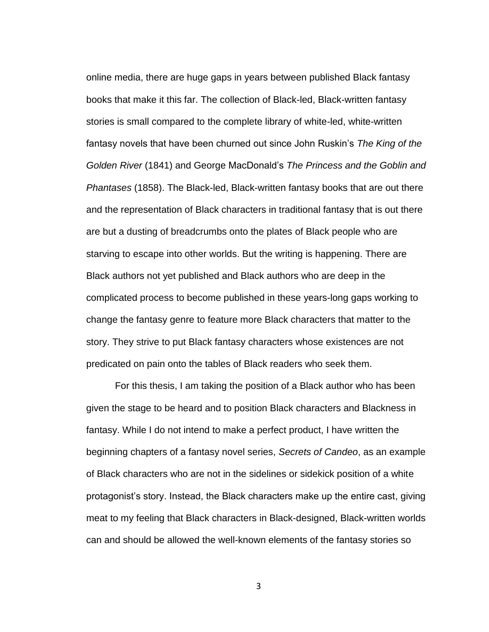online media, there are huge gaps in years between published Black fantasy books that make it this far. The collection of Black-led, Black-written fantasy stories is small compared to the complete library of white-led, white-written fantasy novels that have been churned out since John Ruskin's *The King of the Golden River* (1841) and George MacDonald's *The Princess and the Goblin and Phantases* (1858). The Black-led, Black-written fantasy books that are out there and the representation of Black characters in traditional fantasy that is out there are but a dusting of breadcrumbs onto the plates of Black people who are starving to escape into other worlds. But the writing is happening. There are Black authors not yet published and Black authors who are deep in the complicated process to become published in these years-long gaps working to change the fantasy genre to feature more Black characters that matter to the story. They strive to put Black fantasy characters whose existences are not predicated on pain onto the tables of Black readers who seek them.

For this thesis, I am taking the position of a Black author who has been given the stage to be heard and to position Black characters and Blackness in fantasy. While I do not intend to make a perfect product, I have written the beginning chapters of a fantasy novel series, *Secrets of Candeo*, as an example of Black characters who are not in the sidelines or sidekick position of a white protagonist's story. Instead, the Black characters make up the entire cast, giving meat to my feeling that Black characters in Black-designed, Black-written worlds can and should be allowed the well-known elements of the fantasy stories so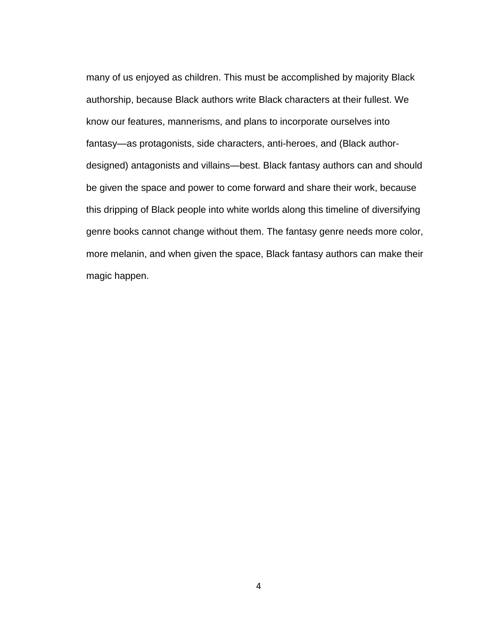many of us enjoyed as children. This must be accomplished by majority Black authorship, because Black authors write Black characters at their fullest. We know our features, mannerisms, and plans to incorporate ourselves into fantasy—as protagonists, side characters, anti-heroes, and (Black authordesigned) antagonists and villains—best. Black fantasy authors can and should be given the space and power to come forward and share their work, because this dripping of Black people into white worlds along this timeline of diversifying genre books cannot change without them. The fantasy genre needs more color, more melanin, and when given the space, Black fantasy authors can make their magic happen.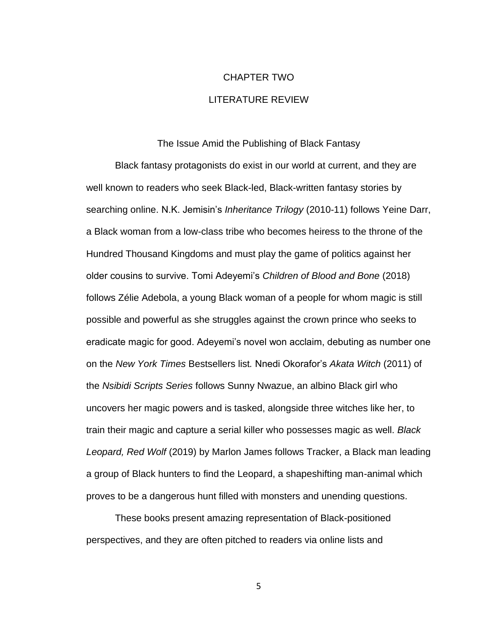## CHAPTER TWO LITERATURE REVIEW

The Issue Amid the Publishing of Black Fantasy

<span id="page-13-1"></span><span id="page-13-0"></span>Black fantasy protagonists do exist in our world at current, and they are well known to readers who seek Black-led, Black-written fantasy stories by searching online. N.K. Jemisin's *Inheritance Trilogy* (2010-11) follows Yeine Darr, a Black woman from a low-class tribe who becomes heiress to the throne of the Hundred Thousand Kingdoms and must play the game of politics against her older cousins to survive. Tomi Adeyemi's *Children of Blood and Bone* (2018) follows Zélie Adebola, a young Black woman of a people for whom magic is still possible and powerful as she struggles against the crown prince who seeks to eradicate magic for good. Adeyemi's novel won acclaim, debuting as number one on the *New York Times* Bestsellers list*.* Nnedi Okorafor's *Akata Witch* (2011) of the *Nsibidi Scripts Series* follows Sunny Nwazue, an albino Black girl who uncovers her magic powers and is tasked, alongside three witches like her, to train their magic and capture a serial killer who possesses magic as well. *Black Leopard, Red Wolf* (2019) by Marlon James follows Tracker, a Black man leading a group of Black hunters to find the Leopard, a shapeshifting man-animal which proves to be a dangerous hunt filled with monsters and unending questions.

These books present amazing representation of Black-positioned perspectives, and they are often pitched to readers via online lists and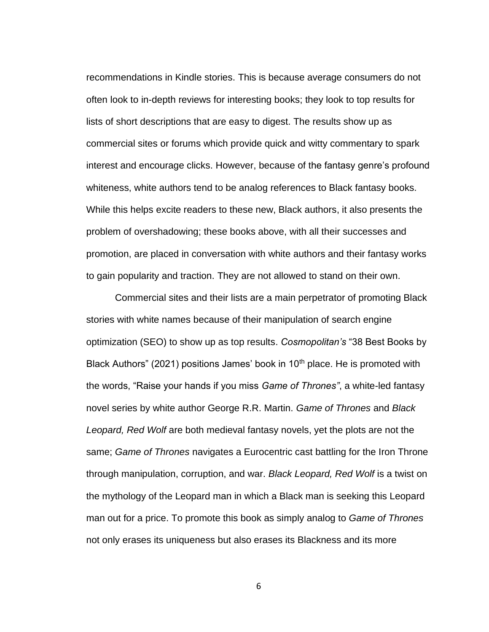recommendations in Kindle stories. This is because average consumers do not often look to in-depth reviews for interesting books; they look to top results for lists of short descriptions that are easy to digest. The results show up as commercial sites or forums which provide quick and witty commentary to spark interest and encourage clicks. However, because of the fantasy genre's profound whiteness, white authors tend to be analog references to Black fantasy books. While this helps excite readers to these new, Black authors, it also presents the problem of overshadowing; these books above, with all their successes and promotion, are placed in conversation with white authors and their fantasy works to gain popularity and traction. They are not allowed to stand on their own.

Commercial sites and their lists are a main perpetrator of promoting Black stories with white names because of their manipulation of search engine optimization (SEO) to show up as top results. *Cosmopolitan's* "38 Best Books by Black Authors" (2021) positions James' book in 10<sup>th</sup> place. He is promoted with the words, "Raise your hands if you miss *Game of Thrones"*, a white-led fantasy novel series by white author George R.R. Martin. *Game of Thrones* and *Black Leopard, Red Wolf* are both medieval fantasy novels, yet the plots are not the same; *Game of Thrones* navigates a Eurocentric cast battling for the Iron Throne through manipulation, corruption, and war. *Black Leopard, Red Wolf* is a twist on the mythology of the Leopard man in which a Black man is seeking this Leopard man out for a price. To promote this book as simply analog to *Game of Thrones* not only erases its uniqueness but also erases its Blackness and its more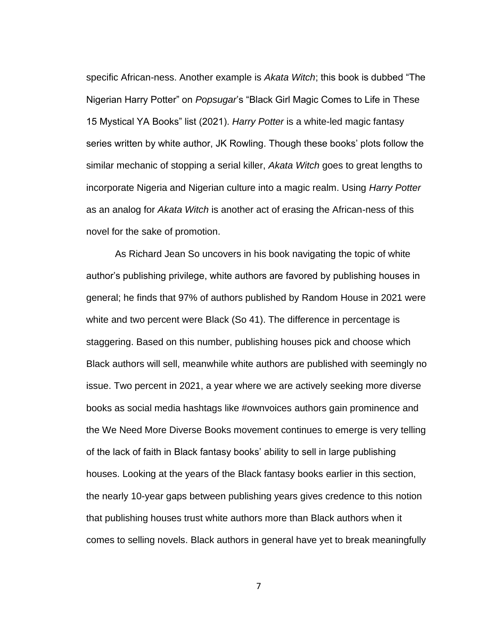specific African-ness. Another example is *Akata Witch*; this book is dubbed "The Nigerian Harry Potter" on *Popsugar*'s "Black Girl Magic Comes to Life in These 15 Mystical YA Books" list (2021). *Harry Potter* is a white-led magic fantasy series written by white author, JK Rowling. Though these books' plots follow the similar mechanic of stopping a serial killer, *Akata Witch* goes to great lengths to incorporate Nigeria and Nigerian culture into a magic realm. Using *Harry Potter* as an analog for *Akata Witch* is another act of erasing the African-ness of this novel for the sake of promotion.

As Richard Jean So uncovers in his book navigating the topic of white author's publishing privilege, white authors are favored by publishing houses in general; he finds that 97% of authors published by Random House in 2021 were white and two percent were Black (So 41). The difference in percentage is staggering. Based on this number, publishing houses pick and choose which Black authors will sell, meanwhile white authors are published with seemingly no issue. Two percent in 2021, a year where we are actively seeking more diverse books as social media hashtags like #ownvoices authors gain prominence and the We Need More Diverse Books movement continues to emerge is very telling of the lack of faith in Black fantasy books' ability to sell in large publishing houses. Looking at the years of the Black fantasy books earlier in this section, the nearly 10-year gaps between publishing years gives credence to this notion that publishing houses trust white authors more than Black authors when it comes to selling novels. Black authors in general have yet to break meaningfully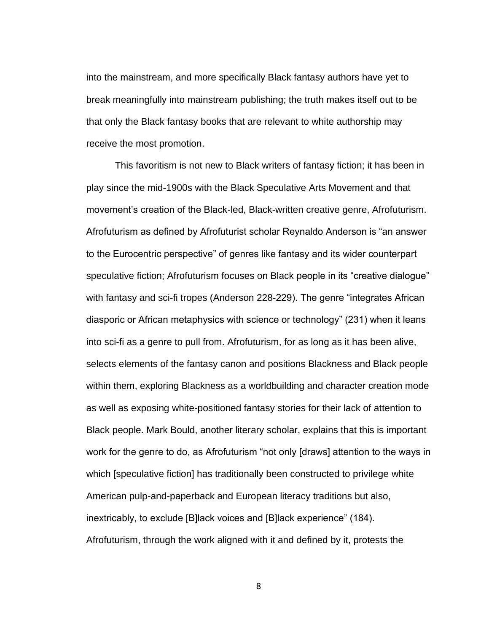into the mainstream, and more specifically Black fantasy authors have yet to break meaningfully into mainstream publishing; the truth makes itself out to be that only the Black fantasy books that are relevant to white authorship may receive the most promotion.

This favoritism is not new to Black writers of fantasy fiction; it has been in play since the mid-1900s with the Black Speculative Arts Movement and that movement's creation of the Black-led, Black-written creative genre, Afrofuturism. Afrofuturism as defined by Afrofuturist scholar Reynaldo Anderson is "an answer to the Eurocentric perspective" of genres like fantasy and its wider counterpart speculative fiction; Afrofuturism focuses on Black people in its "creative dialogue" with fantasy and sci-fi tropes (Anderson 228-229). The genre "integrates African diasporic or African metaphysics with science or technology" (231) when it leans into sci-fi as a genre to pull from. Afrofuturism, for as long as it has been alive, selects elements of the fantasy canon and positions Blackness and Black people within them, exploring Blackness as a worldbuilding and character creation mode as well as exposing white-positioned fantasy stories for their lack of attention to Black people. Mark Bould, another literary scholar, explains that this is important work for the genre to do, as Afrofuturism "not only [draws] attention to the ways in which [speculative fiction] has traditionally been constructed to privilege white American pulp-and-paperback and European literacy traditions but also, inextricably, to exclude [B]lack voices and [B]lack experience" (184). Afrofuturism, through the work aligned with it and defined by it, protests the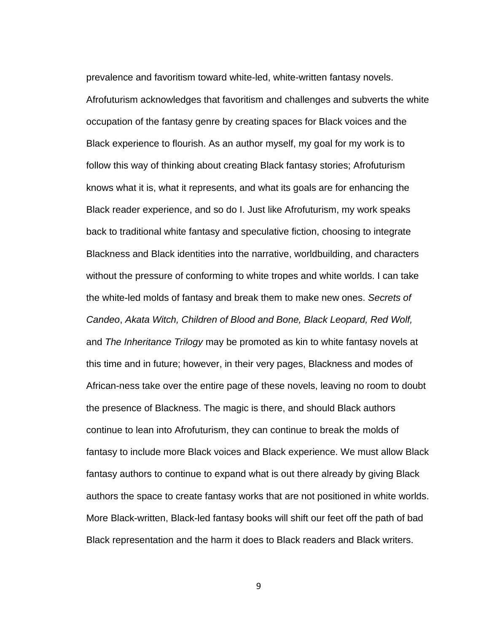prevalence and favoritism toward white-led, white-written fantasy novels. Afrofuturism acknowledges that favoritism and challenges and subverts the white occupation of the fantasy genre by creating spaces for Black voices and the Black experience to flourish. As an author myself, my goal for my work is to follow this way of thinking about creating Black fantasy stories; Afrofuturism knows what it is, what it represents, and what its goals are for enhancing the Black reader experience, and so do I. Just like Afrofuturism, my work speaks back to traditional white fantasy and speculative fiction, choosing to integrate Blackness and Black identities into the narrative, worldbuilding, and characters without the pressure of conforming to white tropes and white worlds. I can take the white-led molds of fantasy and break them to make new ones. *Secrets of Candeo*, *Akata Witch, Children of Blood and Bone, Black Leopard, Red Wolf,*  and *The Inheritance Trilogy* may be promoted as kin to white fantasy novels at this time and in future; however, in their very pages, Blackness and modes of African-ness take over the entire page of these novels, leaving no room to doubt the presence of Blackness. The magic is there, and should Black authors continue to lean into Afrofuturism, they can continue to break the molds of fantasy to include more Black voices and Black experience. We must allow Black fantasy authors to continue to expand what is out there already by giving Black authors the space to create fantasy works that are not positioned in white worlds. More Black-written, Black-led fantasy books will shift our feet off the path of bad Black representation and the harm it does to Black readers and Black writers.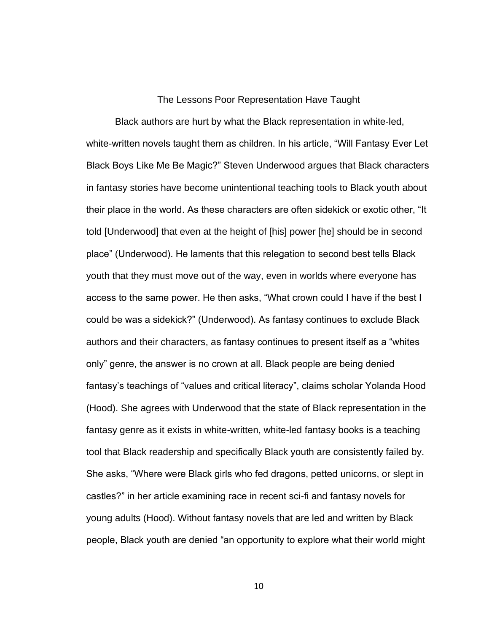#### The Lessons Poor Representation Have Taught

<span id="page-18-0"></span>Black authors are hurt by what the Black representation in white-led, white-written novels taught them as children. In his article, "Will Fantasy Ever Let Black Boys Like Me Be Magic?" Steven Underwood argues that Black characters in fantasy stories have become unintentional teaching tools to Black youth about their place in the world. As these characters are often sidekick or exotic other, "It told [Underwood] that even at the height of [his] power [he] should be in second place" (Underwood). He laments that this relegation to second best tells Black youth that they must move out of the way, even in worlds where everyone has access to the same power. He then asks, "What crown could I have if the best I could be was a sidekick?" (Underwood). As fantasy continues to exclude Black authors and their characters, as fantasy continues to present itself as a "whites only" genre, the answer is no crown at all. Black people are being denied fantasy's teachings of "values and critical literacy", claims scholar Yolanda Hood (Hood). She agrees with Underwood that the state of Black representation in the fantasy genre as it exists in white-written, white-led fantasy books is a teaching tool that Black readership and specifically Black youth are consistently failed by. She asks, "Where were Black girls who fed dragons, petted unicorns, or slept in castles?" in her article examining race in recent sci-fi and fantasy novels for young adults (Hood). Without fantasy novels that are led and written by Black people, Black youth are denied "an opportunity to explore what their world might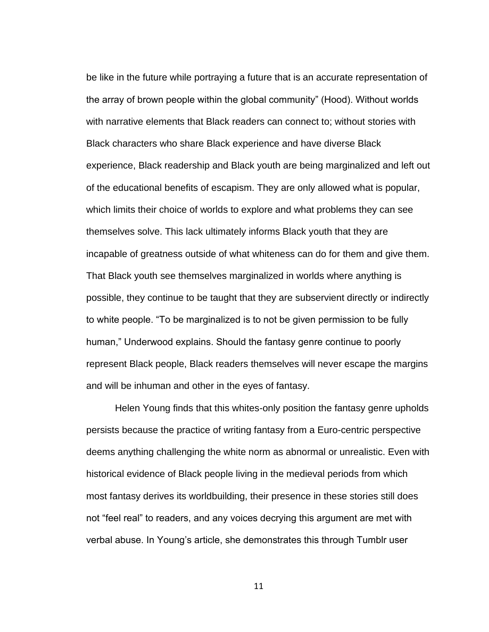be like in the future while portraying a future that is an accurate representation of the array of brown people within the global community" (Hood). Without worlds with narrative elements that Black readers can connect to; without stories with Black characters who share Black experience and have diverse Black experience, Black readership and Black youth are being marginalized and left out of the educational benefits of escapism. They are only allowed what is popular, which limits their choice of worlds to explore and what problems they can see themselves solve. This lack ultimately informs Black youth that they are incapable of greatness outside of what whiteness can do for them and give them. That Black youth see themselves marginalized in worlds where anything is possible, they continue to be taught that they are subservient directly or indirectly to white people. "To be marginalized is to not be given permission to be fully human," Underwood explains. Should the fantasy genre continue to poorly represent Black people, Black readers themselves will never escape the margins and will be inhuman and other in the eyes of fantasy.

Helen Young finds that this whites-only position the fantasy genre upholds persists because the practice of writing fantasy from a Euro-centric perspective deems anything challenging the white norm as abnormal or unrealistic. Even with historical evidence of Black people living in the medieval periods from which most fantasy derives its worldbuilding, their presence in these stories still does not "feel real" to readers, and any voices decrying this argument are met with verbal abuse. In Young's article, she demonstrates this through Tumblr user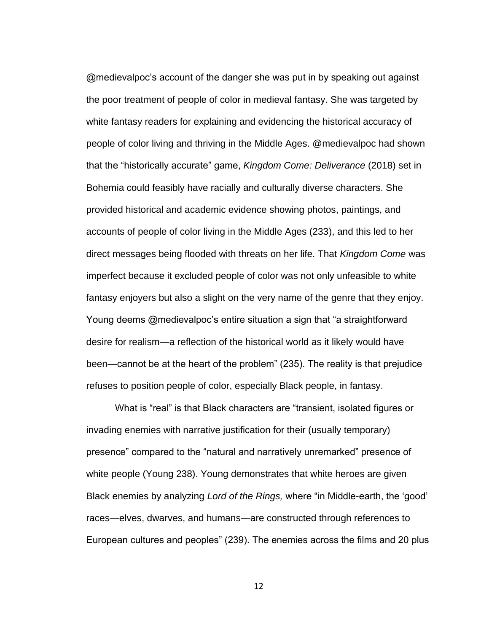@medievalpoc's account of the danger she was put in by speaking out against the poor treatment of people of color in medieval fantasy. She was targeted by white fantasy readers for explaining and evidencing the historical accuracy of people of color living and thriving in the Middle Ages. @medievalpoc had shown that the "historically accurate" game, *Kingdom Come: Deliverance* (2018) set in Bohemia could feasibly have racially and culturally diverse characters. She provided historical and academic evidence showing photos, paintings, and accounts of people of color living in the Middle Ages (233), and this led to her direct messages being flooded with threats on her life. That *Kingdom Come* was imperfect because it excluded people of color was not only unfeasible to white fantasy enjoyers but also a slight on the very name of the genre that they enjoy. Young deems @medievalpoc's entire situation a sign that "a straightforward desire for realism—a reflection of the historical world as it likely would have been—cannot be at the heart of the problem" (235). The reality is that prejudice refuses to position people of color, especially Black people, in fantasy.

What is "real" is that Black characters are "transient, isolated figures or invading enemies with narrative justification for their (usually temporary) presence" compared to the "natural and narratively unremarked" presence of white people (Young 238). Young demonstrates that white heroes are given Black enemies by analyzing *Lord of the Rings,* where "in Middle-earth, the 'good' races—elves, dwarves, and humans—are constructed through references to European cultures and peoples" (239). The enemies across the films and 20 plus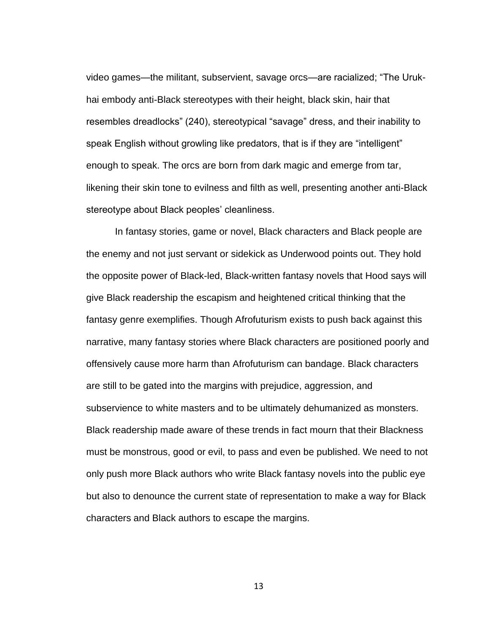video games—the militant, subservient, savage orcs—are racialized; "The Urukhai embody anti-Black stereotypes with their height, black skin, hair that resembles dreadlocks" (240), stereotypical "savage" dress, and their inability to speak English without growling like predators, that is if they are "intelligent" enough to speak. The orcs are born from dark magic and emerge from tar, likening their skin tone to evilness and filth as well, presenting another anti-Black stereotype about Black peoples' cleanliness.

In fantasy stories, game or novel, Black characters and Black people are the enemy and not just servant or sidekick as Underwood points out. They hold the opposite power of Black-led, Black-written fantasy novels that Hood says will give Black readership the escapism and heightened critical thinking that the fantasy genre exemplifies. Though Afrofuturism exists to push back against this narrative, many fantasy stories where Black characters are positioned poorly and offensively cause more harm than Afrofuturism can bandage. Black characters are still to be gated into the margins with prejudice, aggression, and subservience to white masters and to be ultimately dehumanized as monsters. Black readership made aware of these trends in fact mourn that their Blackness must be monstrous, good or evil, to pass and even be published. We need to not only push more Black authors who write Black fantasy novels into the public eye but also to denounce the current state of representation to make a way for Black characters and Black authors to escape the margins.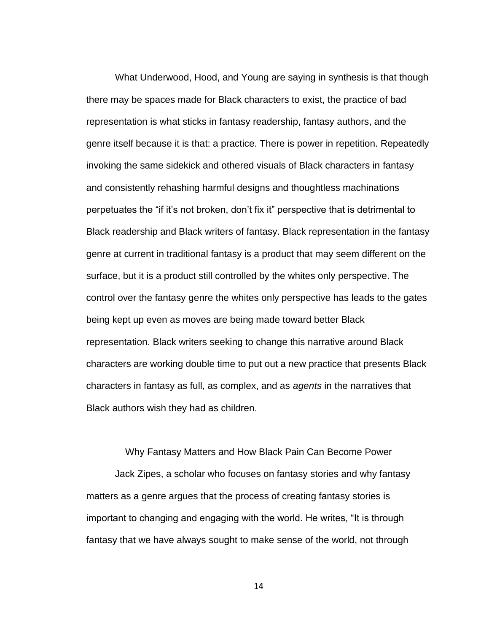What Underwood, Hood, and Young are saying in synthesis is that though there may be spaces made for Black characters to exist, the practice of bad representation is what sticks in fantasy readership, fantasy authors, and the genre itself because it is that: a practice. There is power in repetition. Repeatedly invoking the same sidekick and othered visuals of Black characters in fantasy and consistently rehashing harmful designs and thoughtless machinations perpetuates the "if it's not broken, don't fix it" perspective that is detrimental to Black readership and Black writers of fantasy. Black representation in the fantasy genre at current in traditional fantasy is a product that may seem different on the surface, but it is a product still controlled by the whites only perspective. The control over the fantasy genre the whites only perspective has leads to the gates being kept up even as moves are being made toward better Black representation. Black writers seeking to change this narrative around Black characters are working double time to put out a new practice that presents Black characters in fantasy as full, as complex, and as *agents* in the narratives that Black authors wish they had as children.

<span id="page-22-0"></span>Why Fantasy Matters and How Black Pain Can Become Power Jack Zipes, a scholar who focuses on fantasy stories and why fantasy matters as a genre argues that the process of creating fantasy stories is important to changing and engaging with the world. He writes, "It is through fantasy that we have always sought to make sense of the world, not through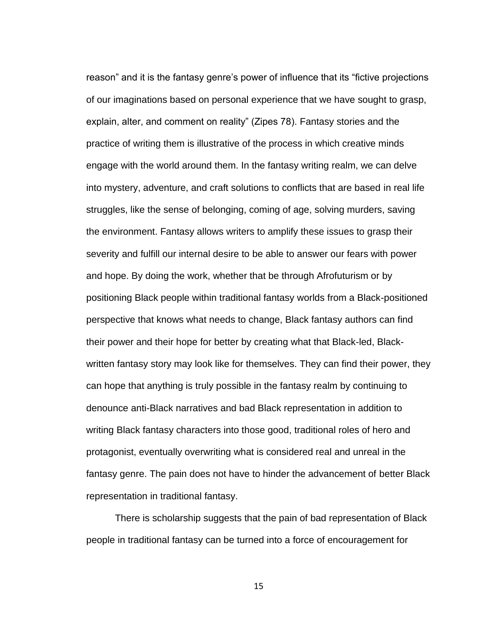reason" and it is the fantasy genre's power of influence that its "fictive projections of our imaginations based on personal experience that we have sought to grasp, explain, alter, and comment on reality" (Zipes 78). Fantasy stories and the practice of writing them is illustrative of the process in which creative minds engage with the world around them. In the fantasy writing realm, we can delve into mystery, adventure, and craft solutions to conflicts that are based in real life struggles, like the sense of belonging, coming of age, solving murders, saving the environment. Fantasy allows writers to amplify these issues to grasp their severity and fulfill our internal desire to be able to answer our fears with power and hope. By doing the work, whether that be through Afrofuturism or by positioning Black people within traditional fantasy worlds from a Black-positioned perspective that knows what needs to change, Black fantasy authors can find their power and their hope for better by creating what that Black-led, Blackwritten fantasy story may look like for themselves. They can find their power, they can hope that anything is truly possible in the fantasy realm by continuing to denounce anti-Black narratives and bad Black representation in addition to writing Black fantasy characters into those good, traditional roles of hero and protagonist, eventually overwriting what is considered real and unreal in the fantasy genre. The pain does not have to hinder the advancement of better Black representation in traditional fantasy.

There is scholarship suggests that the pain of bad representation of Black people in traditional fantasy can be turned into a force of encouragement for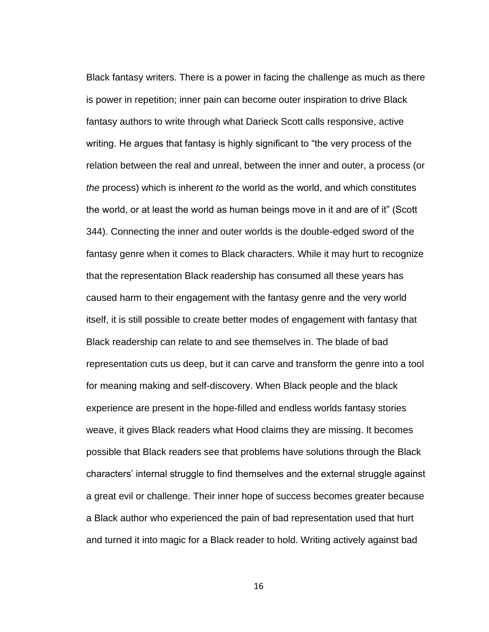Black fantasy writers. There is a power in facing the challenge as much as there is power in repetition; inner pain can become outer inspiration to drive Black fantasy authors to write through what Darieck Scott calls responsive, active writing. He argues that fantasy is highly significant to "the very process of the relation between the real and unreal, between the inner and outer, a process (or *the* process) which is inherent *to* the world as the world, and which constitutes the world, or at least the world as human beings move in it and are of it" (Scott 344). Connecting the inner and outer worlds is the double-edged sword of the fantasy genre when it comes to Black characters. While it may hurt to recognize that the representation Black readership has consumed all these years has caused harm to their engagement with the fantasy genre and the very world itself, it is still possible to create better modes of engagement with fantasy that Black readership can relate to and see themselves in. The blade of bad representation cuts us deep, but it can carve and transform the genre into a tool for meaning making and self-discovery. When Black people and the black experience are present in the hope-filled and endless worlds fantasy stories weave, it gives Black readers what Hood claims they are missing. It becomes possible that Black readers see that problems have solutions through the Black characters' internal struggle to find themselves and the external struggle against a great evil or challenge. Their inner hope of success becomes greater because a Black author who experienced the pain of bad representation used that hurt and turned it into magic for a Black reader to hold. Writing actively against bad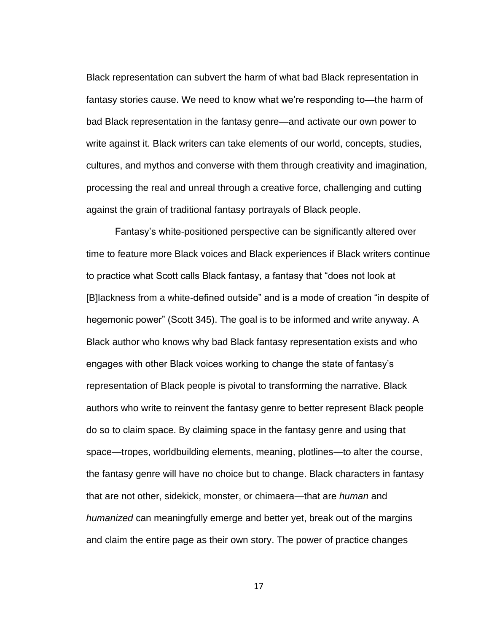Black representation can subvert the harm of what bad Black representation in fantasy stories cause. We need to know what we're responding to—the harm of bad Black representation in the fantasy genre—and activate our own power to write against it. Black writers can take elements of our world, concepts, studies, cultures, and mythos and converse with them through creativity and imagination, processing the real and unreal through a creative force, challenging and cutting against the grain of traditional fantasy portrayals of Black people.

Fantasy's white-positioned perspective can be significantly altered over time to feature more Black voices and Black experiences if Black writers continue to practice what Scott calls Black fantasy, a fantasy that "does not look at [B]lackness from a white-defined outside" and is a mode of creation "in despite of hegemonic power" (Scott 345). The goal is to be informed and write anyway. A Black author who knows why bad Black fantasy representation exists and who engages with other Black voices working to change the state of fantasy's representation of Black people is pivotal to transforming the narrative. Black authors who write to reinvent the fantasy genre to better represent Black people do so to claim space. By claiming space in the fantasy genre and using that space—tropes, worldbuilding elements, meaning, plotlines—to alter the course, the fantasy genre will have no choice but to change. Black characters in fantasy that are not other, sidekick, monster, or chimaera—that are *human* and *humanized* can meaningfully emerge and better yet, break out of the margins and claim the entire page as their own story. The power of practice changes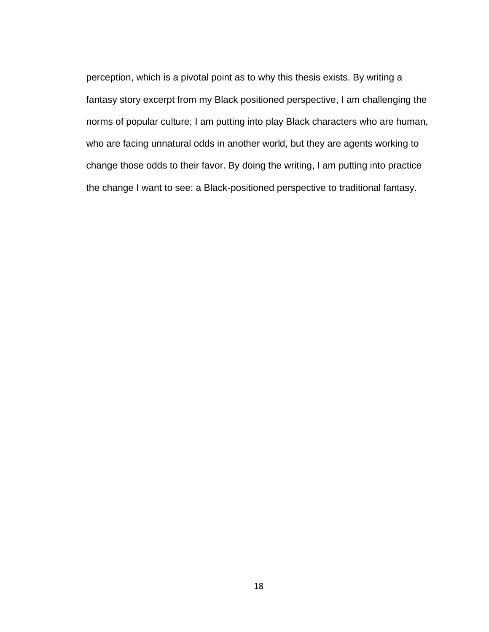perception, which is a pivotal point as to why this thesis exists. By writing a fantasy story excerpt from my Black positioned perspective, I am challenging the norms of popular culture; I am putting into play Black characters who are human, who are facing unnatural odds in another world, but they are agents working to change those odds to their favor. By doing the writing, I am putting into practice the change I want to see: a Black-positioned perspective to traditional fantasy.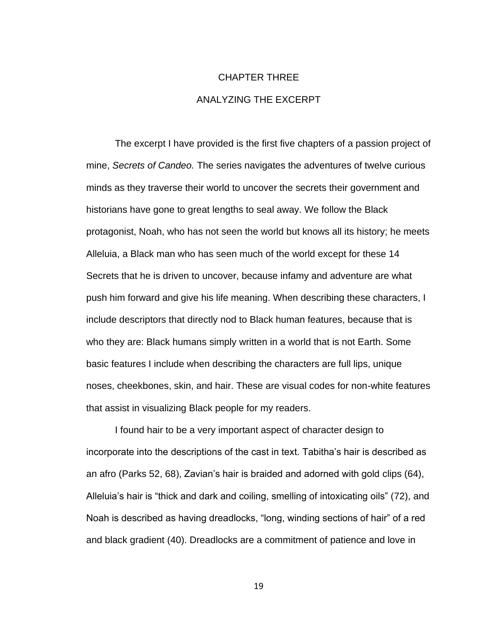## CHAPTER THREE ANALYZING THE EXCERPT

<span id="page-27-0"></span>The excerpt I have provided is the first five chapters of a passion project of mine, *Secrets of Candeo.* The series navigates the adventures of twelve curious minds as they traverse their world to uncover the secrets their government and historians have gone to great lengths to seal away. We follow the Black protagonist, Noah, who has not seen the world but knows all its history; he meets Alleluia, a Black man who has seen much of the world except for these 14 Secrets that he is driven to uncover, because infamy and adventure are what push him forward and give his life meaning. When describing these characters, I include descriptors that directly nod to Black human features, because that is who they are: Black humans simply written in a world that is not Earth. Some basic features I include when describing the characters are full lips, unique noses, cheekbones, skin, and hair. These are visual codes for non-white features that assist in visualizing Black people for my readers.

I found hair to be a very important aspect of character design to incorporate into the descriptions of the cast in text. Tabitha's hair is described as an afro (Parks 52, 68), Zavian's hair is braided and adorned with gold clips (64), Alleluia's hair is "thick and dark and coiling, smelling of intoxicating oils" (72), and Noah is described as having dreadlocks, "long, winding sections of hair" of a red and black gradient (40). Dreadlocks are a commitment of patience and love in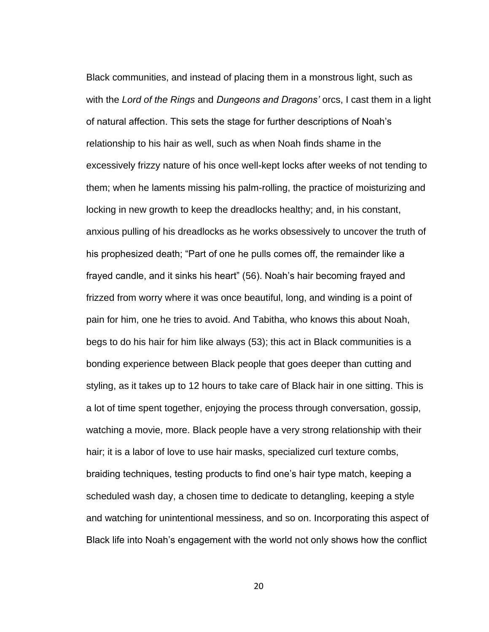Black communities, and instead of placing them in a monstrous light, such as with the *Lord of the Rings* and *Dungeons and Dragons'* orcs, I cast them in a light of natural affection. This sets the stage for further descriptions of Noah's relationship to his hair as well, such as when Noah finds shame in the excessively frizzy nature of his once well-kept locks after weeks of not tending to them; when he laments missing his palm-rolling, the practice of moisturizing and locking in new growth to keep the dreadlocks healthy; and, in his constant, anxious pulling of his dreadlocks as he works obsessively to uncover the truth of his prophesized death; "Part of one he pulls comes off, the remainder like a frayed candle, and it sinks his heart" (56). Noah's hair becoming frayed and frizzed from worry where it was once beautiful, long, and winding is a point of pain for him, one he tries to avoid. And Tabitha, who knows this about Noah, begs to do his hair for him like always (53); this act in Black communities is a bonding experience between Black people that goes deeper than cutting and styling, as it takes up to 12 hours to take care of Black hair in one sitting. This is a lot of time spent together, enjoying the process through conversation, gossip, watching a movie, more. Black people have a very strong relationship with their hair; it is a labor of love to use hair masks, specialized curl texture combs, braiding techniques, testing products to find one's hair type match, keeping a scheduled wash day, a chosen time to dedicate to detangling, keeping a style and watching for unintentional messiness, and so on. Incorporating this aspect of Black life into Noah's engagement with the world not only shows how the conflict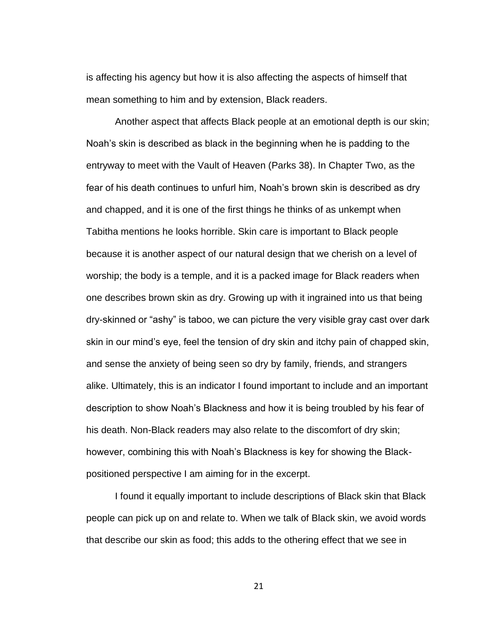is affecting his agency but how it is also affecting the aspects of himself that mean something to him and by extension, Black readers.

Another aspect that affects Black people at an emotional depth is our skin; Noah's skin is described as black in the beginning when he is padding to the entryway to meet with the Vault of Heaven (Parks 38). In Chapter Two, as the fear of his death continues to unfurl him, Noah's brown skin is described as dry and chapped, and it is one of the first things he thinks of as unkempt when Tabitha mentions he looks horrible. Skin care is important to Black people because it is another aspect of our natural design that we cherish on a level of worship; the body is a temple, and it is a packed image for Black readers when one describes brown skin as dry. Growing up with it ingrained into us that being dry-skinned or "ashy" is taboo, we can picture the very visible gray cast over dark skin in our mind's eye, feel the tension of dry skin and itchy pain of chapped skin, and sense the anxiety of being seen so dry by family, friends, and strangers alike. Ultimately, this is an indicator I found important to include and an important description to show Noah's Blackness and how it is being troubled by his fear of his death. Non-Black readers may also relate to the discomfort of dry skin; however, combining this with Noah's Blackness is key for showing the Blackpositioned perspective I am aiming for in the excerpt.

I found it equally important to include descriptions of Black skin that Black people can pick up on and relate to. When we talk of Black skin, we avoid words that describe our skin as food; this adds to the othering effect that we see in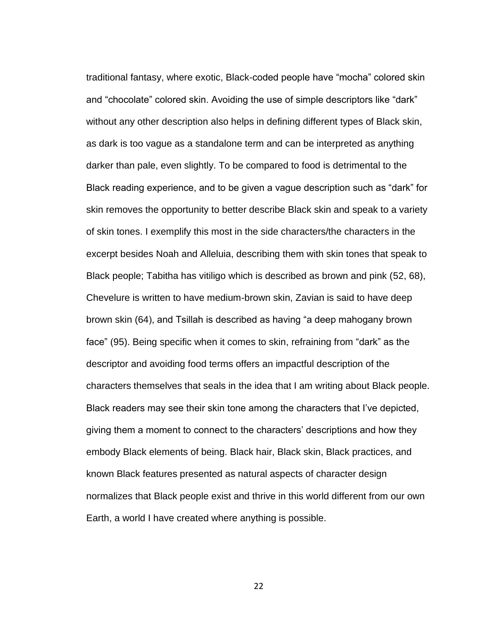traditional fantasy, where exotic, Black-coded people have "mocha" colored skin and "chocolate" colored skin. Avoiding the use of simple descriptors like "dark" without any other description also helps in defining different types of Black skin, as dark is too vague as a standalone term and can be interpreted as anything darker than pale, even slightly. To be compared to food is detrimental to the Black reading experience, and to be given a vague description such as "dark" for skin removes the opportunity to better describe Black skin and speak to a variety of skin tones. I exemplify this most in the side characters/the characters in the excerpt besides Noah and Alleluia, describing them with skin tones that speak to Black people; Tabitha has vitiligo which is described as brown and pink (52, 68), Chevelure is written to have medium-brown skin, Zavian is said to have deep brown skin (64), and Tsillah is described as having "a deep mahogany brown face" (95). Being specific when it comes to skin, refraining from "dark" as the descriptor and avoiding food terms offers an impactful description of the characters themselves that seals in the idea that I am writing about Black people. Black readers may see their skin tone among the characters that I've depicted, giving them a moment to connect to the characters' descriptions and how they embody Black elements of being. Black hair, Black skin, Black practices, and known Black features presented as natural aspects of character design normalizes that Black people exist and thrive in this world different from our own Earth, a world I have created where anything is possible.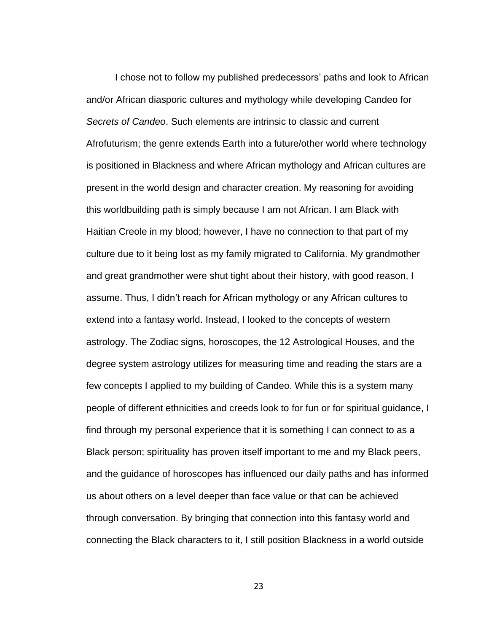I chose not to follow my published predecessors' paths and look to African and/or African diasporic cultures and mythology while developing Candeo for *Secrets of Candeo*. Such elements are intrinsic to classic and current Afrofuturism; the genre extends Earth into a future/other world where technology is positioned in Blackness and where African mythology and African cultures are present in the world design and character creation. My reasoning for avoiding this worldbuilding path is simply because I am not African. I am Black with Haitian Creole in my blood; however, I have no connection to that part of my culture due to it being lost as my family migrated to California. My grandmother and great grandmother were shut tight about their history, with good reason, I assume. Thus, I didn't reach for African mythology or any African cultures to extend into a fantasy world. Instead, I looked to the concepts of western astrology. The Zodiac signs, horoscopes, the 12 Astrological Houses, and the degree system astrology utilizes for measuring time and reading the stars are a few concepts I applied to my building of Candeo. While this is a system many people of different ethnicities and creeds look to for fun or for spiritual guidance, I find through my personal experience that it is something I can connect to as a Black person; spirituality has proven itself important to me and my Black peers, and the guidance of horoscopes has influenced our daily paths and has informed us about others on a level deeper than face value or that can be achieved through conversation. By bringing that connection into this fantasy world and connecting the Black characters to it, I still position Blackness in a world outside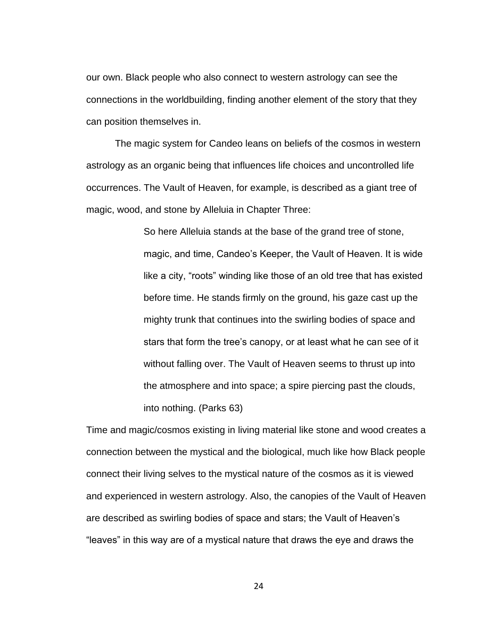our own. Black people who also connect to western astrology can see the connections in the worldbuilding, finding another element of the story that they can position themselves in.

The magic system for Candeo leans on beliefs of the cosmos in western astrology as an organic being that influences life choices and uncontrolled life occurrences. The Vault of Heaven, for example, is described as a giant tree of magic, wood, and stone by Alleluia in Chapter Three:

> So here Alleluia stands at the base of the grand tree of stone, magic, and time, Candeo's Keeper, the Vault of Heaven. It is wide like a city, "roots" winding like those of an old tree that has existed before time. He stands firmly on the ground, his gaze cast up the mighty trunk that continues into the swirling bodies of space and stars that form the tree's canopy, or at least what he can see of it without falling over. The Vault of Heaven seems to thrust up into the atmosphere and into space; a spire piercing past the clouds, into nothing. (Parks 63)

Time and magic/cosmos existing in living material like stone and wood creates a connection between the mystical and the biological, much like how Black people connect their living selves to the mystical nature of the cosmos as it is viewed and experienced in western astrology. Also, the canopies of the Vault of Heaven are described as swirling bodies of space and stars; the Vault of Heaven's "leaves" in this way are of a mystical nature that draws the eye and draws the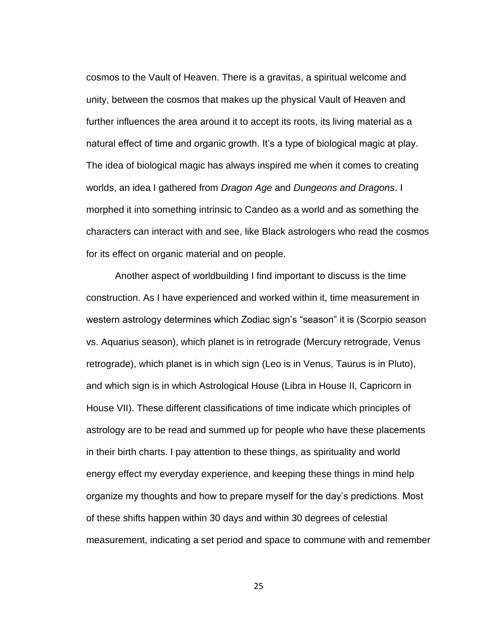cosmos to the Vault of Heaven. There is a gravitas, a spiritual welcome and unity, between the cosmos that makes up the physical Vault of Heaven and further influences the area around it to accept its roots, its living material as a natural effect of time and organic growth. It's a type of biological magic at play. The idea of biological magic has always inspired me when it comes to creating worlds, an idea I gathered from *Dragon Age* and *Dungeons and Dragons*. I morphed it into something intrinsic to Candeo as a world and as something the characters can interact with and see, like Black astrologers who read the cosmos for its effect on organic material and on people.

Another aspect of worldbuilding I find important to discuss is the time construction. As I have experienced and worked within it, time measurement in western astrology determines which Zodiac sign's "season" it is (Scorpio season vs. Aquarius season), which planet is in retrograde (Mercury retrograde, Venus retrograde), which planet is in which sign (Leo is in Venus, Taurus is in Pluto), and which sign is in which Astrological House (Libra in House II, Capricorn in House VII). These different classifications of time indicate which principles of astrology are to be read and summed up for people who have these placements in their birth charts. I pay attention to these things, as spirituality and world energy effect my everyday experience, and keeping these things in mind help organize my thoughts and how to prepare myself for the day's predictions. Most of these shifts happen within 30 days and within 30 degrees of celestial measurement, indicating a set period and space to commune with and remember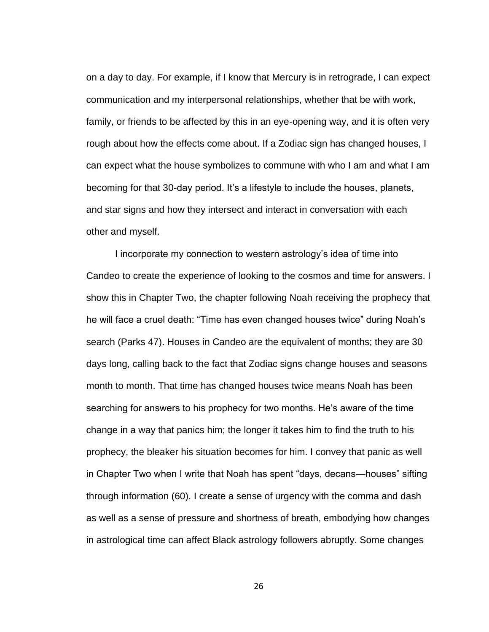on a day to day. For example, if I know that Mercury is in retrograde, I can expect communication and my interpersonal relationships, whether that be with work, family, or friends to be affected by this in an eye-opening way, and it is often very rough about how the effects come about. If a Zodiac sign has changed houses, I can expect what the house symbolizes to commune with who I am and what I am becoming for that 30-day period. It's a lifestyle to include the houses, planets, and star signs and how they intersect and interact in conversation with each other and myself.

I incorporate my connection to western astrology's idea of time into Candeo to create the experience of looking to the cosmos and time for answers. I show this in Chapter Two, the chapter following Noah receiving the prophecy that he will face a cruel death: "Time has even changed houses twice" during Noah's search (Parks 47). Houses in Candeo are the equivalent of months; they are 30 days long, calling back to the fact that Zodiac signs change houses and seasons month to month. That time has changed houses twice means Noah has been searching for answers to his prophecy for two months. He's aware of the time change in a way that panics him; the longer it takes him to find the truth to his prophecy, the bleaker his situation becomes for him. I convey that panic as well in Chapter Two when I write that Noah has spent "days, decans—houses" sifting through information (60). I create a sense of urgency with the comma and dash as well as a sense of pressure and shortness of breath, embodying how changes in astrological time can affect Black astrology followers abruptly. Some changes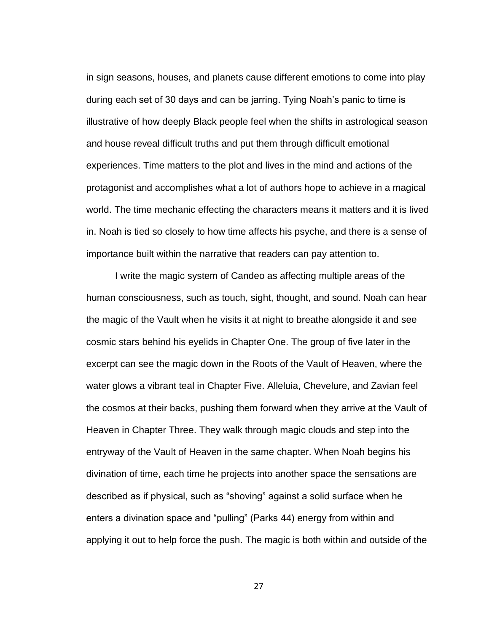in sign seasons, houses, and planets cause different emotions to come into play during each set of 30 days and can be jarring. Tying Noah's panic to time is illustrative of how deeply Black people feel when the shifts in astrological season and house reveal difficult truths and put them through difficult emotional experiences. Time matters to the plot and lives in the mind and actions of the protagonist and accomplishes what a lot of authors hope to achieve in a magical world. The time mechanic effecting the characters means it matters and it is lived in. Noah is tied so closely to how time affects his psyche, and there is a sense of importance built within the narrative that readers can pay attention to.

I write the magic system of Candeo as affecting multiple areas of the human consciousness, such as touch, sight, thought, and sound. Noah can hear the magic of the Vault when he visits it at night to breathe alongside it and see cosmic stars behind his eyelids in Chapter One. The group of five later in the excerpt can see the magic down in the Roots of the Vault of Heaven, where the water glows a vibrant teal in Chapter Five. Alleluia, Chevelure, and Zavian feel the cosmos at their backs, pushing them forward when they arrive at the Vault of Heaven in Chapter Three. They walk through magic clouds and step into the entryway of the Vault of Heaven in the same chapter. When Noah begins his divination of time, each time he projects into another space the sensations are described as if physical, such as "shoving" against a solid surface when he enters a divination space and "pulling" (Parks 44) energy from within and applying it out to help force the push. The magic is both within and outside of the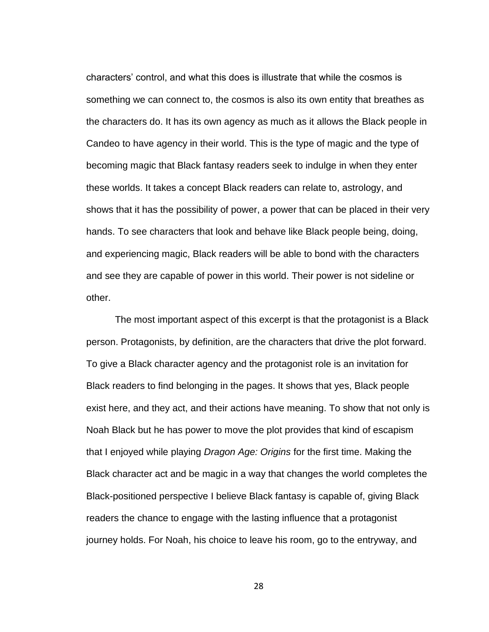characters' control, and what this does is illustrate that while the cosmos is something we can connect to, the cosmos is also its own entity that breathes as the characters do. It has its own agency as much as it allows the Black people in Candeo to have agency in their world. This is the type of magic and the type of becoming magic that Black fantasy readers seek to indulge in when they enter these worlds. It takes a concept Black readers can relate to, astrology, and shows that it has the possibility of power, a power that can be placed in their very hands. To see characters that look and behave like Black people being, doing, and experiencing magic, Black readers will be able to bond with the characters and see they are capable of power in this world. Their power is not sideline or other.

The most important aspect of this excerpt is that the protagonist is a Black person. Protagonists, by definition, are the characters that drive the plot forward. To give a Black character agency and the protagonist role is an invitation for Black readers to find belonging in the pages. It shows that yes, Black people exist here, and they act, and their actions have meaning. To show that not only is Noah Black but he has power to move the plot provides that kind of escapism that I enjoyed while playing *Dragon Age: Origins* for the first time. Making the Black character act and be magic in a way that changes the world completes the Black-positioned perspective I believe Black fantasy is capable of, giving Black readers the chance to engage with the lasting influence that a protagonist journey holds. For Noah, his choice to leave his room, go to the entryway, and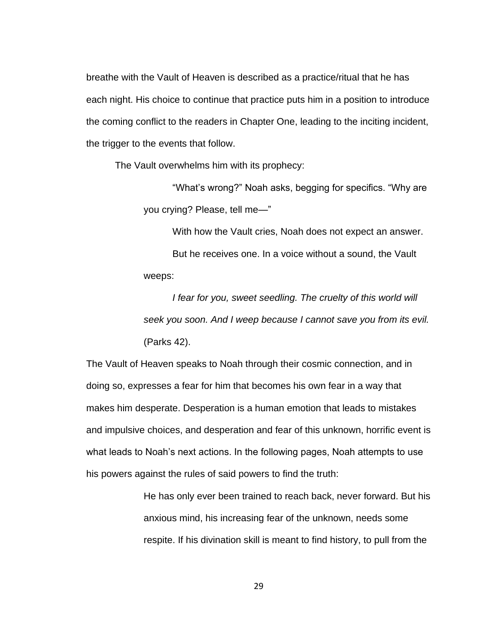breathe with the Vault of Heaven is described as a practice/ritual that he has each night. His choice to continue that practice puts him in a position to introduce the coming conflict to the readers in Chapter One, leading to the inciting incident, the trigger to the events that follow.

The Vault overwhelms him with its prophecy:

"What's wrong?" Noah asks, begging for specifics. "Why are you crying? Please, tell me—"

With how the Vault cries, Noah does not expect an answer.

But he receives one. In a voice without a sound, the Vault weeps:

*I fear for you, sweet seedling. The cruelty of this world will seek you soon. And I weep because I cannot save you from its evil.* (Parks 42).

The Vault of Heaven speaks to Noah through their cosmic connection, and in doing so, expresses a fear for him that becomes his own fear in a way that makes him desperate. Desperation is a human emotion that leads to mistakes and impulsive choices, and desperation and fear of this unknown, horrific event is what leads to Noah's next actions. In the following pages, Noah attempts to use his powers against the rules of said powers to find the truth:

> He has only ever been trained to reach back, never forward. But his anxious mind, his increasing fear of the unknown, needs some respite. If his divination skill is meant to find history, to pull from the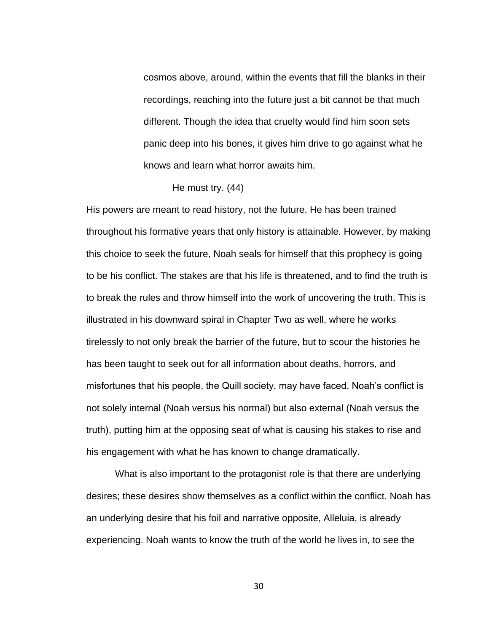cosmos above, around, within the events that fill the blanks in their recordings, reaching into the future just a bit cannot be that much different. Though the idea that cruelty would find him soon sets panic deep into his bones, it gives him drive to go against what he knows and learn what horror awaits him.

His powers are meant to read history, not the future. He has been trained throughout his formative years that only history is attainable. However, by making this choice to seek the future, Noah seals for himself that this prophecy is going to be his conflict. The stakes are that his life is threatened, and to find the truth is to break the rules and throw himself into the work of uncovering the truth. This is illustrated in his downward spiral in Chapter Two as well, where he works tirelessly to not only break the barrier of the future, but to scour the histories he has been taught to seek out for all information about deaths, horrors, and misfortunes that his people, the Quill society, may have faced. Noah's conflict is not solely internal (Noah versus his normal) but also external (Noah versus the truth), putting him at the opposing seat of what is causing his stakes to rise and his engagement with what he has known to change dramatically.

What is also important to the protagonist role is that there are underlying desires; these desires show themselves as a conflict within the conflict. Noah has an underlying desire that his foil and narrative opposite, Alleluia, is already experiencing. Noah wants to know the truth of the world he lives in, to see the

He must try. (44)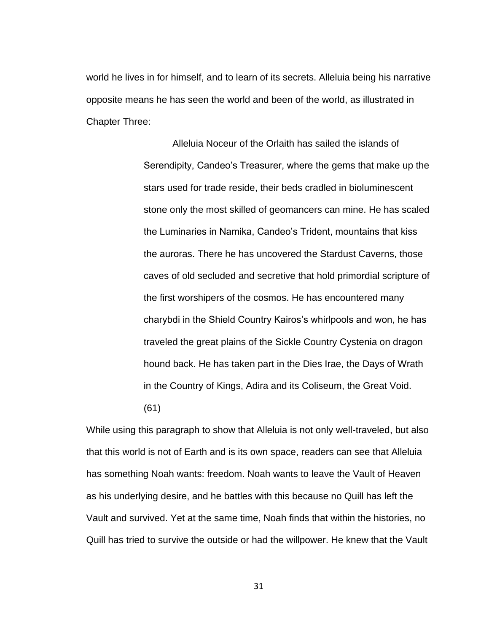world he lives in for himself, and to learn of its secrets. Alleluia being his narrative opposite means he has seen the world and been of the world, as illustrated in Chapter Three:

> Alleluia Noceur of the Orlaith has sailed the islands of Serendipity, Candeo's Treasurer, where the gems that make up the stars used for trade reside, their beds cradled in bioluminescent stone only the most skilled of geomancers can mine. He has scaled the Luminaries in Namika, Candeo's Trident, mountains that kiss the auroras. There he has uncovered the Stardust Caverns, those caves of old secluded and secretive that hold primordial scripture of the first worshipers of the cosmos. He has encountered many charybdi in the Shield Country Kairos's whirlpools and won, he has traveled the great plains of the Sickle Country Cystenia on dragon hound back. He has taken part in the Dies Irae, the Days of Wrath in the Country of Kings, Adira and its Coliseum, the Great Void. (61)

While using this paragraph to show that Alleluia is not only well-traveled, but also that this world is not of Earth and is its own space, readers can see that Alleluia has something Noah wants: freedom. Noah wants to leave the Vault of Heaven as his underlying desire, and he battles with this because no Quill has left the Vault and survived. Yet at the same time, Noah finds that within the histories, no Quill has tried to survive the outside or had the willpower. He knew that the Vault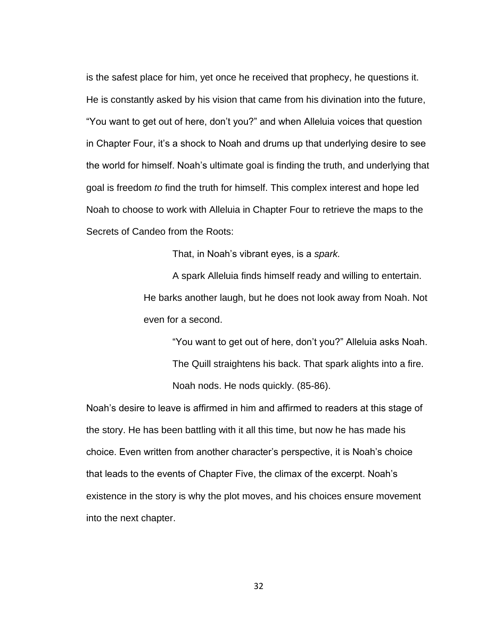is the safest place for him, yet once he received that prophecy, he questions it. He is constantly asked by his vision that came from his divination into the future, "You want to get out of here, don't you?" and when Alleluia voices that question in Chapter Four, it's a shock to Noah and drums up that underlying desire to see the world for himself. Noah's ultimate goal is finding the truth, and underlying that goal is freedom *to* find the truth for himself. This complex interest and hope led Noah to choose to work with Alleluia in Chapter Four to retrieve the maps to the Secrets of Candeo from the Roots:

That, in Noah's vibrant eyes, is a *spark.*

A spark Alleluia finds himself ready and willing to entertain. He barks another laugh, but he does not look away from Noah. Not even for a second.

"You want to get out of here, don't you?" Alleluia asks Noah. The Quill straightens his back. That spark alights into a fire. Noah nods. He nods quickly. (85-86).

Noah's desire to leave is affirmed in him and affirmed to readers at this stage of the story. He has been battling with it all this time, but now he has made his choice. Even written from another character's perspective, it is Noah's choice that leads to the events of Chapter Five, the climax of the excerpt. Noah's existence in the story is why the plot moves, and his choices ensure movement into the next chapter.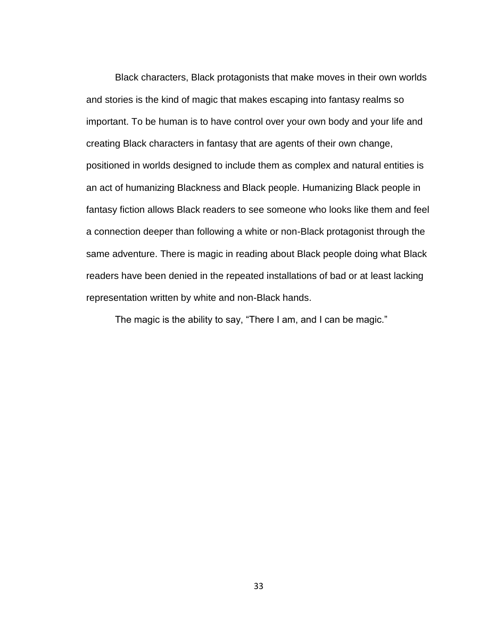Black characters, Black protagonists that make moves in their own worlds and stories is the kind of magic that makes escaping into fantasy realms so important. To be human is to have control over your own body and your life and creating Black characters in fantasy that are agents of their own change, positioned in worlds designed to include them as complex and natural entities is an act of humanizing Blackness and Black people. Humanizing Black people in fantasy fiction allows Black readers to see someone who looks like them and feel a connection deeper than following a white or non-Black protagonist through the same adventure. There is magic in reading about Black people doing what Black readers have been denied in the repeated installations of bad or at least lacking representation written by white and non-Black hands.

The magic is the ability to say, "There I am, and I can be magic."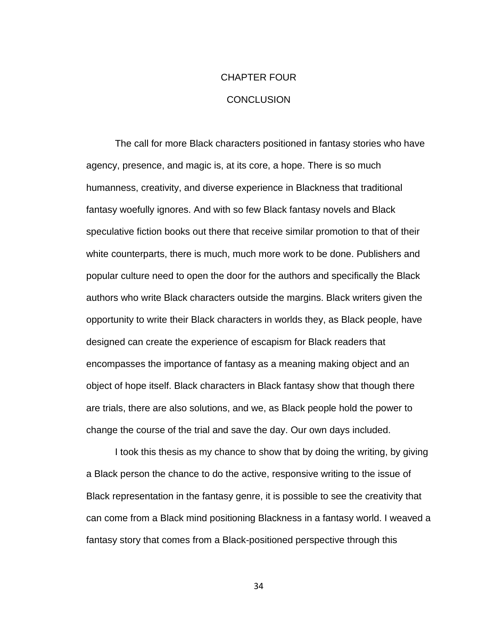# CHAPTER FOUR **CONCLUSION**

The call for more Black characters positioned in fantasy stories who have agency, presence, and magic is, at its core, a hope. There is so much humanness, creativity, and diverse experience in Blackness that traditional fantasy woefully ignores. And with so few Black fantasy novels and Black speculative fiction books out there that receive similar promotion to that of their white counterparts, there is much, much more work to be done. Publishers and popular culture need to open the door for the authors and specifically the Black authors who write Black characters outside the margins. Black writers given the opportunity to write their Black characters in worlds they, as Black people, have designed can create the experience of escapism for Black readers that encompasses the importance of fantasy as a meaning making object and an object of hope itself. Black characters in Black fantasy show that though there are trials, there are also solutions, and we, as Black people hold the power to change the course of the trial and save the day. Our own days included.

I took this thesis as my chance to show that by doing the writing, by giving a Black person the chance to do the active, responsive writing to the issue of Black representation in the fantasy genre, it is possible to see the creativity that can come from a Black mind positioning Blackness in a fantasy world. I weaved a fantasy story that comes from a Black-positioned perspective through this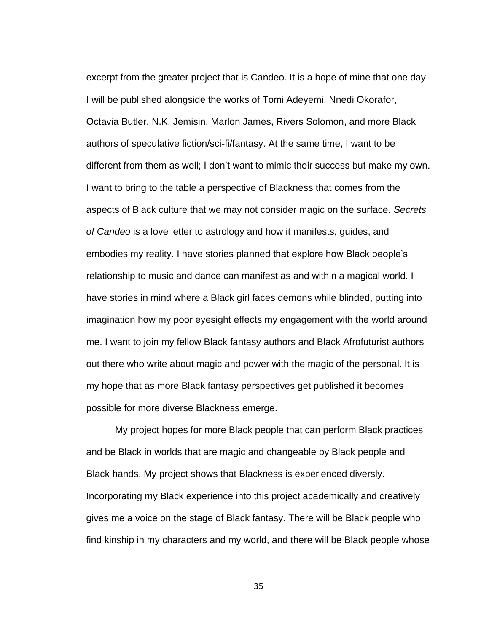excerpt from the greater project that is Candeo. It is a hope of mine that one day I will be published alongside the works of Tomi Adeyemi, Nnedi Okorafor, Octavia Butler, N.K. Jemisin, Marlon James, Rivers Solomon, and more Black authors of speculative fiction/sci-fi/fantasy. At the same time, I want to be different from them as well; I don't want to mimic their success but make my own. I want to bring to the table a perspective of Blackness that comes from the aspects of Black culture that we may not consider magic on the surface. *Secrets of Candeo* is a love letter to astrology and how it manifests, guides, and embodies my reality. I have stories planned that explore how Black people's relationship to music and dance can manifest as and within a magical world. I have stories in mind where a Black girl faces demons while blinded, putting into imagination how my poor eyesight effects my engagement with the world around me. I want to join my fellow Black fantasy authors and Black Afrofuturist authors out there who write about magic and power with the magic of the personal. It is my hope that as more Black fantasy perspectives get published it becomes possible for more diverse Blackness emerge.

My project hopes for more Black people that can perform Black practices and be Black in worlds that are magic and changeable by Black people and Black hands. My project shows that Blackness is experienced diversly. Incorporating my Black experience into this project academically and creatively gives me a voice on the stage of Black fantasy. There will be Black people who find kinship in my characters and my world, and there will be Black people whose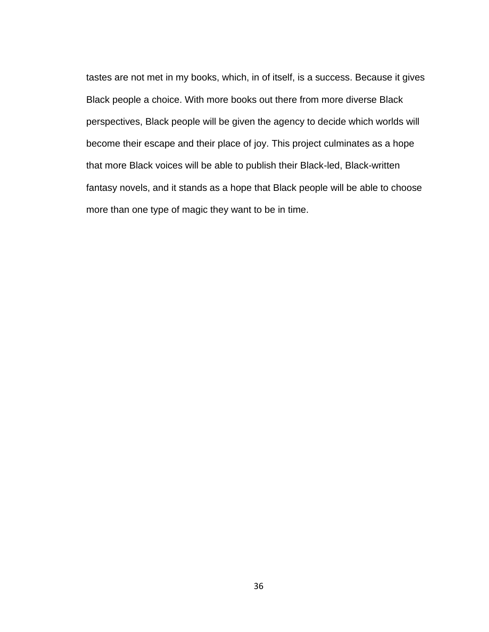tastes are not met in my books, which, in of itself, is a success. Because it gives Black people a choice. With more books out there from more diverse Black perspectives, Black people will be given the agency to decide which worlds will become their escape and their place of joy. This project culminates as a hope that more Black voices will be able to publish their Black-led, Black-written fantasy novels, and it stands as a hope that Black people will be able to choose more than one type of magic they want to be in time.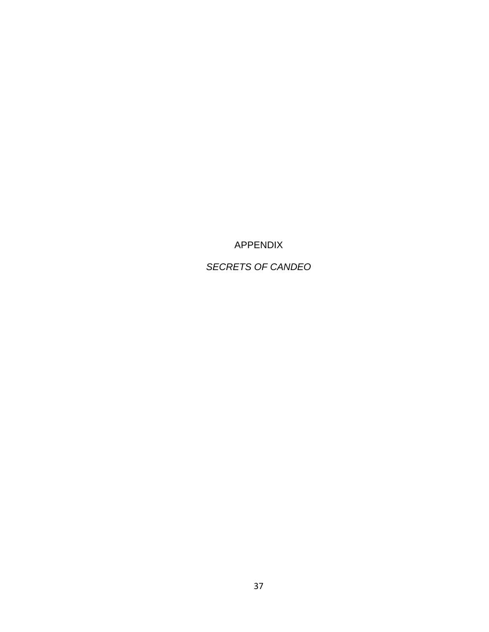APPENDIX

*SECRETS OF CANDEO*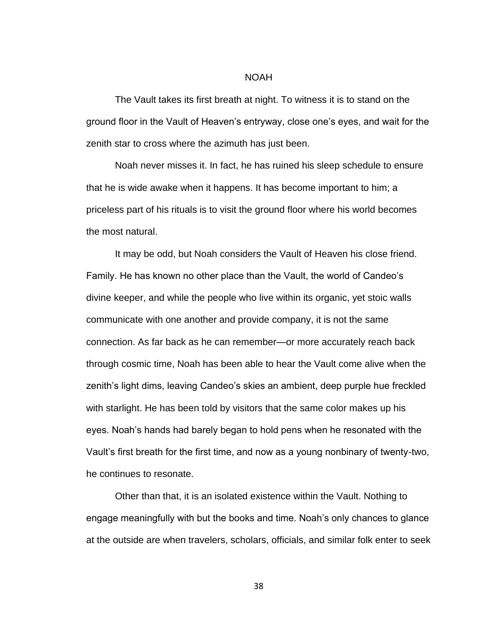### NOAH

The Vault takes its first breath at night. To witness it is to stand on the ground floor in the Vault of Heaven's entryway, close one's eyes, and wait for the zenith star to cross where the azimuth has just been.

Noah never misses it. In fact, he has ruined his sleep schedule to ensure that he is wide awake when it happens. It has become important to him; a priceless part of his rituals is to visit the ground floor where his world becomes the most natural.

It may be odd, but Noah considers the Vault of Heaven his close friend. Family. He has known no other place than the Vault, the world of Candeo's divine keeper, and while the people who live within its organic, yet stoic walls communicate with one another and provide company, it is not the same connection. As far back as he can remember—or more accurately reach back through cosmic time, Noah has been able to hear the Vault come alive when the zenith's light dims, leaving Candeo's skies an ambient, deep purple hue freckled with starlight. He has been told by visitors that the same color makes up his eyes. Noah's hands had barely began to hold pens when he resonated with the Vault's first breath for the first time, and now as a young nonbinary of twenty-two, he continues to resonate.

Other than that, it is an isolated existence within the Vault. Nothing to engage meaningfully with but the books and time. Noah's only chances to glance at the outside are when travelers, scholars, officials, and similar folk enter to seek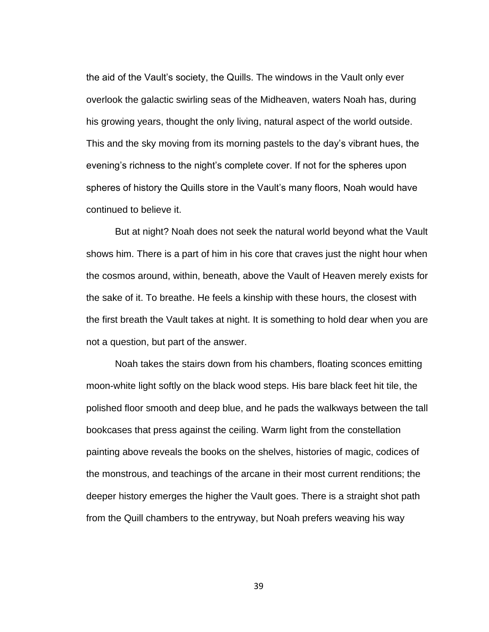the aid of the Vault's society, the Quills. The windows in the Vault only ever overlook the galactic swirling seas of the Midheaven, waters Noah has, during his growing years, thought the only living, natural aspect of the world outside. This and the sky moving from its morning pastels to the day's vibrant hues, the evening's richness to the night's complete cover. If not for the spheres upon spheres of history the Quills store in the Vault's many floors, Noah would have continued to believe it.

But at night? Noah does not seek the natural world beyond what the Vault shows him. There is a part of him in his core that craves just the night hour when the cosmos around, within, beneath, above the Vault of Heaven merely exists for the sake of it. To breathe. He feels a kinship with these hours, the closest with the first breath the Vault takes at night. It is something to hold dear when you are not a question, but part of the answer.

Noah takes the stairs down from his chambers, floating sconces emitting moon-white light softly on the black wood steps. His bare black feet hit tile, the polished floor smooth and deep blue, and he pads the walkways between the tall bookcases that press against the ceiling. Warm light from the constellation painting above reveals the books on the shelves, histories of magic, codices of the monstrous, and teachings of the arcane in their most current renditions; the deeper history emerges the higher the Vault goes. There is a straight shot path from the Quill chambers to the entryway, but Noah prefers weaving his way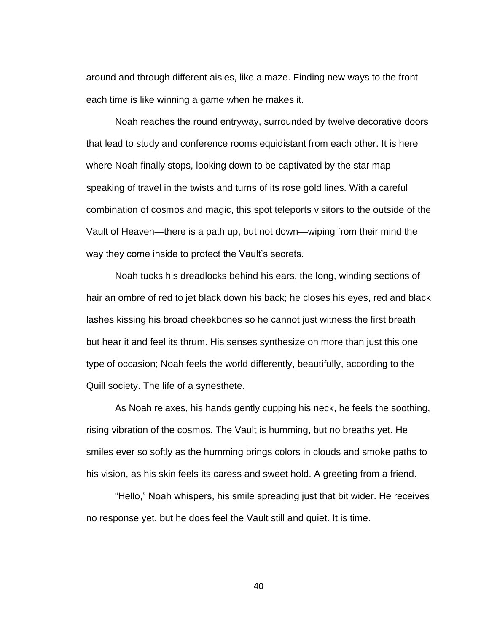around and through different aisles, like a maze. Finding new ways to the front each time is like winning a game when he makes it.

Noah reaches the round entryway, surrounded by twelve decorative doors that lead to study and conference rooms equidistant from each other. It is here where Noah finally stops, looking down to be captivated by the star map speaking of travel in the twists and turns of its rose gold lines. With a careful combination of cosmos and magic, this spot teleports visitors to the outside of the Vault of Heaven—there is a path up, but not down—wiping from their mind the way they come inside to protect the Vault's secrets.

Noah tucks his dreadlocks behind his ears, the long, winding sections of hair an ombre of red to jet black down his back; he closes his eyes, red and black lashes kissing his broad cheekbones so he cannot just witness the first breath but hear it and feel its thrum. His senses synthesize on more than just this one type of occasion; Noah feels the world differently, beautifully, according to the Quill society. The life of a synesthete.

As Noah relaxes, his hands gently cupping his neck, he feels the soothing, rising vibration of the cosmos. The Vault is humming, but no breaths yet. He smiles ever so softly as the humming brings colors in clouds and smoke paths to his vision, as his skin feels its caress and sweet hold. A greeting from a friend.

"Hello," Noah whispers, his smile spreading just that bit wider. He receives no response yet, but he does feel the Vault still and quiet. It is time.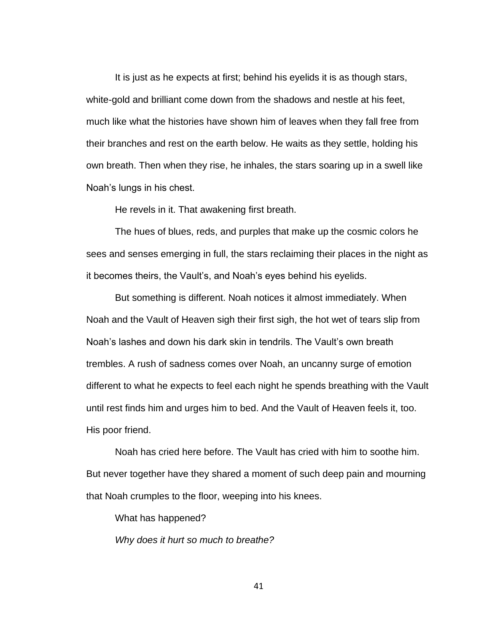It is just as he expects at first; behind his eyelids it is as though stars, white-gold and brilliant come down from the shadows and nestle at his feet, much like what the histories have shown him of leaves when they fall free from their branches and rest on the earth below. He waits as they settle, holding his own breath. Then when they rise, he inhales, the stars soaring up in a swell like Noah's lungs in his chest.

He revels in it. That awakening first breath.

The hues of blues, reds, and purples that make up the cosmic colors he sees and senses emerging in full, the stars reclaiming their places in the night as it becomes theirs, the Vault's, and Noah's eyes behind his eyelids.

But something is different. Noah notices it almost immediately. When Noah and the Vault of Heaven sigh their first sigh, the hot wet of tears slip from Noah's lashes and down his dark skin in tendrils. The Vault's own breath trembles. A rush of sadness comes over Noah, an uncanny surge of emotion different to what he expects to feel each night he spends breathing with the Vault until rest finds him and urges him to bed. And the Vault of Heaven feels it, too. His poor friend.

Noah has cried here before. The Vault has cried with him to soothe him. But never together have they shared a moment of such deep pain and mourning that Noah crumples to the floor, weeping into his knees.

What has happened?

*Why does it hurt so much to breathe?*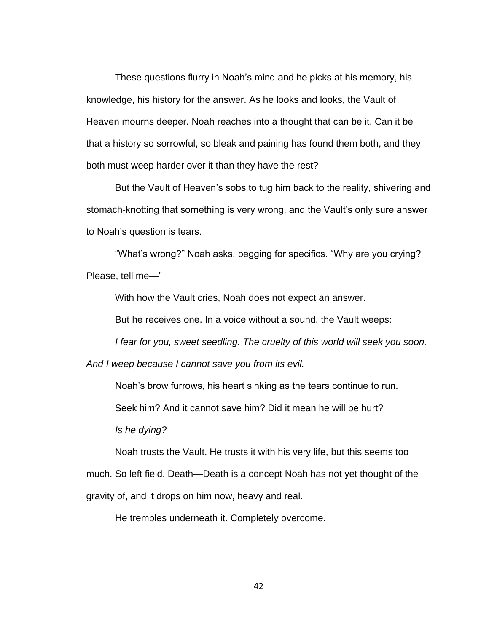These questions flurry in Noah's mind and he picks at his memory, his knowledge, his history for the answer. As he looks and looks, the Vault of Heaven mourns deeper. Noah reaches into a thought that can be it. Can it be that a history so sorrowful, so bleak and paining has found them both, and they both must weep harder over it than they have the rest?

But the Vault of Heaven's sobs to tug him back to the reality, shivering and stomach-knotting that something is very wrong, and the Vault's only sure answer to Noah's question is tears.

"What's wrong?" Noah asks, begging for specifics. "Why are you crying? Please, tell me—"

With how the Vault cries, Noah does not expect an answer.

But he receives one. In a voice without a sound, the Vault weeps:

*I fear for you, sweet seedling. The cruelty of this world will seek you soon.* 

*And I weep because I cannot save you from its evil.*

Noah's brow furrows, his heart sinking as the tears continue to run.

Seek him? And it cannot save him? Did it mean he will be hurt?

*Is he dying?*

Noah trusts the Vault. He trusts it with his very life, but this seems too

much. So left field. Death—Death is a concept Noah has not yet thought of the

gravity of, and it drops on him now, heavy and real.

He trembles underneath it. Completely overcome.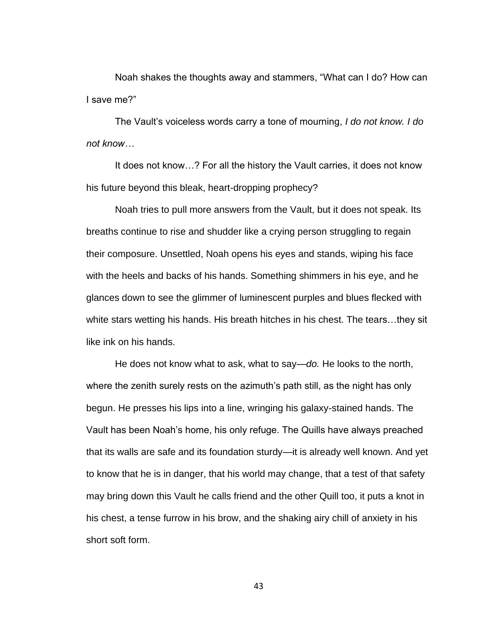Noah shakes the thoughts away and stammers, "What can I do? How can I save me?"

The Vault's voiceless words carry a tone of mourning, *I do not know. I do not know…*

It does not know…? For all the history the Vault carries, it does not know his future beyond this bleak, heart-dropping prophecy?

Noah tries to pull more answers from the Vault, but it does not speak. Its breaths continue to rise and shudder like a crying person struggling to regain their composure. Unsettled, Noah opens his eyes and stands, wiping his face with the heels and backs of his hands. Something shimmers in his eye, and he glances down to see the glimmer of luminescent purples and blues flecked with white stars wetting his hands. His breath hitches in his chest. The tears…they sit like ink on his hands.

He does not know what to ask, what to say—*do.* He looks to the north, where the zenith surely rests on the azimuth's path still, as the night has only begun. He presses his lips into a line, wringing his galaxy-stained hands. The Vault has been Noah's home, his only refuge. The Quills have always preached that its walls are safe and its foundation sturdy—it is already well known. And yet to know that he is in danger, that his world may change, that a test of that safety may bring down this Vault he calls friend and the other Quill too, it puts a knot in his chest, a tense furrow in his brow, and the shaking airy chill of anxiety in his short soft form.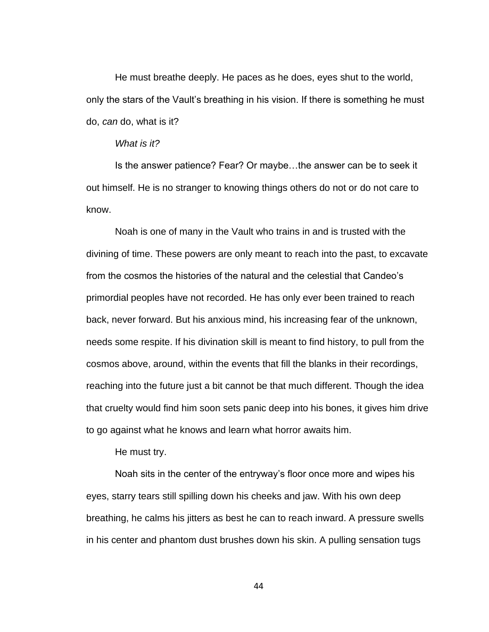He must breathe deeply. He paces as he does, eyes shut to the world, only the stars of the Vault's breathing in his vision. If there is something he must do, *can* do, what is it?

### *What is it?*

Is the answer patience? Fear? Or maybe…the answer can be to seek it out himself. He is no stranger to knowing things others do not or do not care to know.

Noah is one of many in the Vault who trains in and is trusted with the divining of time. These powers are only meant to reach into the past, to excavate from the cosmos the histories of the natural and the celestial that Candeo's primordial peoples have not recorded. He has only ever been trained to reach back, never forward. But his anxious mind, his increasing fear of the unknown, needs some respite. If his divination skill is meant to find history, to pull from the cosmos above, around, within the events that fill the blanks in their recordings, reaching into the future just a bit cannot be that much different. Though the idea that cruelty would find him soon sets panic deep into his bones, it gives him drive to go against what he knows and learn what horror awaits him.

He must try.

Noah sits in the center of the entryway's floor once more and wipes his eyes, starry tears still spilling down his cheeks and jaw. With his own deep breathing, he calms his jitters as best he can to reach inward. A pressure swells in his center and phantom dust brushes down his skin. A pulling sensation tugs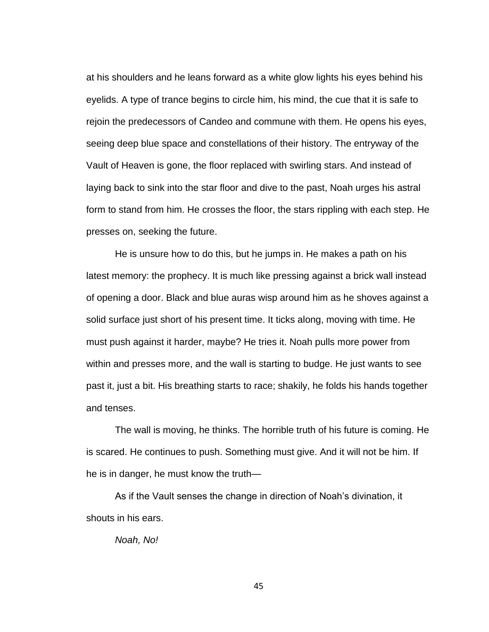at his shoulders and he leans forward as a white glow lights his eyes behind his eyelids. A type of trance begins to circle him, his mind, the cue that it is safe to rejoin the predecessors of Candeo and commune with them. He opens his eyes, seeing deep blue space and constellations of their history. The entryway of the Vault of Heaven is gone, the floor replaced with swirling stars. And instead of laying back to sink into the star floor and dive to the past, Noah urges his astral form to stand from him. He crosses the floor, the stars rippling with each step. He presses on, seeking the future.

He is unsure how to do this, but he jumps in. He makes a path on his latest memory: the prophecy. It is much like pressing against a brick wall instead of opening a door. Black and blue auras wisp around him as he shoves against a solid surface just short of his present time. It ticks along, moving with time. He must push against it harder, maybe? He tries it. Noah pulls more power from within and presses more, and the wall is starting to budge. He just wants to see past it, just a bit. His breathing starts to race; shakily, he folds his hands together and tenses.

The wall is moving, he thinks. The horrible truth of his future is coming. He is scared. He continues to push. Something must give. And it will not be him. If he is in danger, he must know the truth—

As if the Vault senses the change in direction of Noah's divination, it shouts in his ears.

*Noah, No!*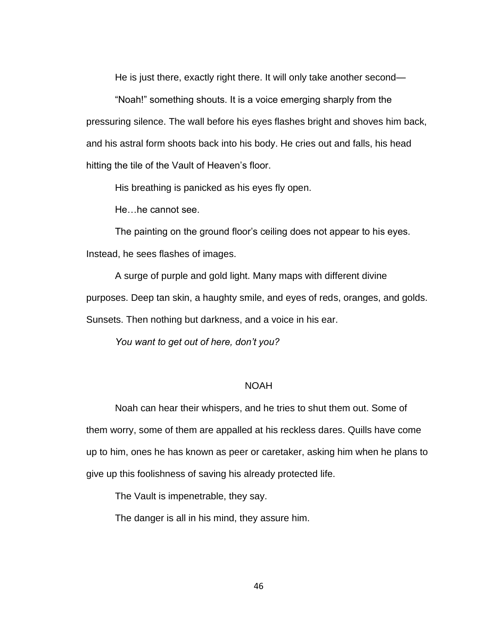He is just there, exactly right there. It will only take another second—

"Noah!" something shouts. It is a voice emerging sharply from the pressuring silence. The wall before his eyes flashes bright and shoves him back, and his astral form shoots back into his body. He cries out and falls, his head hitting the tile of the Vault of Heaven's floor.

His breathing is panicked as his eyes fly open.

He…he cannot see.

The painting on the ground floor's ceiling does not appear to his eyes. Instead, he sees flashes of images.

A surge of purple and gold light. Many maps with different divine

purposes. Deep tan skin, a haughty smile, and eyes of reds, oranges, and golds.

Sunsets. Then nothing but darkness, and a voice in his ear.

*You want to get out of here, don't you?*

## NOAH

Noah can hear their whispers, and he tries to shut them out. Some of them worry, some of them are appalled at his reckless dares. Quills have come up to him, ones he has known as peer or caretaker, asking him when he plans to give up this foolishness of saving his already protected life.

The Vault is impenetrable, they say.

The danger is all in his mind, they assure him.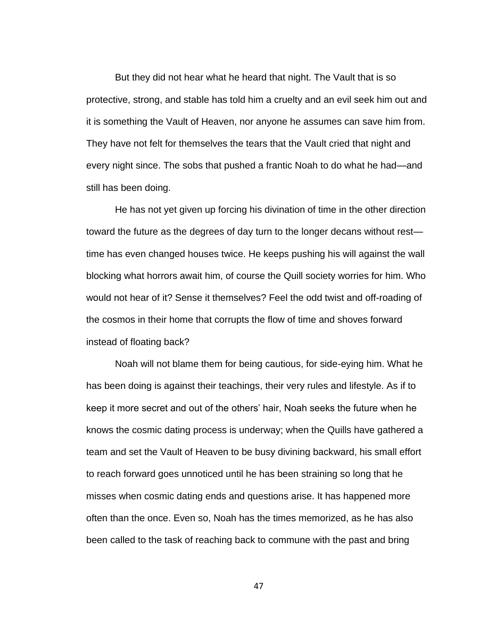But they did not hear what he heard that night. The Vault that is so protective, strong, and stable has told him a cruelty and an evil seek him out and it is something the Vault of Heaven, nor anyone he assumes can save him from. They have not felt for themselves the tears that the Vault cried that night and every night since. The sobs that pushed a frantic Noah to do what he had—and still has been doing.

He has not yet given up forcing his divination of time in the other direction toward the future as the degrees of day turn to the longer decans without rest time has even changed houses twice. He keeps pushing his will against the wall blocking what horrors await him, of course the Quill society worries for him. Who would not hear of it? Sense it themselves? Feel the odd twist and off-roading of the cosmos in their home that corrupts the flow of time and shoves forward instead of floating back?

Noah will not blame them for being cautious, for side-eying him. What he has been doing is against their teachings, their very rules and lifestyle. As if to keep it more secret and out of the others' hair, Noah seeks the future when he knows the cosmic dating process is underway; when the Quills have gathered a team and set the Vault of Heaven to be busy divining backward, his small effort to reach forward goes unnoticed until he has been straining so long that he misses when cosmic dating ends and questions arise. It has happened more often than the once. Even so, Noah has the times memorized, as he has also been called to the task of reaching back to commune with the past and bring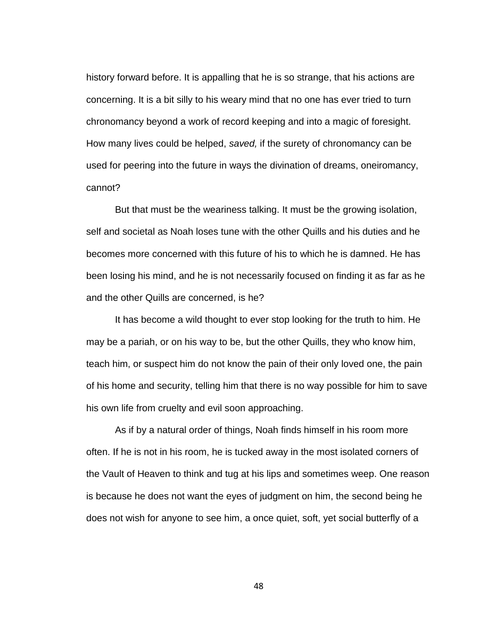history forward before. It is appalling that he is so strange, that his actions are concerning. It is a bit silly to his weary mind that no one has ever tried to turn chronomancy beyond a work of record keeping and into a magic of foresight. How many lives could be helped, *saved,* if the surety of chronomancy can be used for peering into the future in ways the divination of dreams, oneiromancy, cannot?

But that must be the weariness talking. It must be the growing isolation, self and societal as Noah loses tune with the other Quills and his duties and he becomes more concerned with this future of his to which he is damned. He has been losing his mind, and he is not necessarily focused on finding it as far as he and the other Quills are concerned, is he?

It has become a wild thought to ever stop looking for the truth to him. He may be a pariah, or on his way to be, but the other Quills, they who know him, teach him, or suspect him do not know the pain of their only loved one, the pain of his home and security, telling him that there is no way possible for him to save his own life from cruelty and evil soon approaching.

As if by a natural order of things, Noah finds himself in his room more often. If he is not in his room, he is tucked away in the most isolated corners of the Vault of Heaven to think and tug at his lips and sometimes weep. One reason is because he does not want the eyes of judgment on him, the second being he does not wish for anyone to see him, a once quiet, soft, yet social butterfly of a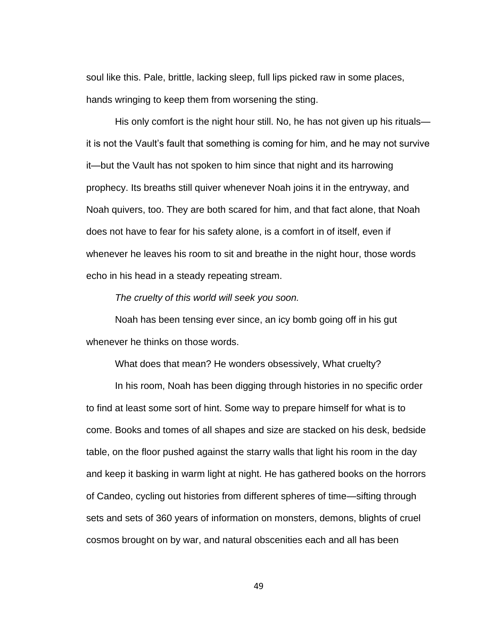soul like this. Pale, brittle, lacking sleep, full lips picked raw in some places, hands wringing to keep them from worsening the sting.

His only comfort is the night hour still. No, he has not given up his rituals it is not the Vault's fault that something is coming for him, and he may not survive it—but the Vault has not spoken to him since that night and its harrowing prophecy. Its breaths still quiver whenever Noah joins it in the entryway, and Noah quivers, too. They are both scared for him, and that fact alone, that Noah does not have to fear for his safety alone, is a comfort in of itself, even if whenever he leaves his room to sit and breathe in the night hour, those words echo in his head in a steady repeating stream.

*The cruelty of this world will seek you soon.*

Noah has been tensing ever since, an icy bomb going off in his gut whenever he thinks on those words.

What does that mean? He wonders obsessively, What cruelty?

In his room, Noah has been digging through histories in no specific order to find at least some sort of hint. Some way to prepare himself for what is to come. Books and tomes of all shapes and size are stacked on his desk, bedside table, on the floor pushed against the starry walls that light his room in the day and keep it basking in warm light at night. He has gathered books on the horrors of Candeo, cycling out histories from different spheres of time—sifting through sets and sets of 360 years of information on monsters, demons, blights of cruel cosmos brought on by war, and natural obscenities each and all has been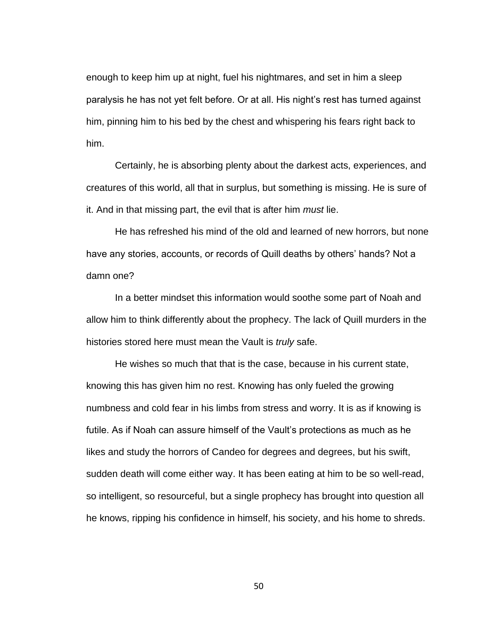enough to keep him up at night, fuel his nightmares, and set in him a sleep paralysis he has not yet felt before. Or at all. His night's rest has turned against him, pinning him to his bed by the chest and whispering his fears right back to him.

Certainly, he is absorbing plenty about the darkest acts, experiences, and creatures of this world, all that in surplus, but something is missing. He is sure of it. And in that missing part, the evil that is after him *must* lie.

He has refreshed his mind of the old and learned of new horrors, but none have any stories, accounts, or records of Quill deaths by others' hands? Not a damn one?

In a better mindset this information would soothe some part of Noah and allow him to think differently about the prophecy. The lack of Quill murders in the histories stored here must mean the Vault is *truly* safe.

He wishes so much that that is the case, because in his current state, knowing this has given him no rest. Knowing has only fueled the growing numbness and cold fear in his limbs from stress and worry. It is as if knowing is futile. As if Noah can assure himself of the Vault's protections as much as he likes and study the horrors of Candeo for degrees and degrees, but his swift, sudden death will come either way. It has been eating at him to be so well-read, so intelligent, so resourceful, but a single prophecy has brought into question all he knows, ripping his confidence in himself, his society, and his home to shreds.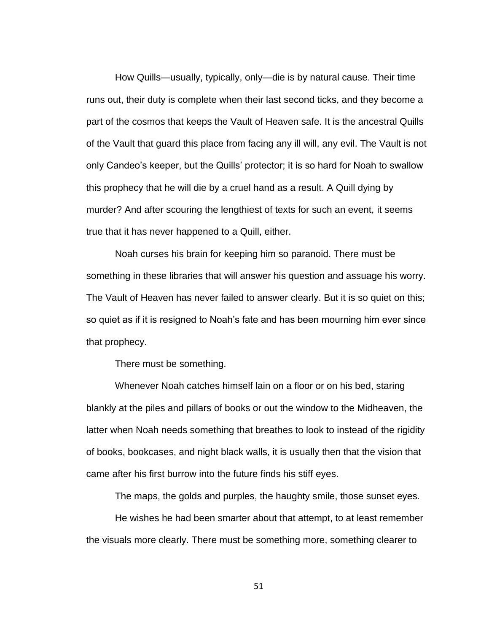How Quills—usually, typically, only—die is by natural cause. Their time runs out, their duty is complete when their last second ticks, and they become a part of the cosmos that keeps the Vault of Heaven safe. It is the ancestral Quills of the Vault that guard this place from facing any ill will, any evil. The Vault is not only Candeo's keeper, but the Quills' protector; it is so hard for Noah to swallow this prophecy that he will die by a cruel hand as a result. A Quill dying by murder? And after scouring the lengthiest of texts for such an event, it seems true that it has never happened to a Quill, either.

Noah curses his brain for keeping him so paranoid. There must be something in these libraries that will answer his question and assuage his worry. The Vault of Heaven has never failed to answer clearly. But it is so quiet on this; so quiet as if it is resigned to Noah's fate and has been mourning him ever since that prophecy.

There must be something.

Whenever Noah catches himself lain on a floor or on his bed, staring blankly at the piles and pillars of books or out the window to the Midheaven, the latter when Noah needs something that breathes to look to instead of the rigidity of books, bookcases, and night black walls, it is usually then that the vision that came after his first burrow into the future finds his stiff eyes.

The maps, the golds and purples, the haughty smile, those sunset eyes.

He wishes he had been smarter about that attempt, to at least remember the visuals more clearly. There must be something more, something clearer to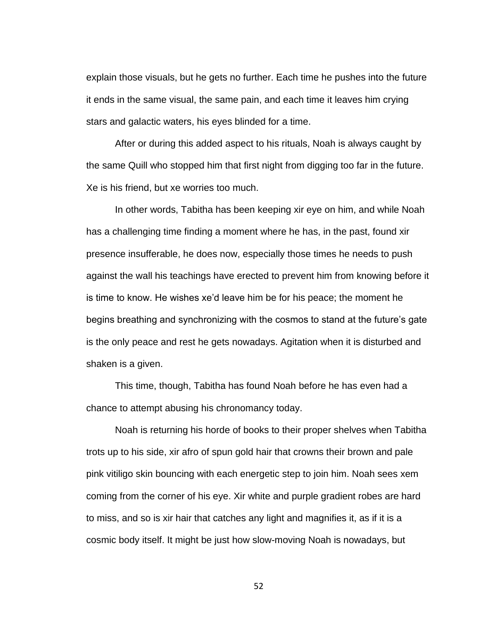explain those visuals, but he gets no further. Each time he pushes into the future it ends in the same visual, the same pain, and each time it leaves him crying stars and galactic waters, his eyes blinded for a time.

After or during this added aspect to his rituals, Noah is always caught by the same Quill who stopped him that first night from digging too far in the future. Xe is his friend, but xe worries too much.

In other words, Tabitha has been keeping xir eye on him, and while Noah has a challenging time finding a moment where he has, in the past, found xir presence insufferable, he does now, especially those times he needs to push against the wall his teachings have erected to prevent him from knowing before it is time to know. He wishes xe'd leave him be for his peace; the moment he begins breathing and synchronizing with the cosmos to stand at the future's gate is the only peace and rest he gets nowadays. Agitation when it is disturbed and shaken is a given.

This time, though, Tabitha has found Noah before he has even had a chance to attempt abusing his chronomancy today.

Noah is returning his horde of books to their proper shelves when Tabitha trots up to his side, xir afro of spun gold hair that crowns their brown and pale pink vitiligo skin bouncing with each energetic step to join him. Noah sees xem coming from the corner of his eye. Xir white and purple gradient robes are hard to miss, and so is xir hair that catches any light and magnifies it, as if it is a cosmic body itself. It might be just how slow-moving Noah is nowadays, but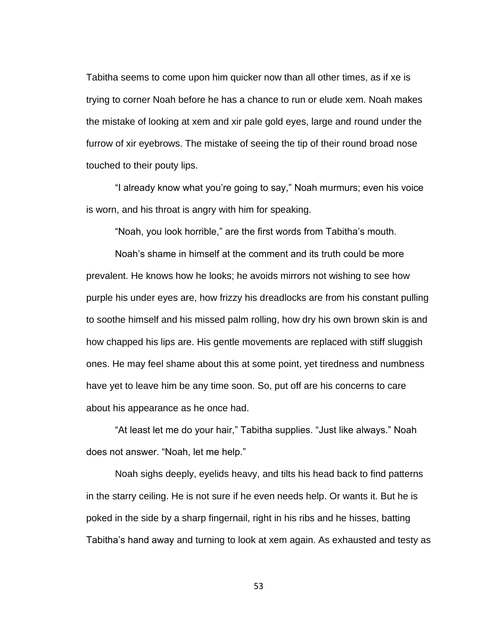Tabitha seems to come upon him quicker now than all other times, as if xe is trying to corner Noah before he has a chance to run or elude xem. Noah makes the mistake of looking at xem and xir pale gold eyes, large and round under the furrow of xir eyebrows. The mistake of seeing the tip of their round broad nose touched to their pouty lips.

"I already know what you're going to say," Noah murmurs; even his voice is worn, and his throat is angry with him for speaking.

"Noah, you look horrible," are the first words from Tabitha's mouth.

Noah's shame in himself at the comment and its truth could be more prevalent. He knows how he looks; he avoids mirrors not wishing to see how purple his under eyes are, how frizzy his dreadlocks are from his constant pulling to soothe himself and his missed palm rolling, how dry his own brown skin is and how chapped his lips are. His gentle movements are replaced with stiff sluggish ones. He may feel shame about this at some point, yet tiredness and numbness have yet to leave him be any time soon. So, put off are his concerns to care about his appearance as he once had.

"At least let me do your hair," Tabitha supplies. "Just like always." Noah does not answer. "Noah, let me help."

Noah sighs deeply, eyelids heavy, and tilts his head back to find patterns in the starry ceiling. He is not sure if he even needs help. Or wants it. But he is poked in the side by a sharp fingernail, right in his ribs and he hisses, batting Tabitha's hand away and turning to look at xem again. As exhausted and testy as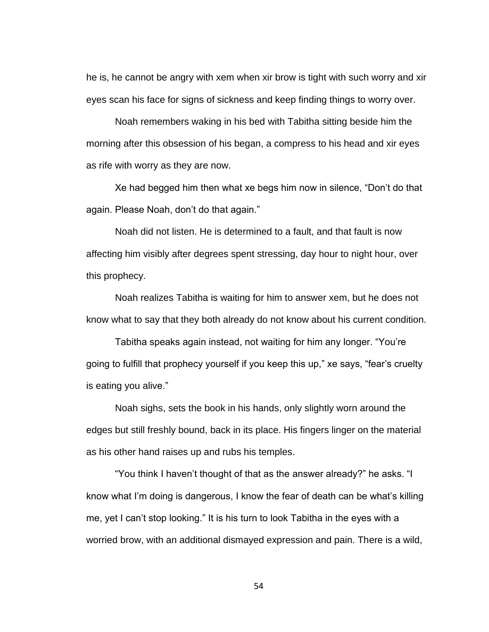he is, he cannot be angry with xem when xir brow is tight with such worry and xir eyes scan his face for signs of sickness and keep finding things to worry over.

Noah remembers waking in his bed with Tabitha sitting beside him the morning after this obsession of his began, a compress to his head and xir eyes as rife with worry as they are now.

Xe had begged him then what xe begs him now in silence, "Don't do that again. Please Noah, don't do that again."

Noah did not listen. He is determined to a fault, and that fault is now affecting him visibly after degrees spent stressing, day hour to night hour, over this prophecy.

Noah realizes Tabitha is waiting for him to answer xem, but he does not know what to say that they both already do not know about his current condition.

Tabitha speaks again instead, not waiting for him any longer. "You're going to fulfill that prophecy yourself if you keep this up," xe says, "fear's cruelty is eating you alive."

Noah sighs, sets the book in his hands, only slightly worn around the edges but still freshly bound, back in its place. His fingers linger on the material as his other hand raises up and rubs his temples.

"You think I haven't thought of that as the answer already?" he asks. "I know what I'm doing is dangerous, I know the fear of death can be what's killing me, yet I can't stop looking." It is his turn to look Tabitha in the eyes with a worried brow, with an additional dismayed expression and pain. There is a wild,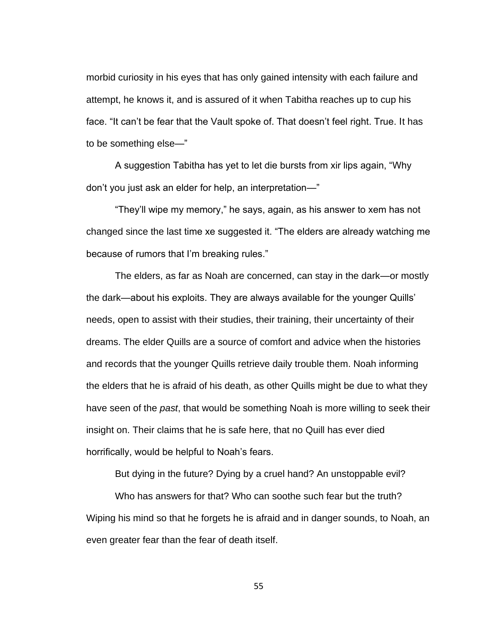morbid curiosity in his eyes that has only gained intensity with each failure and attempt, he knows it, and is assured of it when Tabitha reaches up to cup his face. "It can't be fear that the Vault spoke of. That doesn't feel right. True. It has to be something else—"

A suggestion Tabitha has yet to let die bursts from xir lips again, "Why don't you just ask an elder for help, an interpretation—"

"They'll wipe my memory," he says, again, as his answer to xem has not changed since the last time xe suggested it. "The elders are already watching me because of rumors that I'm breaking rules."

The elders, as far as Noah are concerned, can stay in the dark—or mostly the dark—about his exploits. They are always available for the younger Quills' needs, open to assist with their studies, their training, their uncertainty of their dreams. The elder Quills are a source of comfort and advice when the histories and records that the younger Quills retrieve daily trouble them. Noah informing the elders that he is afraid of his death, as other Quills might be due to what they have seen of the *past*, that would be something Noah is more willing to seek their insight on. Their claims that he is safe here, that no Quill has ever died horrifically, would be helpful to Noah's fears.

But dying in the future? Dying by a cruel hand? An unstoppable evil?

Who has answers for that? Who can soothe such fear but the truth? Wiping his mind so that he forgets he is afraid and in danger sounds, to Noah, an even greater fear than the fear of death itself.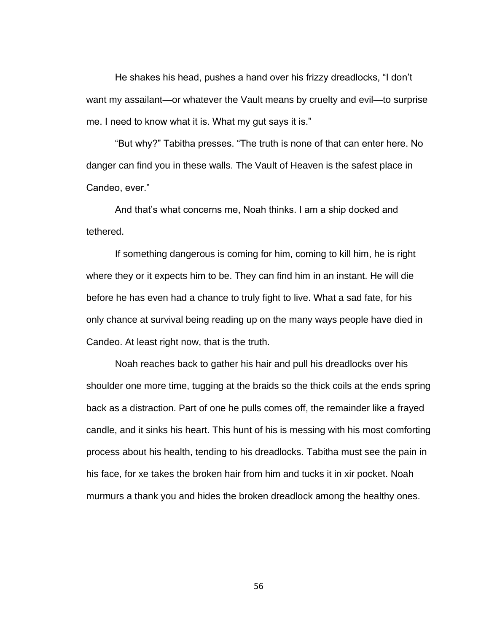He shakes his head, pushes a hand over his frizzy dreadlocks, "I don't want my assailant—or whatever the Vault means by cruelty and evil—to surprise me. I need to know what it is. What my gut says it is."

"But why?" Tabitha presses. "The truth is none of that can enter here. No danger can find you in these walls. The Vault of Heaven is the safest place in Candeo, ever."

And that's what concerns me, Noah thinks. I am a ship docked and tethered.

If something dangerous is coming for him, coming to kill him, he is right where they or it expects him to be. They can find him in an instant. He will die before he has even had a chance to truly fight to live. What a sad fate, for his only chance at survival being reading up on the many ways people have died in Candeo. At least right now, that is the truth.

Noah reaches back to gather his hair and pull his dreadlocks over his shoulder one more time, tugging at the braids so the thick coils at the ends spring back as a distraction. Part of one he pulls comes off, the remainder like a frayed candle, and it sinks his heart. This hunt of his is messing with his most comforting process about his health, tending to his dreadlocks. Tabitha must see the pain in his face, for xe takes the broken hair from him and tucks it in xir pocket. Noah murmurs a thank you and hides the broken dreadlock among the healthy ones.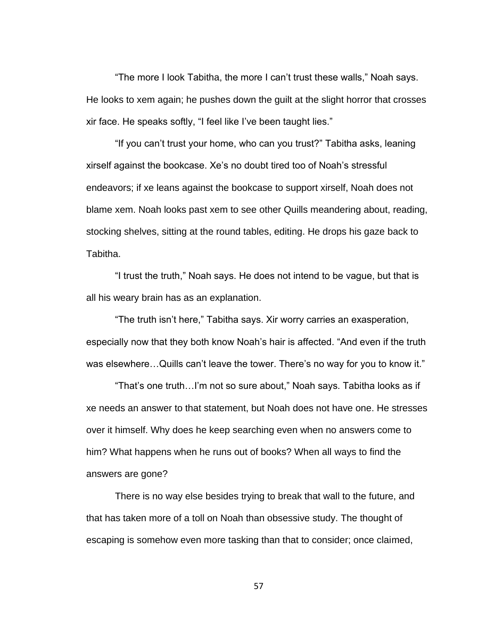"The more I look Tabitha, the more I can't trust these walls," Noah says. He looks to xem again; he pushes down the guilt at the slight horror that crosses xir face. He speaks softly, "I feel like I've been taught lies."

"If you can't trust your home, who can you trust?" Tabitha asks, leaning xirself against the bookcase. Xe's no doubt tired too of Noah's stressful endeavors; if xe leans against the bookcase to support xirself, Noah does not blame xem. Noah looks past xem to see other Quills meandering about, reading, stocking shelves, sitting at the round tables, editing. He drops his gaze back to Tabitha.

"I trust the truth," Noah says. He does not intend to be vague, but that is all his weary brain has as an explanation.

"The truth isn't here," Tabitha says. Xir worry carries an exasperation, especially now that they both know Noah's hair is affected. "And even if the truth was elsewhere…Quills can't leave the tower. There's no way for you to know it."

"That's one truth…I'm not so sure about," Noah says. Tabitha looks as if xe needs an answer to that statement, but Noah does not have one. He stresses over it himself. Why does he keep searching even when no answers come to him? What happens when he runs out of books? When all ways to find the answers are gone?

There is no way else besides trying to break that wall to the future, and that has taken more of a toll on Noah than obsessive study. The thought of escaping is somehow even more tasking than that to consider; once claimed,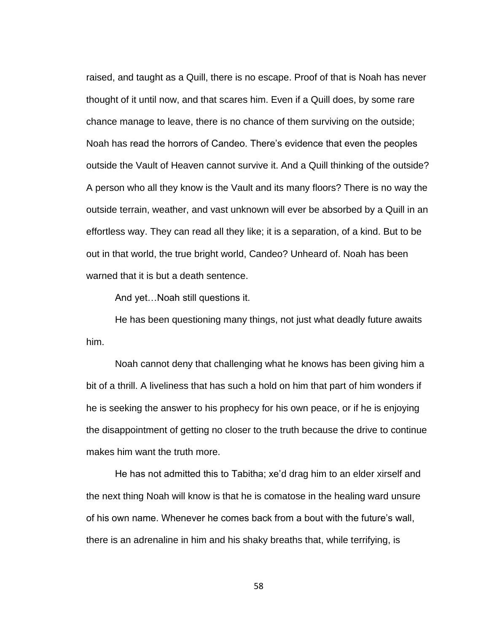raised, and taught as a Quill, there is no escape. Proof of that is Noah has never thought of it until now, and that scares him. Even if a Quill does, by some rare chance manage to leave, there is no chance of them surviving on the outside; Noah has read the horrors of Candeo. There's evidence that even the peoples outside the Vault of Heaven cannot survive it. And a Quill thinking of the outside? A person who all they know is the Vault and its many floors? There is no way the outside terrain, weather, and vast unknown will ever be absorbed by a Quill in an effortless way. They can read all they like; it is a separation, of a kind. But to be out in that world, the true bright world, Candeo? Unheard of. Noah has been warned that it is but a death sentence.

And yet…Noah still questions it.

He has been questioning many things, not just what deadly future awaits him.

Noah cannot deny that challenging what he knows has been giving him a bit of a thrill. A liveliness that has such a hold on him that part of him wonders if he is seeking the answer to his prophecy for his own peace, or if he is enjoying the disappointment of getting no closer to the truth because the drive to continue makes him want the truth more.

He has not admitted this to Tabitha; xe'd drag him to an elder xirself and the next thing Noah will know is that he is comatose in the healing ward unsure of his own name. Whenever he comes back from a bout with the future's wall, there is an adrenaline in him and his shaky breaths that, while terrifying, is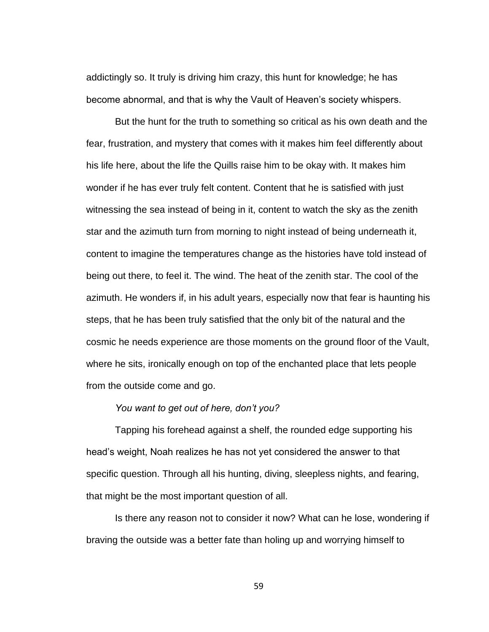addictingly so. It truly is driving him crazy, this hunt for knowledge; he has become abnormal, and that is why the Vault of Heaven's society whispers.

But the hunt for the truth to something so critical as his own death and the fear, frustration, and mystery that comes with it makes him feel differently about his life here, about the life the Quills raise him to be okay with. It makes him wonder if he has ever truly felt content. Content that he is satisfied with just witnessing the sea instead of being in it, content to watch the sky as the zenith star and the azimuth turn from morning to night instead of being underneath it, content to imagine the temperatures change as the histories have told instead of being out there, to feel it. The wind. The heat of the zenith star. The cool of the azimuth. He wonders if, in his adult years, especially now that fear is haunting his steps, that he has been truly satisfied that the only bit of the natural and the cosmic he needs experience are those moments on the ground floor of the Vault, where he sits, ironically enough on top of the enchanted place that lets people from the outside come and go.

# *You want to get out of here, don't you?*

Tapping his forehead against a shelf, the rounded edge supporting his head's weight, Noah realizes he has not yet considered the answer to that specific question. Through all his hunting, diving, sleepless nights, and fearing, that might be the most important question of all.

Is there any reason not to consider it now? What can he lose, wondering if braving the outside was a better fate than holing up and worrying himself to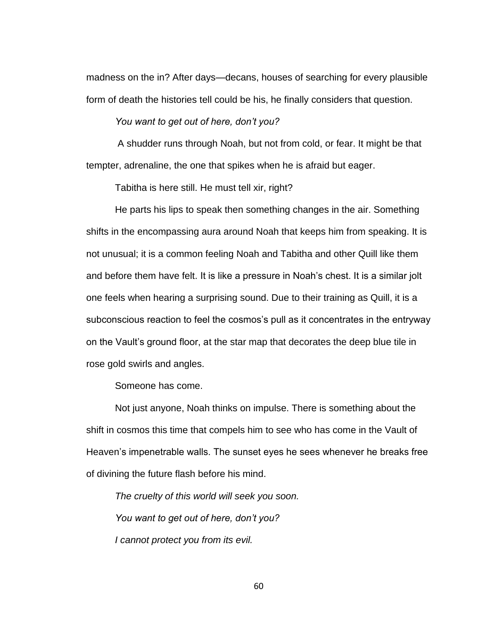madness on the in? After days—decans, houses of searching for every plausible form of death the histories tell could be his, he finally considers that question.

*You want to get out of here, don't you?*

A shudder runs through Noah, but not from cold, or fear. It might be that tempter, adrenaline, the one that spikes when he is afraid but eager.

Tabitha is here still. He must tell xir, right?

He parts his lips to speak then something changes in the air. Something shifts in the encompassing aura around Noah that keeps him from speaking. It is not unusual; it is a common feeling Noah and Tabitha and other Quill like them and before them have felt. It is like a pressure in Noah's chest. It is a similar jolt one feels when hearing a surprising sound. Due to their training as Quill, it is a subconscious reaction to feel the cosmos's pull as it concentrates in the entryway on the Vault's ground floor, at the star map that decorates the deep blue tile in rose gold swirls and angles.

Someone has come.

Not just anyone, Noah thinks on impulse. There is something about the shift in cosmos this time that compels him to see who has come in the Vault of Heaven's impenetrable walls. The sunset eyes he sees whenever he breaks free of divining the future flash before his mind.

*The cruelty of this world will seek you soon. You want to get out of here, don't you? I cannot protect you from its evil.*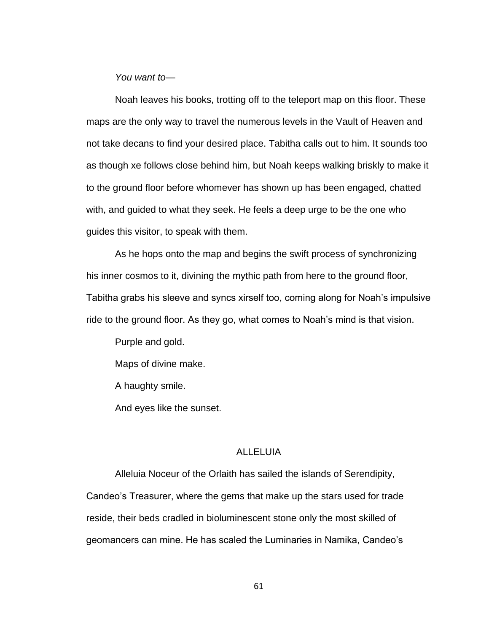*You want to—*

Noah leaves his books, trotting off to the teleport map on this floor. These maps are the only way to travel the numerous levels in the Vault of Heaven and not take decans to find your desired place. Tabitha calls out to him. It sounds too as though xe follows close behind him, but Noah keeps walking briskly to make it to the ground floor before whomever has shown up has been engaged, chatted with, and guided to what they seek. He feels a deep urge to be the one who guides this visitor, to speak with them.

As he hops onto the map and begins the swift process of synchronizing his inner cosmos to it, divining the mythic path from here to the ground floor, Tabitha grabs his sleeve and syncs xirself too, coming along for Noah's impulsive ride to the ground floor. As they go, what comes to Noah's mind is that vision.

Purple and gold.

Maps of divine make.

A haughty smile.

And eyes like the sunset.

## ALLELUIA

Alleluia Noceur of the Orlaith has sailed the islands of Serendipity, Candeo's Treasurer, where the gems that make up the stars used for trade reside, their beds cradled in bioluminescent stone only the most skilled of geomancers can mine. He has scaled the Luminaries in Namika, Candeo's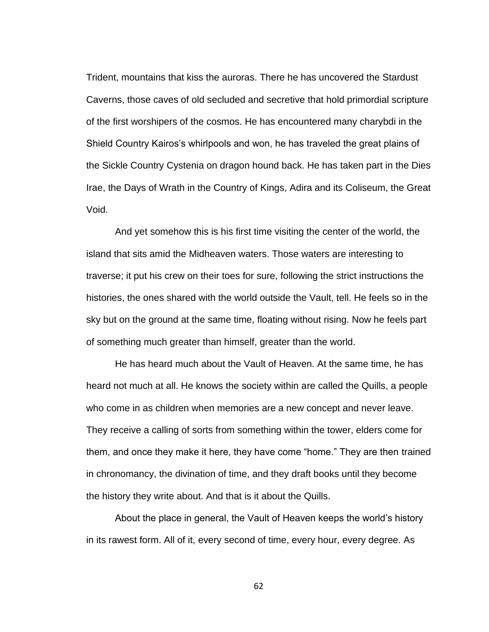Trident, mountains that kiss the auroras. There he has uncovered the Stardust Caverns, those caves of old secluded and secretive that hold primordial scripture of the first worshipers of the cosmos. He has encountered many charybdi in the Shield Country Kairos's whirlpools and won, he has traveled the great plains of the Sickle Country Cystenia on dragon hound back. He has taken part in the Dies Irae, the Days of Wrath in the Country of Kings, Adira and its Coliseum, the Great Void.

And yet somehow this is his first time visiting the center of the world, the island that sits amid the Midheaven waters. Those waters are interesting to traverse; it put his crew on their toes for sure, following the strict instructions the histories, the ones shared with the world outside the Vault, tell. He feels so in the sky but on the ground at the same time, floating without rising. Now he feels part of something much greater than himself, greater than the world.

He has heard much about the Vault of Heaven. At the same time, he has heard not much at all. He knows the society within are called the Quills, a people who come in as children when memories are a new concept and never leave. They receive a calling of sorts from something within the tower, elders come for them, and once they make it here, they have come "home." They are then trained in chronomancy, the divination of time, and they draft books until they become the history they write about. And that is it about the Quills.

About the place in general, the Vault of Heaven keeps the world's history in its rawest form. All of it, every second of time, every hour, every degree. As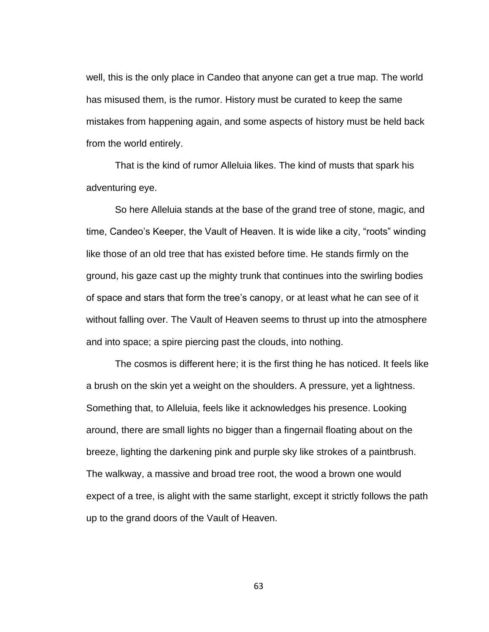well, this is the only place in Candeo that anyone can get a true map. The world has misused them, is the rumor. History must be curated to keep the same mistakes from happening again, and some aspects of history must be held back from the world entirely.

That is the kind of rumor Alleluia likes. The kind of musts that spark his adventuring eye.

So here Alleluia stands at the base of the grand tree of stone, magic, and time, Candeo's Keeper, the Vault of Heaven. It is wide like a city, "roots" winding like those of an old tree that has existed before time. He stands firmly on the ground, his gaze cast up the mighty trunk that continues into the swirling bodies of space and stars that form the tree's canopy, or at least what he can see of it without falling over. The Vault of Heaven seems to thrust up into the atmosphere and into space; a spire piercing past the clouds, into nothing.

The cosmos is different here; it is the first thing he has noticed. It feels like a brush on the skin yet a weight on the shoulders. A pressure, yet a lightness. Something that, to Alleluia, feels like it acknowledges his presence. Looking around, there are small lights no bigger than a fingernail floating about on the breeze, lighting the darkening pink and purple sky like strokes of a paintbrush. The walkway, a massive and broad tree root, the wood a brown one would expect of a tree, is alight with the same starlight, except it strictly follows the path up to the grand doors of the Vault of Heaven.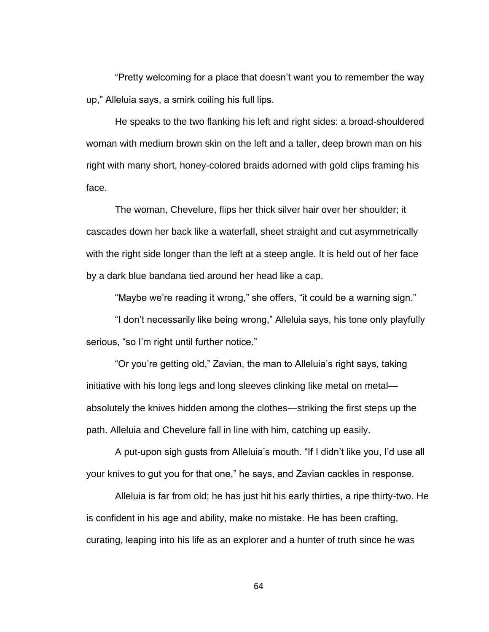"Pretty welcoming for a place that doesn't want you to remember the way up," Alleluia says, a smirk coiling his full lips.

He speaks to the two flanking his left and right sides: a broad-shouldered woman with medium brown skin on the left and a taller, deep brown man on his right with many short, honey-colored braids adorned with gold clips framing his face.

The woman, Chevelure, flips her thick silver hair over her shoulder; it cascades down her back like a waterfall, sheet straight and cut asymmetrically with the right side longer than the left at a steep angle. It is held out of her face by a dark blue bandana tied around her head like a cap.

"Maybe we're reading it wrong," she offers, "it could be a warning sign."

"I don't necessarily like being wrong," Alleluia says, his tone only playfully serious, "so I'm right until further notice."

"Or you're getting old," Zavian, the man to Alleluia's right says, taking initiative with his long legs and long sleeves clinking like metal on metal absolutely the knives hidden among the clothes—striking the first steps up the path. Alleluia and Chevelure fall in line with him, catching up easily.

A put-upon sigh gusts from Alleluia's mouth. "If I didn't like you, I'd use all your knives to gut you for that one," he says, and Zavian cackles in response.

Alleluia is far from old; he has just hit his early thirties, a ripe thirty-two. He is confident in his age and ability, make no mistake. He has been crafting, curating, leaping into his life as an explorer and a hunter of truth since he was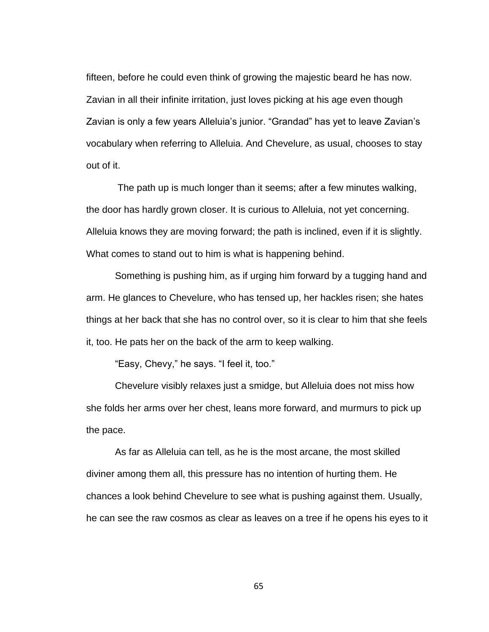fifteen, before he could even think of growing the majestic beard he has now. Zavian in all their infinite irritation, just loves picking at his age even though Zavian is only a few years Alleluia's junior. "Grandad" has yet to leave Zavian's vocabulary when referring to Alleluia. And Chevelure, as usual, chooses to stay out of it.

The path up is much longer than it seems; after a few minutes walking, the door has hardly grown closer. It is curious to Alleluia, not yet concerning. Alleluia knows they are moving forward; the path is inclined, even if it is slightly. What comes to stand out to him is what is happening behind.

Something is pushing him, as if urging him forward by a tugging hand and arm. He glances to Chevelure, who has tensed up, her hackles risen; she hates things at her back that she has no control over, so it is clear to him that she feels it, too. He pats her on the back of the arm to keep walking.

"Easy, Chevy," he says. "I feel it, too."

Chevelure visibly relaxes just a smidge, but Alleluia does not miss how she folds her arms over her chest, leans more forward, and murmurs to pick up the pace.

As far as Alleluia can tell, as he is the most arcane, the most skilled diviner among them all, this pressure has no intention of hurting them. He chances a look behind Chevelure to see what is pushing against them. Usually, he can see the raw cosmos as clear as leaves on a tree if he opens his eyes to it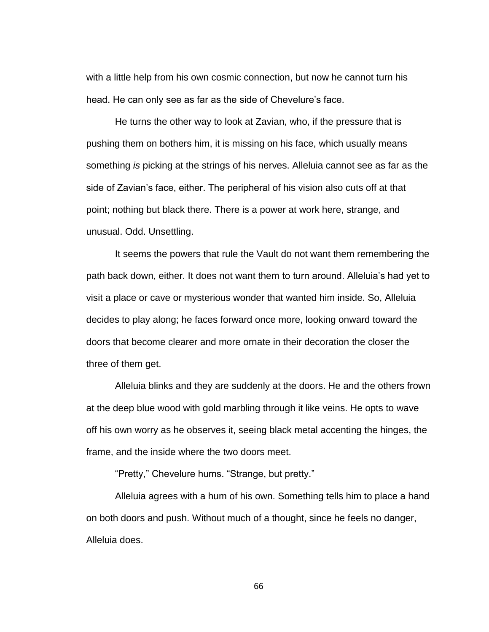with a little help from his own cosmic connection, but now he cannot turn his head. He can only see as far as the side of Chevelure's face.

He turns the other way to look at Zavian, who, if the pressure that is pushing them on bothers him, it is missing on his face, which usually means something *is* picking at the strings of his nerves. Alleluia cannot see as far as the side of Zavian's face, either. The peripheral of his vision also cuts off at that point; nothing but black there. There is a power at work here, strange, and unusual. Odd. Unsettling.

It seems the powers that rule the Vault do not want them remembering the path back down, either. It does not want them to turn around. Alleluia's had yet to visit a place or cave or mysterious wonder that wanted him inside. So, Alleluia decides to play along; he faces forward once more, looking onward toward the doors that become clearer and more ornate in their decoration the closer the three of them get.

Alleluia blinks and they are suddenly at the doors. He and the others frown at the deep blue wood with gold marbling through it like veins. He opts to wave off his own worry as he observes it, seeing black metal accenting the hinges, the frame, and the inside where the two doors meet.

"Pretty," Chevelure hums. "Strange, but pretty."

Alleluia agrees with a hum of his own. Something tells him to place a hand on both doors and push. Without much of a thought, since he feels no danger, Alleluia does.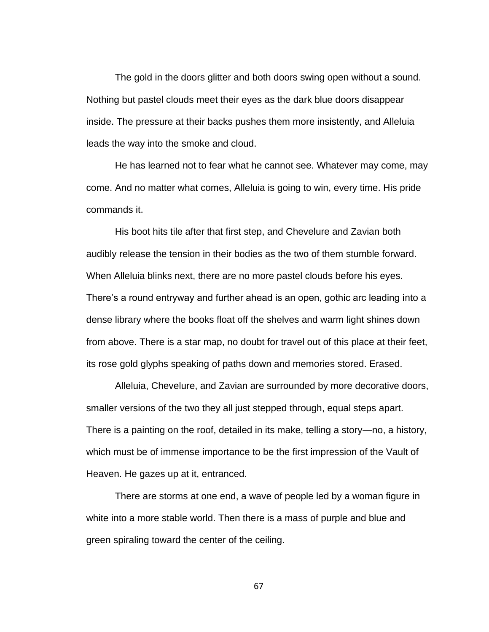The gold in the doors glitter and both doors swing open without a sound. Nothing but pastel clouds meet their eyes as the dark blue doors disappear inside. The pressure at their backs pushes them more insistently, and Alleluia leads the way into the smoke and cloud.

He has learned not to fear what he cannot see. Whatever may come, may come. And no matter what comes, Alleluia is going to win, every time. His pride commands it.

His boot hits tile after that first step, and Chevelure and Zavian both audibly release the tension in their bodies as the two of them stumble forward. When Alleluia blinks next, there are no more pastel clouds before his eyes. There's a round entryway and further ahead is an open, gothic arc leading into a dense library where the books float off the shelves and warm light shines down from above. There is a star map, no doubt for travel out of this place at their feet, its rose gold glyphs speaking of paths down and memories stored. Erased.

Alleluia, Chevelure, and Zavian are surrounded by more decorative doors, smaller versions of the two they all just stepped through, equal steps apart. There is a painting on the roof, detailed in its make, telling a story—no, a history, which must be of immense importance to be the first impression of the Vault of Heaven. He gazes up at it, entranced.

There are storms at one end, a wave of people led by a woman figure in white into a more stable world. Then there is a mass of purple and blue and green spiraling toward the center of the ceiling.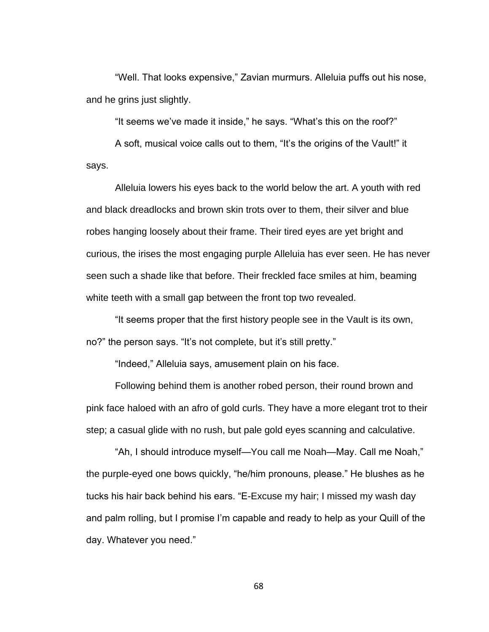"Well. That looks expensive," Zavian murmurs. Alleluia puffs out his nose, and he grins just slightly.

"It seems we've made it inside," he says. "What's this on the roof?"

A soft, musical voice calls out to them, "It's the origins of the Vault!" it says.

Alleluia lowers his eyes back to the world below the art. A youth with red and black dreadlocks and brown skin trots over to them, their silver and blue robes hanging loosely about their frame. Their tired eyes are yet bright and curious, the irises the most engaging purple Alleluia has ever seen. He has never seen such a shade like that before. Their freckled face smiles at him, beaming white teeth with a small gap between the front top two revealed.

"It seems proper that the first history people see in the Vault is its own, no?" the person says. "It's not complete, but it's still pretty."

"Indeed," Alleluia says, amusement plain on his face.

Following behind them is another robed person, their round brown and pink face haloed with an afro of gold curls. They have a more elegant trot to their step; a casual glide with no rush, but pale gold eyes scanning and calculative.

"Ah, I should introduce myself—You call me Noah—May. Call me Noah," the purple-eyed one bows quickly, "he/him pronouns, please." He blushes as he tucks his hair back behind his ears. "E-Excuse my hair; I missed my wash day and palm rolling, but I promise I'm capable and ready to help as your Quill of the day. Whatever you need."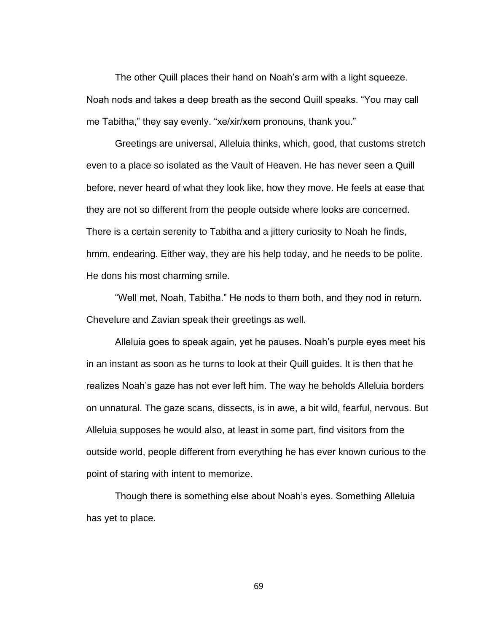The other Quill places their hand on Noah's arm with a light squeeze. Noah nods and takes a deep breath as the second Quill speaks. "You may call me Tabitha," they say evenly. "xe/xir/xem pronouns, thank you."

Greetings are universal, Alleluia thinks, which, good, that customs stretch even to a place so isolated as the Vault of Heaven. He has never seen a Quill before, never heard of what they look like, how they move. He feels at ease that they are not so different from the people outside where looks are concerned. There is a certain serenity to Tabitha and a jittery curiosity to Noah he finds, hmm, endearing. Either way, they are his help today, and he needs to be polite. He dons his most charming smile.

"Well met, Noah, Tabitha." He nods to them both, and they nod in return. Chevelure and Zavian speak their greetings as well.

Alleluia goes to speak again, yet he pauses. Noah's purple eyes meet his in an instant as soon as he turns to look at their Quill guides. It is then that he realizes Noah's gaze has not ever left him. The way he beholds Alleluia borders on unnatural. The gaze scans, dissects, is in awe, a bit wild, fearful, nervous. But Alleluia supposes he would also, at least in some part, find visitors from the outside world, people different from everything he has ever known curious to the point of staring with intent to memorize.

Though there is something else about Noah's eyes. Something Alleluia has yet to place.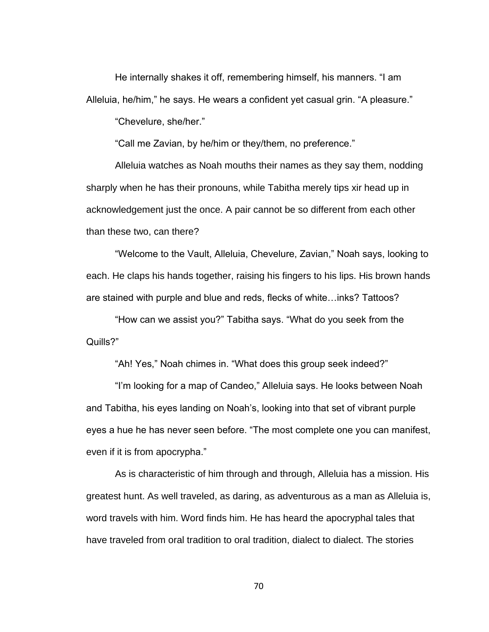He internally shakes it off, remembering himself, his manners. "I am Alleluia, he/him," he says. He wears a confident yet casual grin. "A pleasure."

"Chevelure, she/her."

"Call me Zavian, by he/him or they/them, no preference."

Alleluia watches as Noah mouths their names as they say them, nodding sharply when he has their pronouns, while Tabitha merely tips xir head up in acknowledgement just the once. A pair cannot be so different from each other than these two, can there?

"Welcome to the Vault, Alleluia, Chevelure, Zavian," Noah says, looking to each. He claps his hands together, raising his fingers to his lips. His brown hands are stained with purple and blue and reds, flecks of white…inks? Tattoos?

"How can we assist you?" Tabitha says. "What do you seek from the Quills?"

"Ah! Yes," Noah chimes in. "What does this group seek indeed?"

"I'm looking for a map of Candeo," Alleluia says. He looks between Noah and Tabitha, his eyes landing on Noah's, looking into that set of vibrant purple eyes a hue he has never seen before. "The most complete one you can manifest, even if it is from apocrypha."

As is characteristic of him through and through, Alleluia has a mission. His greatest hunt. As well traveled, as daring, as adventurous as a man as Alleluia is, word travels with him. Word finds him. He has heard the apocryphal tales that have traveled from oral tradition to oral tradition, dialect to dialect. The stories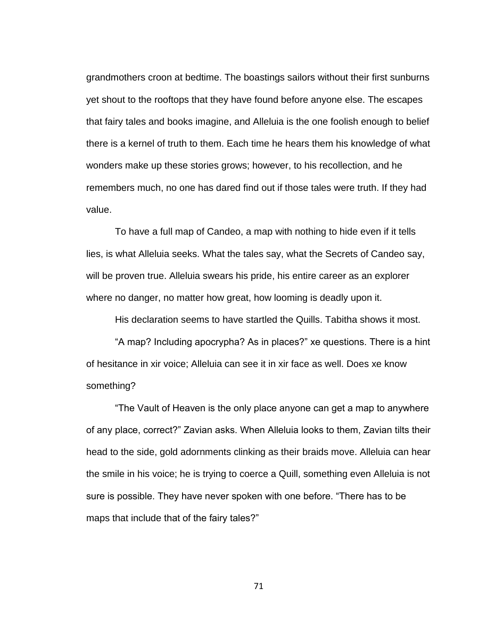grandmothers croon at bedtime. The boastings sailors without their first sunburns yet shout to the rooftops that they have found before anyone else. The escapes that fairy tales and books imagine, and Alleluia is the one foolish enough to belief there is a kernel of truth to them. Each time he hears them his knowledge of what wonders make up these stories grows; however, to his recollection, and he remembers much, no one has dared find out if those tales were truth. If they had value.

To have a full map of Candeo, a map with nothing to hide even if it tells lies, is what Alleluia seeks. What the tales say, what the Secrets of Candeo say, will be proven true. Alleluia swears his pride, his entire career as an explorer where no danger, no matter how great, how looming is deadly upon it.

His declaration seems to have startled the Quills. Tabitha shows it most.

"A map? Including apocrypha? As in places?" xe questions. There is a hint of hesitance in xir voice; Alleluia can see it in xir face as well. Does xe know something?

"The Vault of Heaven is the only place anyone can get a map to anywhere of any place, correct?" Zavian asks. When Alleluia looks to them, Zavian tilts their head to the side, gold adornments clinking as their braids move. Alleluia can hear the smile in his voice; he is trying to coerce a Quill, something even Alleluia is not sure is possible. They have never spoken with one before. "There has to be maps that include that of the fairy tales?"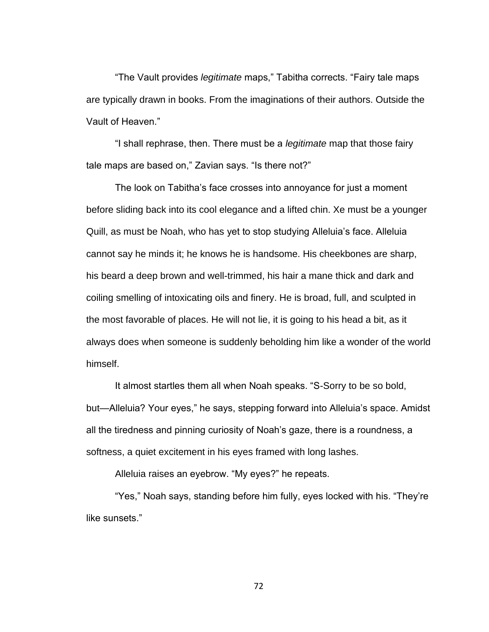"The Vault provides *legitimate* maps," Tabitha corrects. "Fairy tale maps are typically drawn in books. From the imaginations of their authors. Outside the Vault of Heaven."

"I shall rephrase, then. There must be a *legitimate* map that those fairy tale maps are based on," Zavian says. "Is there not?"

The look on Tabitha's face crosses into annoyance for just a moment before sliding back into its cool elegance and a lifted chin. Xe must be a younger Quill, as must be Noah, who has yet to stop studying Alleluia's face. Alleluia cannot say he minds it; he knows he is handsome. His cheekbones are sharp, his beard a deep brown and well-trimmed, his hair a mane thick and dark and coiling smelling of intoxicating oils and finery. He is broad, full, and sculpted in the most favorable of places. He will not lie, it is going to his head a bit, as it always does when someone is suddenly beholding him like a wonder of the world himself.

It almost startles them all when Noah speaks. "S-Sorry to be so bold, but—Alleluia? Your eyes," he says, stepping forward into Alleluia's space. Amidst all the tiredness and pinning curiosity of Noah's gaze, there is a roundness, a softness, a quiet excitement in his eyes framed with long lashes.

Alleluia raises an eyebrow. "My eyes?" he repeats.

"Yes," Noah says, standing before him fully, eyes locked with his. "They're like sunsets."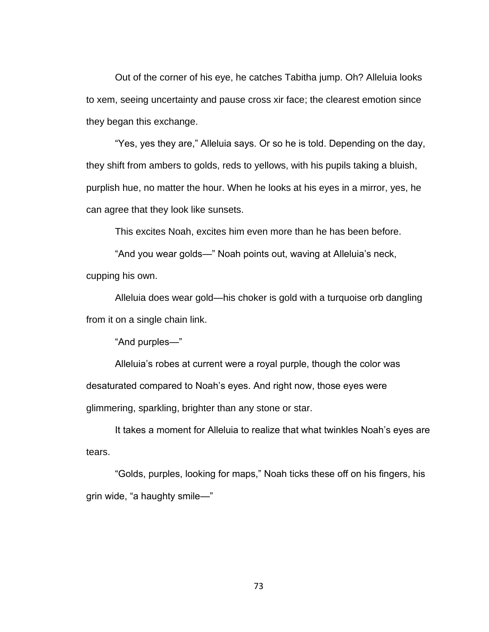Out of the corner of his eye, he catches Tabitha jump. Oh? Alleluia looks to xem, seeing uncertainty and pause cross xir face; the clearest emotion since they began this exchange.

"Yes, yes they are," Alleluia says. Or so he is told. Depending on the day, they shift from ambers to golds, reds to yellows, with his pupils taking a bluish, purplish hue, no matter the hour. When he looks at his eyes in a mirror, yes, he can agree that they look like sunsets.

This excites Noah, excites him even more than he has been before.

"And you wear golds—" Noah points out, waving at Alleluia's neck, cupping his own.

Alleluia does wear gold—his choker is gold with a turquoise orb dangling from it on a single chain link.

"And purples—"

Alleluia's robes at current were a royal purple, though the color was desaturated compared to Noah's eyes. And right now, those eyes were glimmering, sparkling, brighter than any stone or star.

It takes a moment for Alleluia to realize that what twinkles Noah's eyes are tears.

"Golds, purples, looking for maps," Noah ticks these off on his fingers, his grin wide, "a haughty smile—"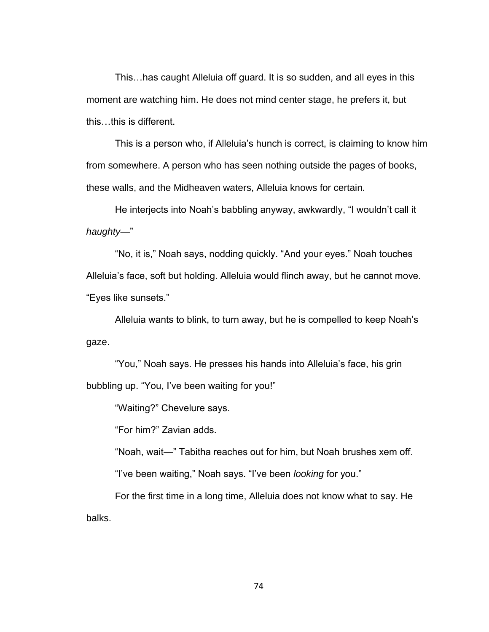This…has caught Alleluia off guard. It is so sudden, and all eyes in this moment are watching him. He does not mind center stage, he prefers it, but this…this is different.

This is a person who, if Alleluia's hunch is correct, is claiming to know him from somewhere. A person who has seen nothing outside the pages of books, these walls, and the Midheaven waters, Alleluia knows for certain.

He interjects into Noah's babbling anyway, awkwardly, "I wouldn't call it *haughty—*"

"No, it is," Noah says, nodding quickly. "And your eyes." Noah touches Alleluia's face, soft but holding. Alleluia would flinch away, but he cannot move. "Eyes like sunsets."

Alleluia wants to blink, to turn away, but he is compelled to keep Noah's gaze.

"You," Noah says. He presses his hands into Alleluia's face, his grin bubbling up. "You, I've been waiting for you!"

"Waiting?" Chevelure says.

"For him?" Zavian adds.

"Noah, wait—" Tabitha reaches out for him, but Noah brushes xem off. "I've been waiting," Noah says. "I've been *looking* for you."

For the first time in a long time, Alleluia does not know what to say. He balks.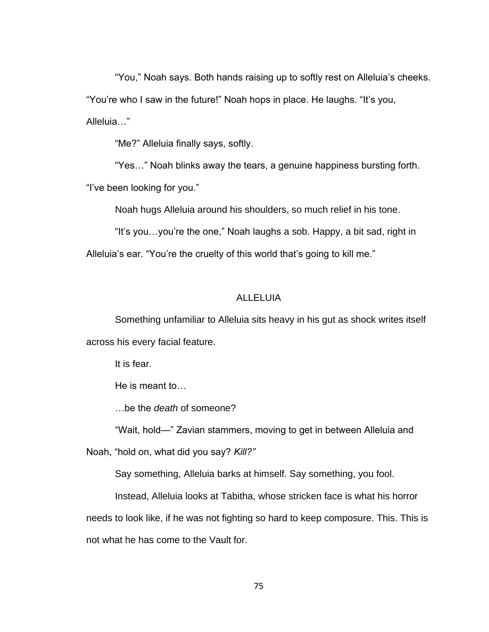"You," Noah says. Both hands raising up to softly rest on Alleluia's cheeks. "You're who I saw in the future!" Noah hops in place. He laughs. "It's you, Alleluia…"

"Me?" Alleluia finally says, softly.

"Yes…" Noah blinks away the tears, a genuine happiness bursting forth.

"I've been looking for you."

Noah hugs Alleluia around his shoulders, so much relief in his tone.

"It's you…you're the one," Noah laughs a sob. Happy, a bit sad, right in

Alleluia's ear. "You're the cruelty of this world that's going to kill me."

#### ALLELUIA

Something unfamiliar to Alleluia sits heavy in his gut as shock writes itself across his every facial feature.

It is fear.

He is meant to…

…be the *death* of someone?

"Wait, hold—" Zavian stammers, moving to get in between Alleluia and Noah, "hold on, what did you say? *Kill?"*

Say something, Alleluia barks at himself. Say something, you fool.

Instead, Alleluia looks at Tabitha, whose stricken face is what his horror needs to look like, if he was not fighting so hard to keep composure. This. This is not what he has come to the Vault for.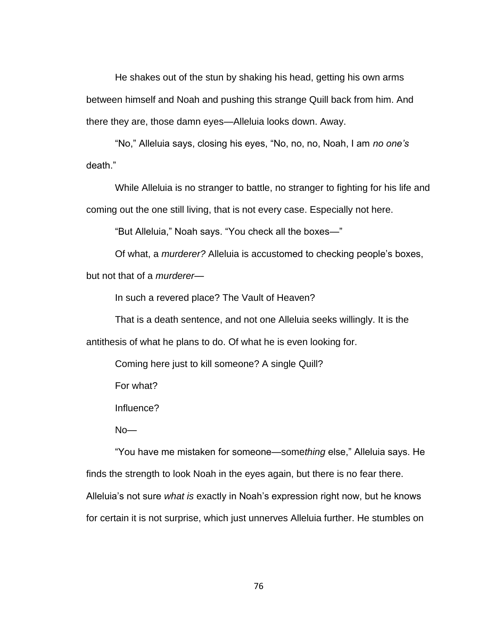He shakes out of the stun by shaking his head, getting his own arms between himself and Noah and pushing this strange Quill back from him. And there they are, those damn eyes—Alleluia looks down. Away.

"No," Alleluia says, closing his eyes, "No, no, no, Noah, I am *no one's* death."

While Alleluia is no stranger to battle, no stranger to fighting for his life and coming out the one still living, that is not every case. Especially not here.

"But Alleluia," Noah says. "You check all the boxes—"

Of what, a *murderer?* Alleluia is accustomed to checking people's boxes,

but not that of a *murderer—*

In such a revered place? The Vault of Heaven?

That is a death sentence, and not one Alleluia seeks willingly. It is the antithesis of what he plans to do. Of what he is even looking for.

Coming here just to kill someone? A single Quill?

For what?

Influence?

No—

"You have me mistaken for someone—some*thing* else," Alleluia says. He finds the strength to look Noah in the eyes again, but there is no fear there. Alleluia's not sure *what is* exactly in Noah's expression right now, but he knows for certain it is not surprise, which just unnerves Alleluia further. He stumbles on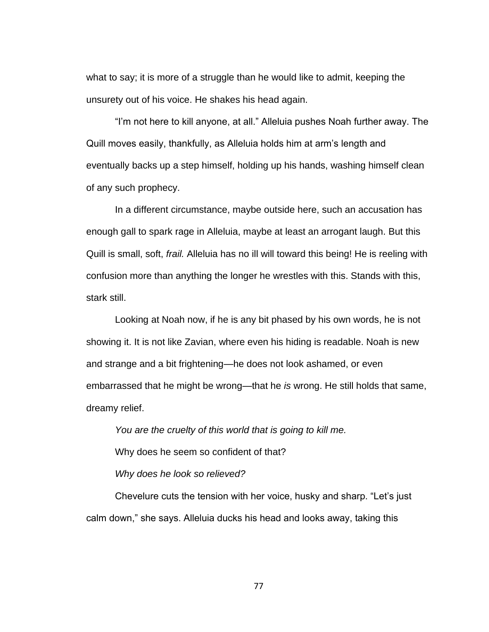what to say; it is more of a struggle than he would like to admit, keeping the unsurety out of his voice. He shakes his head again.

"I'm not here to kill anyone, at all." Alleluia pushes Noah further away. The Quill moves easily, thankfully, as Alleluia holds him at arm's length and eventually backs up a step himself, holding up his hands, washing himself clean of any such prophecy.

In a different circumstance, maybe outside here, such an accusation has enough gall to spark rage in Alleluia, maybe at least an arrogant laugh. But this Quill is small, soft, *frail.* Alleluia has no ill will toward this being! He is reeling with confusion more than anything the longer he wrestles with this. Stands with this, stark still.

Looking at Noah now, if he is any bit phased by his own words, he is not showing it. It is not like Zavian, where even his hiding is readable. Noah is new and strange and a bit frightening—he does not look ashamed, or even embarrassed that he might be wrong—that he *is* wrong. He still holds that same, dreamy relief.

*You are the cruelty of this world that is going to kill me.* Why does he seem so confident of that? *Why does he look so relieved?* 

Chevelure cuts the tension with her voice, husky and sharp. "Let's just calm down," she says. Alleluia ducks his head and looks away, taking this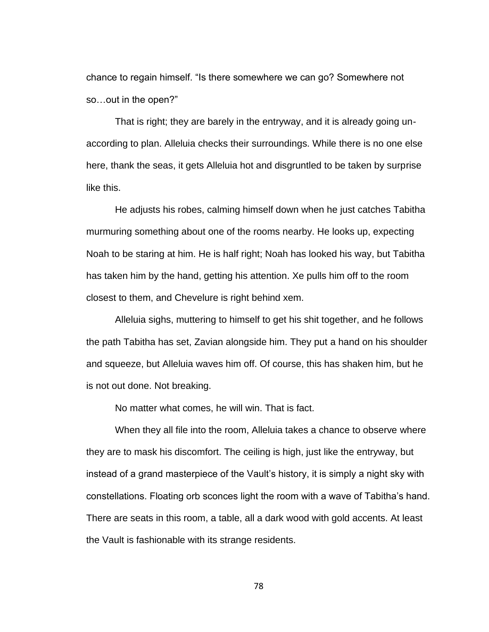chance to regain himself. "Is there somewhere we can go? Somewhere not so…out in the open?"

That is right; they are barely in the entryway, and it is already going unaccording to plan. Alleluia checks their surroundings. While there is no one else here, thank the seas, it gets Alleluia hot and disgruntled to be taken by surprise like this.

He adjusts his robes, calming himself down when he just catches Tabitha murmuring something about one of the rooms nearby. He looks up, expecting Noah to be staring at him. He is half right; Noah has looked his way, but Tabitha has taken him by the hand, getting his attention. Xe pulls him off to the room closest to them, and Chevelure is right behind xem.

Alleluia sighs, muttering to himself to get his shit together, and he follows the path Tabitha has set, Zavian alongside him. They put a hand on his shoulder and squeeze, but Alleluia waves him off. Of course, this has shaken him, but he is not out done. Not breaking.

No matter what comes, he will win. That is fact.

When they all file into the room, Alleluia takes a chance to observe where they are to mask his discomfort. The ceiling is high, just like the entryway, but instead of a grand masterpiece of the Vault's history, it is simply a night sky with constellations. Floating orb sconces light the room with a wave of Tabitha's hand. There are seats in this room, a table, all a dark wood with gold accents. At least the Vault is fashionable with its strange residents.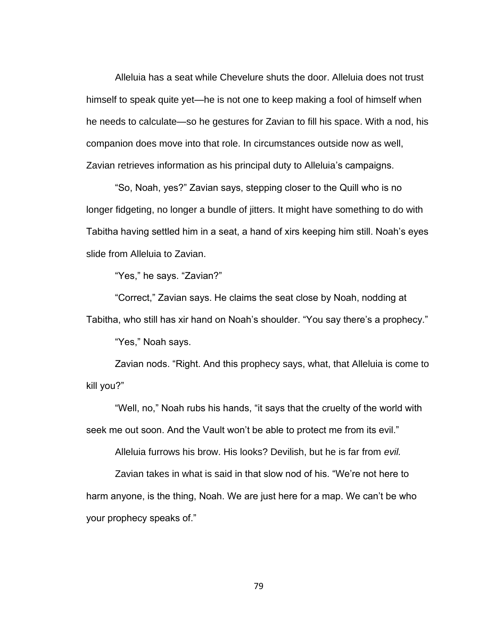Alleluia has a seat while Chevelure shuts the door. Alleluia does not trust himself to speak quite yet—he is not one to keep making a fool of himself when he needs to calculate—so he gestures for Zavian to fill his space. With a nod, his companion does move into that role. In circumstances outside now as well, Zavian retrieves information as his principal duty to Alleluia's campaigns.

"So, Noah, yes?" Zavian says, stepping closer to the Quill who is no longer fidgeting, no longer a bundle of jitters. It might have something to do with Tabitha having settled him in a seat, a hand of xirs keeping him still. Noah's eyes slide from Alleluia to Zavian.

"Yes," he says. "Zavian?"

"Correct," Zavian says. He claims the seat close by Noah, nodding at Tabitha, who still has xir hand on Noah's shoulder. "You say there's a prophecy."

"Yes," Noah says.

Zavian nods. "Right. And this prophecy says, what, that Alleluia is come to kill you?"

"Well, no," Noah rubs his hands, "it says that the cruelty of the world with seek me out soon. And the Vault won't be able to protect me from its evil."

Alleluia furrows his brow. His looks? Devilish, but he is far from *evil.*

Zavian takes in what is said in that slow nod of his. "We're not here to harm anyone, is the thing, Noah. We are just here for a map. We can't be who your prophecy speaks of."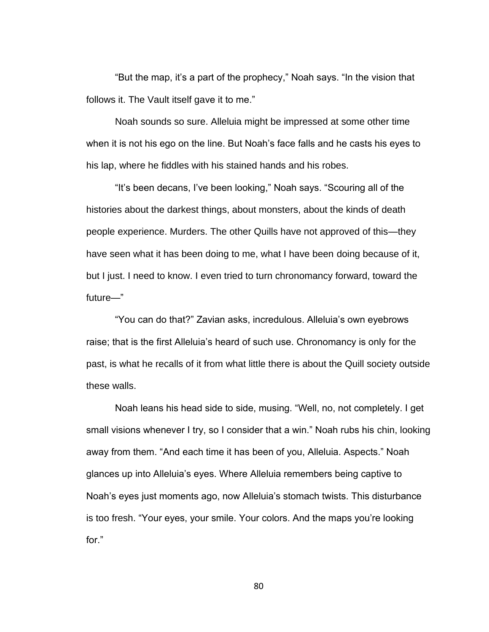"But the map, it's a part of the prophecy," Noah says. "In the vision that follows it. The Vault itself gave it to me."

Noah sounds so sure. Alleluia might be impressed at some other time when it is not his ego on the line. But Noah's face falls and he casts his eyes to his lap, where he fiddles with his stained hands and his robes.

"It's been decans, I've been looking," Noah says. "Scouring all of the histories about the darkest things, about monsters, about the kinds of death people experience. Murders. The other Quills have not approved of this—they have seen what it has been doing to me, what I have been doing because of it, but I just. I need to know. I even tried to turn chronomancy forward, toward the future—"

"You can do that?" Zavian asks, incredulous. Alleluia's own eyebrows raise; that is the first Alleluia's heard of such use. Chronomancy is only for the past, is what he recalls of it from what little there is about the Quill society outside these walls.

Noah leans his head side to side, musing. "Well, no, not completely. I get small visions whenever I try, so I consider that a win." Noah rubs his chin, looking away from them. "And each time it has been of you, Alleluia. Aspects." Noah glances up into Alleluia's eyes. Where Alleluia remembers being captive to Noah's eyes just moments ago, now Alleluia's stomach twists. This disturbance is too fresh. "Your eyes, your smile. Your colors. And the maps you're looking for."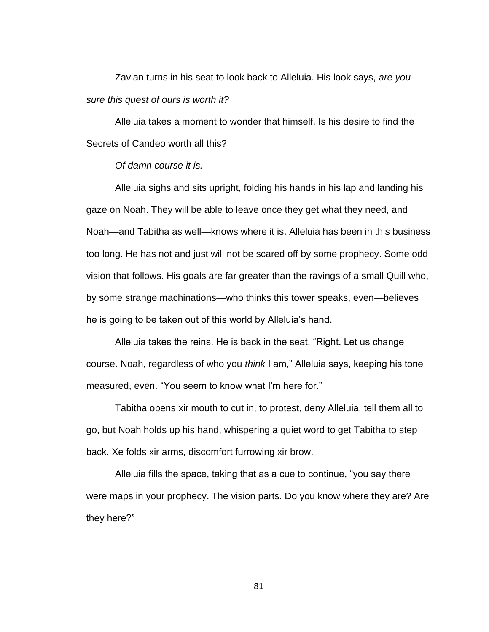Zavian turns in his seat to look back to Alleluia. His look says, *are you sure this quest of ours is worth it?* 

Alleluia takes a moment to wonder that himself. Is his desire to find the Secrets of Candeo worth all this?

# *Of damn course it is.*

Alleluia sighs and sits upright, folding his hands in his lap and landing his gaze on Noah. They will be able to leave once they get what they need, and Noah—and Tabitha as well—knows where it is. Alleluia has been in this business too long. He has not and just will not be scared off by some prophecy. Some odd vision that follows. His goals are far greater than the ravings of a small Quill who, by some strange machinations—who thinks this tower speaks, even—believes he is going to be taken out of this world by Alleluia's hand.

Alleluia takes the reins. He is back in the seat. "Right. Let us change course. Noah, regardless of who you *think* I am," Alleluia says, keeping his tone measured, even. "You seem to know what I'm here for."

Tabitha opens xir mouth to cut in, to protest, deny Alleluia, tell them all to go, but Noah holds up his hand, whispering a quiet word to get Tabitha to step back. Xe folds xir arms, discomfort furrowing xir brow.

Alleluia fills the space, taking that as a cue to continue, "you say there were maps in your prophecy. The vision parts. Do you know where they are? Are they here?"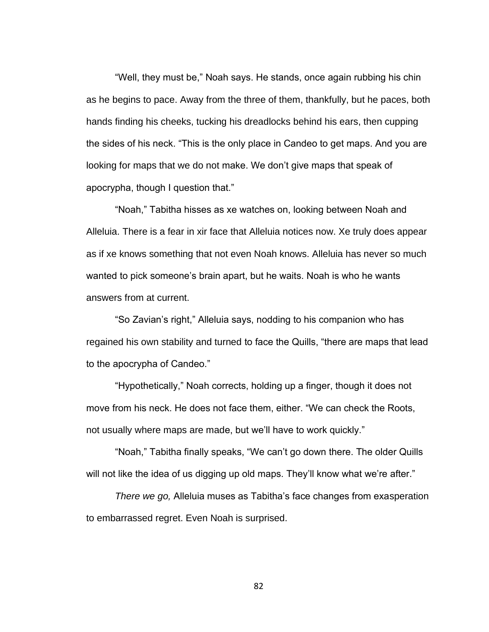"Well, they must be," Noah says. He stands, once again rubbing his chin as he begins to pace. Away from the three of them, thankfully, but he paces, both hands finding his cheeks, tucking his dreadlocks behind his ears, then cupping the sides of his neck. "This is the only place in Candeo to get maps. And you are looking for maps that we do not make. We don't give maps that speak of apocrypha, though I question that."

"Noah," Tabitha hisses as xe watches on, looking between Noah and Alleluia. There is a fear in xir face that Alleluia notices now. Xe truly does appear as if xe knows something that not even Noah knows. Alleluia has never so much wanted to pick someone's brain apart, but he waits. Noah is who he wants answers from at current.

"So Zavian's right," Alleluia says, nodding to his companion who has regained his own stability and turned to face the Quills, "there are maps that lead to the apocrypha of Candeo."

"Hypothetically," Noah corrects, holding up a finger, though it does not move from his neck. He does not face them, either. "We can check the Roots, not usually where maps are made, but we'll have to work quickly."

"Noah," Tabitha finally speaks, "We can't go down there. The older Quills will not like the idea of us digging up old maps. They'll know what we're after."

*There we go,* Alleluia muses as Tabitha's face changes from exasperation to embarrassed regret. Even Noah is surprised.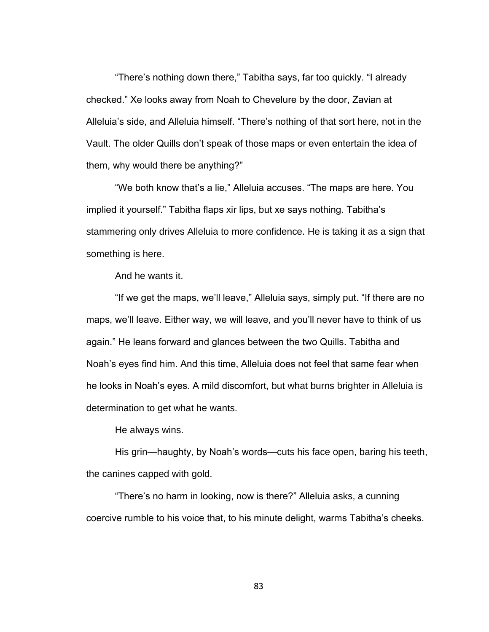"There's nothing down there," Tabitha says, far too quickly. "I already checked." Xe looks away from Noah to Chevelure by the door, Zavian at Alleluia's side, and Alleluia himself. "There's nothing of that sort here, not in the Vault. The older Quills don't speak of those maps or even entertain the idea of them, why would there be anything?"

"We both know that's a lie," Alleluia accuses. "The maps are here. You implied it yourself." Tabitha flaps xir lips, but xe says nothing. Tabitha's stammering only drives Alleluia to more confidence. He is taking it as a sign that something is here.

And he wants it.

"If we get the maps, we'll leave," Alleluia says, simply put. "If there are no maps, we'll leave. Either way, we will leave, and you'll never have to think of us again." He leans forward and glances between the two Quills. Tabitha and Noah's eyes find him. And this time, Alleluia does not feel that same fear when he looks in Noah's eyes. A mild discomfort, but what burns brighter in Alleluia is determination to get what he wants.

He always wins.

His grin—haughty, by Noah's words—cuts his face open, baring his teeth, the canines capped with gold.

"There's no harm in looking, now is there?" Alleluia asks, a cunning coercive rumble to his voice that, to his minute delight, warms Tabitha's cheeks.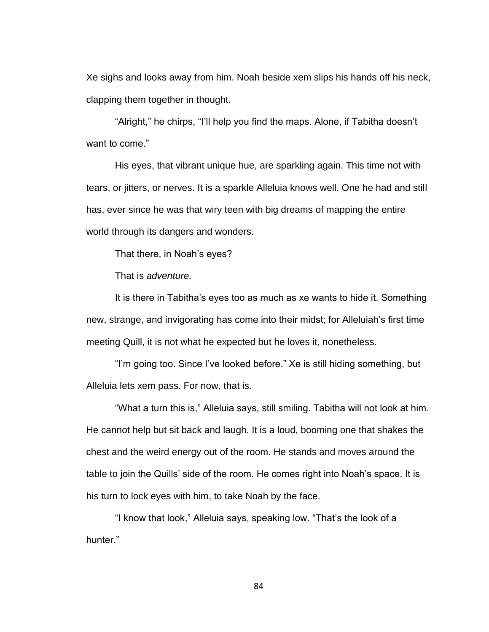Xe sighs and looks away from him. Noah beside xem slips his hands off his neck, clapping them together in thought.

"Alright," he chirps, "I'll help you find the maps. Alone, if Tabitha doesn't want to come."

His eyes, that vibrant unique hue, are sparkling again. This time not with tears, or jitters, or nerves. It is a sparkle Alleluia knows well. One he had and still has, ever since he was that wiry teen with big dreams of mapping the entire world through its dangers and wonders.

That there, in Noah's eyes?

That is *adventure.*

It is there in Tabitha's eyes too as much as xe wants to hide it. Something new, strange, and invigorating has come into their midst; for Alleluiah's first time meeting Quill, it is not what he expected but he loves it, nonetheless.

"I'm going too. Since I've looked before." Xe is still hiding something, but Alleluia lets xem pass. For now, that is.

"What a turn this is," Alleluia says, still smiling. Tabitha will not look at him. He cannot help but sit back and laugh. It is a loud, booming one that shakes the chest and the weird energy out of the room. He stands and moves around the table to join the Quills' side of the room. He comes right into Noah's space. It is his turn to lock eyes with him, to take Noah by the face.

"I know that look," Alleluia says, speaking low. "That's the look of a hunter."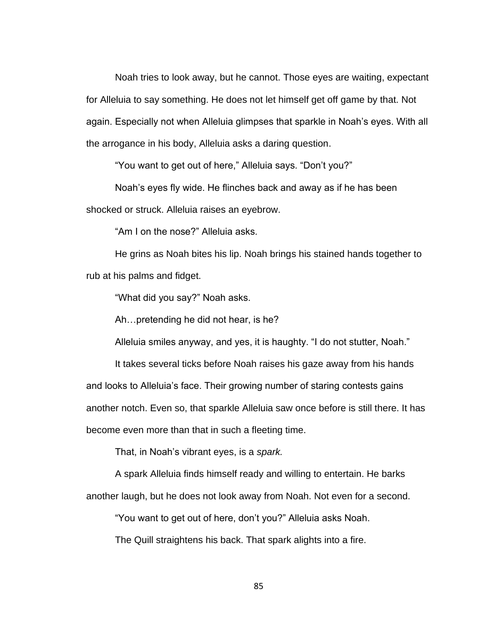Noah tries to look away, but he cannot. Those eyes are waiting, expectant for Alleluia to say something. He does not let himself get off game by that. Not again. Especially not when Alleluia glimpses that sparkle in Noah's eyes. With all the arrogance in his body, Alleluia asks a daring question.

"You want to get out of here," Alleluia says. "Don't you?"

Noah's eyes fly wide. He flinches back and away as if he has been shocked or struck. Alleluia raises an eyebrow.

"Am I on the nose?" Alleluia asks.

He grins as Noah bites his lip. Noah brings his stained hands together to rub at his palms and fidget.

"What did you say?" Noah asks.

Ah…pretending he did not hear, is he?

Alleluia smiles anyway, and yes, it is haughty. "I do not stutter, Noah."

It takes several ticks before Noah raises his gaze away from his hands

and looks to Alleluia's face. Their growing number of staring contests gains

another notch. Even so, that sparkle Alleluia saw once before is still there. It has

become even more than that in such a fleeting time.

That, in Noah's vibrant eyes, is a *spark.*

A spark Alleluia finds himself ready and willing to entertain. He barks another laugh, but he does not look away from Noah. Not even for a second.

"You want to get out of here, don't you?" Alleluia asks Noah.

The Quill straightens his back. That spark alights into a fire.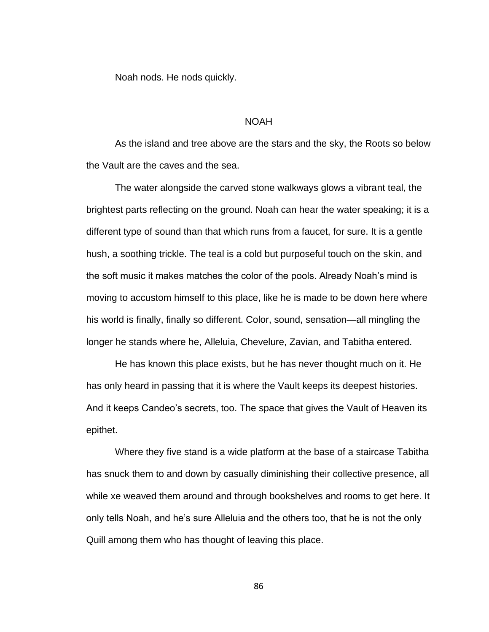Noah nods. He nods quickly.

# NOAH

As the island and tree above are the stars and the sky, the Roots so below the Vault are the caves and the sea.

The water alongside the carved stone walkways glows a vibrant teal, the brightest parts reflecting on the ground. Noah can hear the water speaking; it is a different type of sound than that which runs from a faucet, for sure. It is a gentle hush, a soothing trickle. The teal is a cold but purposeful touch on the skin, and the soft music it makes matches the color of the pools. Already Noah's mind is moving to accustom himself to this place, like he is made to be down here where his world is finally, finally so different. Color, sound, sensation—all mingling the longer he stands where he, Alleluia, Chevelure, Zavian, and Tabitha entered.

He has known this place exists, but he has never thought much on it. He has only heard in passing that it is where the Vault keeps its deepest histories. And it keeps Candeo's secrets, too. The space that gives the Vault of Heaven its epithet.

Where they five stand is a wide platform at the base of a staircase Tabitha has snuck them to and down by casually diminishing their collective presence, all while xe weaved them around and through bookshelves and rooms to get here. It only tells Noah, and he's sure Alleluia and the others too, that he is not the only Quill among them who has thought of leaving this place.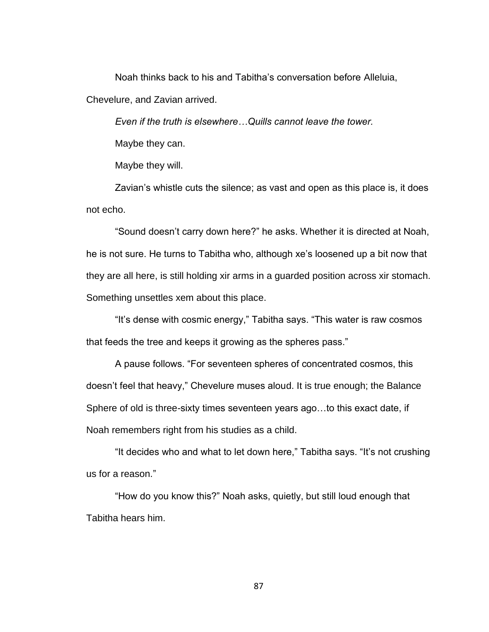Noah thinks back to his and Tabitha's conversation before Alleluia, Chevelure, and Zavian arrived.

*Even if the truth is elsewhere…Quills cannot leave the tower.* Maybe they can.

Maybe they will.

Zavian's whistle cuts the silence; as vast and open as this place is, it does not echo.

"Sound doesn't carry down here?" he asks. Whether it is directed at Noah, he is not sure. He turns to Tabitha who, although xe's loosened up a bit now that they are all here, is still holding xir arms in a guarded position across xir stomach. Something unsettles xem about this place.

"It's dense with cosmic energy," Tabitha says. "This water is raw cosmos that feeds the tree and keeps it growing as the spheres pass."

A pause follows. "For seventeen spheres of concentrated cosmos, this doesn't feel that heavy," Chevelure muses aloud. It is true enough; the Balance Sphere of old is three-sixty times seventeen years ago…to this exact date, if Noah remembers right from his studies as a child.

"It decides who and what to let down here," Tabitha says. "It's not crushing us for a reason."

"How do you know this?" Noah asks, quietly, but still loud enough that Tabitha hears him.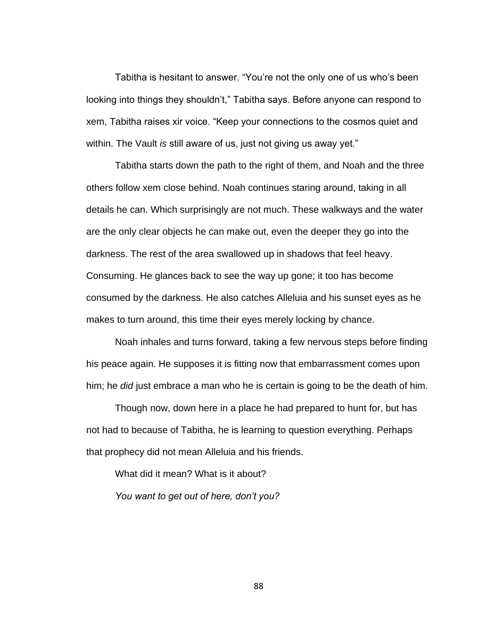Tabitha is hesitant to answer. "You're not the only one of us who's been looking into things they shouldn't," Tabitha says. Before anyone can respond to xem, Tabitha raises xir voice. "Keep your connections to the cosmos quiet and within. The Vault *is* still aware of us, just not giving us away yet."

Tabitha starts down the path to the right of them, and Noah and the three others follow xem close behind. Noah continues staring around, taking in all details he can. Which surprisingly are not much. These walkways and the water are the only clear objects he can make out, even the deeper they go into the darkness. The rest of the area swallowed up in shadows that feel heavy. Consuming. He glances back to see the way up gone; it too has become consumed by the darkness. He also catches Alleluia and his sunset eyes as he makes to turn around, this time their eyes merely locking by chance.

Noah inhales and turns forward, taking a few nervous steps before finding his peace again. He supposes it is fitting now that embarrassment comes upon him; he *did* just embrace a man who he is certain is going to be the death of him.

Though now, down here in a place he had prepared to hunt for, but has not had to because of Tabitha, he is learning to question everything. Perhaps that prophecy did not mean Alleluia and his friends.

What did it mean? What is it about? *You want to get out of here, don't you?*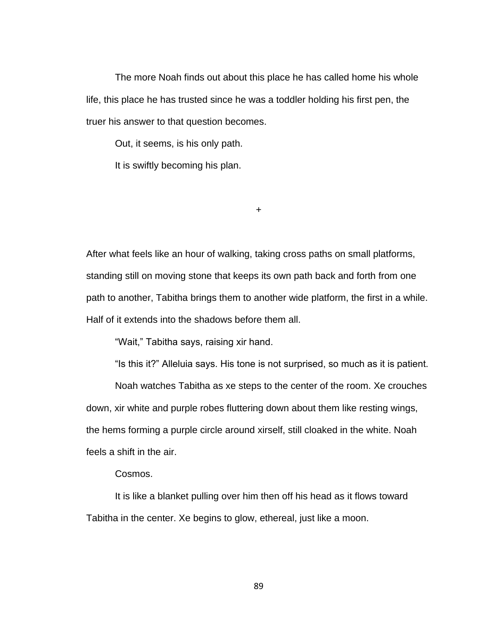The more Noah finds out about this place he has called home his whole life, this place he has trusted since he was a toddler holding his first pen, the truer his answer to that question becomes.

Out, it seems, is his only path.

It is swiftly becoming his plan.

+

After what feels like an hour of walking, taking cross paths on small platforms, standing still on moving stone that keeps its own path back and forth from one path to another, Tabitha brings them to another wide platform, the first in a while. Half of it extends into the shadows before them all.

"Wait," Tabitha says, raising xir hand.

"Is this it?" Alleluia says. His tone is not surprised, so much as it is patient.

Noah watches Tabitha as xe steps to the center of the room. Xe crouches down, xir white and purple robes fluttering down about them like resting wings, the hems forming a purple circle around xirself, still cloaked in the white. Noah feels a shift in the air.

# Cosmos.

It is like a blanket pulling over him then off his head as it flows toward Tabitha in the center. Xe begins to glow, ethereal, just like a moon.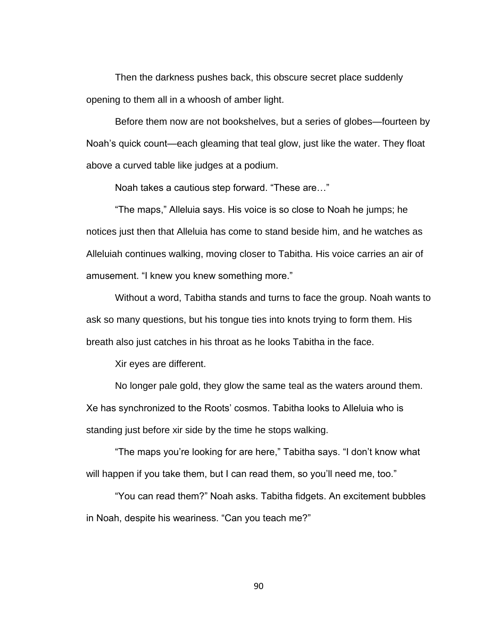Then the darkness pushes back, this obscure secret place suddenly opening to them all in a whoosh of amber light.

Before them now are not bookshelves, but a series of globes—fourteen by Noah's quick count—each gleaming that teal glow, just like the water. They float above a curved table like judges at a podium.

Noah takes a cautious step forward. "These are…"

"The maps," Alleluia says. His voice is so close to Noah he jumps; he notices just then that Alleluia has come to stand beside him, and he watches as Alleluiah continues walking, moving closer to Tabitha. His voice carries an air of amusement. "I knew you knew something more."

Without a word, Tabitha stands and turns to face the group. Noah wants to ask so many questions, but his tongue ties into knots trying to form them. His breath also just catches in his throat as he looks Tabitha in the face.

Xir eyes are different.

No longer pale gold, they glow the same teal as the waters around them. Xe has synchronized to the Roots' cosmos. Tabitha looks to Alleluia who is standing just before xir side by the time he stops walking.

"The maps you're looking for are here," Tabitha says. "I don't know what will happen if you take them, but I can read them, so you'll need me, too."

"You can read them?" Noah asks. Tabitha fidgets. An excitement bubbles in Noah, despite his weariness. "Can you teach me?"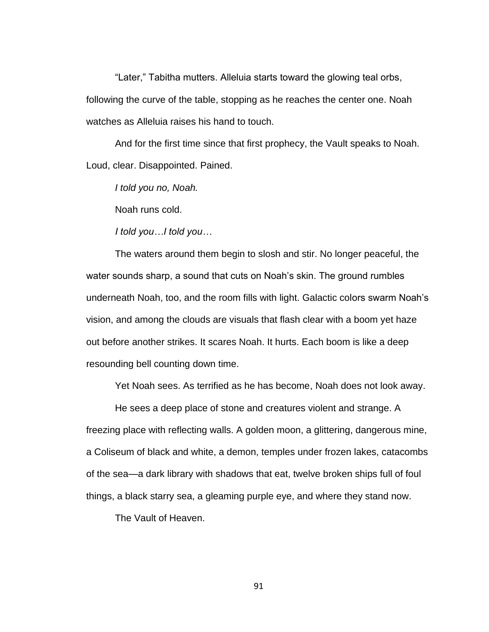"Later," Tabitha mutters. Alleluia starts toward the glowing teal orbs, following the curve of the table, stopping as he reaches the center one. Noah watches as Alleluia raises his hand to touch.

And for the first time since that first prophecy, the Vault speaks to Noah. Loud, clear. Disappointed. Pained.

*I told you no, Noah.*

Noah runs cold.

*I told you…I told you…*

The waters around them begin to slosh and stir. No longer peaceful, the water sounds sharp, a sound that cuts on Noah's skin. The ground rumbles underneath Noah, too, and the room fills with light. Galactic colors swarm Noah's vision, and among the clouds are visuals that flash clear with a boom yet haze out before another strikes. It scares Noah. It hurts. Each boom is like a deep resounding bell counting down time.

Yet Noah sees. As terrified as he has become, Noah does not look away.

He sees a deep place of stone and creatures violent and strange. A freezing place with reflecting walls. A golden moon, a glittering, dangerous mine, a Coliseum of black and white, a demon, temples under frozen lakes, catacombs of the sea—a dark library with shadows that eat, twelve broken ships full of foul things, a black starry sea, a gleaming purple eye, and where they stand now.

The Vault of Heaven.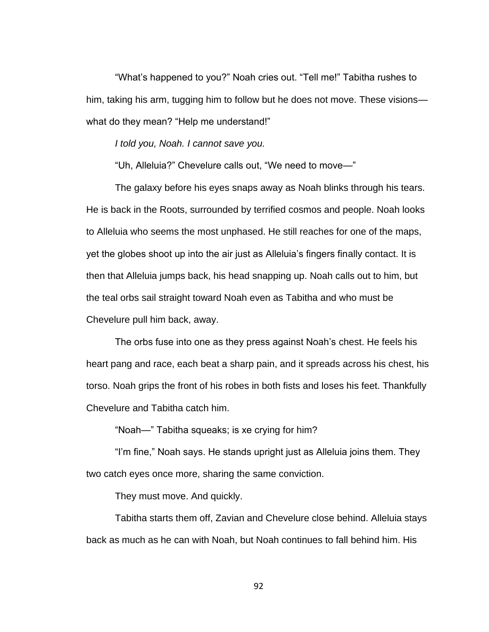"What's happened to you?" Noah cries out. "Tell me!" Tabitha rushes to him, taking his arm, tugging him to follow but he does not move. These visions what do they mean? "Help me understand!"

*I told you, Noah. I cannot save you.*

"Uh, Alleluia?" Chevelure calls out, "We need to move—"

The galaxy before his eyes snaps away as Noah blinks through his tears. He is back in the Roots, surrounded by terrified cosmos and people. Noah looks to Alleluia who seems the most unphased. He still reaches for one of the maps, yet the globes shoot up into the air just as Alleluia's fingers finally contact. It is then that Alleluia jumps back, his head snapping up. Noah calls out to him, but the teal orbs sail straight toward Noah even as Tabitha and who must be Chevelure pull him back, away.

The orbs fuse into one as they press against Noah's chest. He feels his heart pang and race, each beat a sharp pain, and it spreads across his chest, his torso. Noah grips the front of his robes in both fists and loses his feet. Thankfully Chevelure and Tabitha catch him.

"Noah—" Tabitha squeaks; is xe crying for him?

"I'm fine," Noah says. He stands upright just as Alleluia joins them. They two catch eyes once more, sharing the same conviction.

They must move. And quickly.

Tabitha starts them off, Zavian and Chevelure close behind. Alleluia stays back as much as he can with Noah, but Noah continues to fall behind him. His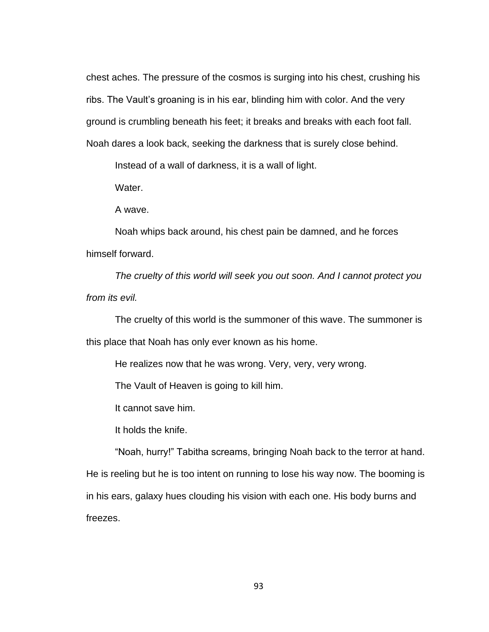chest aches. The pressure of the cosmos is surging into his chest, crushing his ribs. The Vault's groaning is in his ear, blinding him with color. And the very ground is crumbling beneath his feet; it breaks and breaks with each foot fall. Noah dares a look back, seeking the darkness that is surely close behind.

Instead of a wall of darkness, it is a wall of light.

Water.

A wave.

Noah whips back around, his chest pain be damned, and he forces himself forward.

*The cruelty of this world will seek you out soon. And I cannot protect you from its evil.*

The cruelty of this world is the summoner of this wave. The summoner is this place that Noah has only ever known as his home.

He realizes now that he was wrong. Very, very, very wrong.

The Vault of Heaven is going to kill him.

It cannot save him.

It holds the knife.

"Noah, hurry!" Tabitha screams, bringing Noah back to the terror at hand. He is reeling but he is too intent on running to lose his way now. The booming is in his ears, galaxy hues clouding his vision with each one. His body burns and freezes.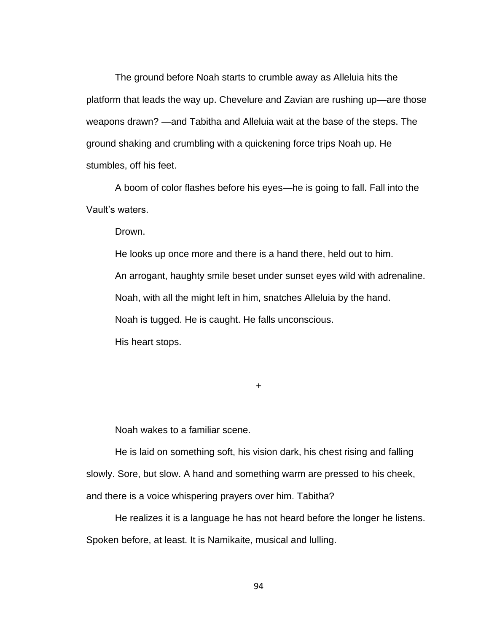The ground before Noah starts to crumble away as Alleluia hits the platform that leads the way up. Chevelure and Zavian are rushing up—are those weapons drawn? —and Tabitha and Alleluia wait at the base of the steps. The ground shaking and crumbling with a quickening force trips Noah up. He stumbles, off his feet.

A boom of color flashes before his eyes—he is going to fall. Fall into the Vault's waters.

Drown.

He looks up once more and there is a hand there, held out to him. An arrogant, haughty smile beset under sunset eyes wild with adrenaline. Noah, with all the might left in him, snatches Alleluia by the hand. Noah is tugged. He is caught. He falls unconscious. His heart stops.

+

Noah wakes to a familiar scene.

He is laid on something soft, his vision dark, his chest rising and falling slowly. Sore, but slow. A hand and something warm are pressed to his cheek, and there is a voice whispering prayers over him. Tabitha?

He realizes it is a language he has not heard before the longer he listens. Spoken before, at least. It is Namikaite, musical and lulling.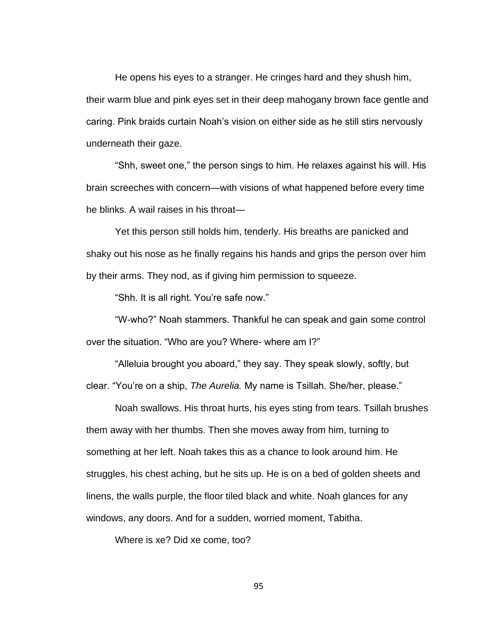He opens his eyes to a stranger. He cringes hard and they shush him, their warm blue and pink eyes set in their deep mahogany brown face gentle and caring. Pink braids curtain Noah's vision on either side as he still stirs nervously underneath their gaze.

"Shh, sweet one," the person sings to him. He relaxes against his will. His brain screeches with concern—with visions of what happened before every time he blinks. A wail raises in his throat—

Yet this person still holds him, tenderly. His breaths are panicked and shaky out his nose as he finally regains his hands and grips the person over him by their arms. They nod, as if giving him permission to squeeze.

"Shh. It is all right. You're safe now."

"W-who?" Noah stammers. Thankful he can speak and gain some control over the situation. "Who are you? Where- where am I?"

"Alleluia brought you aboard," they say. They speak slowly, softly, but clear. "You're on a ship, *The Aurelia.* My name is Tsillah. She/her, please."

Noah swallows. His throat hurts, his eyes sting from tears. Tsillah brushes them away with her thumbs. Then she moves away from him, turning to something at her left. Noah takes this as a chance to look around him. He struggles, his chest aching, but he sits up. He is on a bed of golden sheets and linens, the walls purple, the floor tiled black and white. Noah glances for any windows, any doors. And for a sudden, worried moment, Tabitha.

Where is xe? Did xe come, too?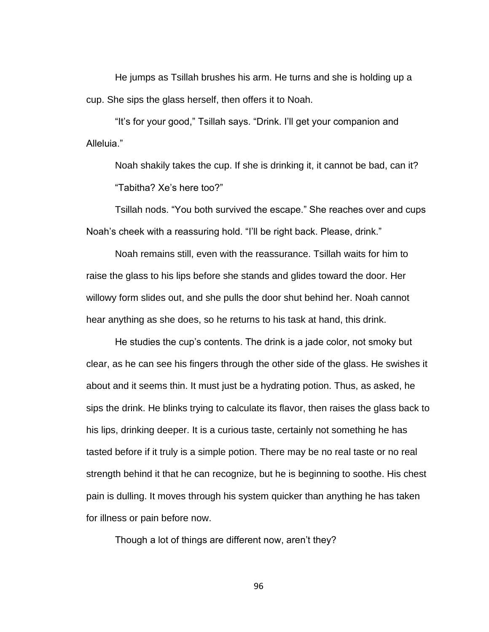He jumps as Tsillah brushes his arm. He turns and she is holding up a cup. She sips the glass herself, then offers it to Noah.

"It's for your good," Tsillah says. "Drink. I'll get your companion and Alleluia."

Noah shakily takes the cup. If she is drinking it, it cannot be bad, can it? "Tabitha? Xe's here too?"

Tsillah nods. "You both survived the escape." She reaches over and cups Noah's cheek with a reassuring hold. "I'll be right back. Please, drink."

Noah remains still, even with the reassurance. Tsillah waits for him to raise the glass to his lips before she stands and glides toward the door. Her willowy form slides out, and she pulls the door shut behind her. Noah cannot hear anything as she does, so he returns to his task at hand, this drink.

He studies the cup's contents. The drink is a jade color, not smoky but clear, as he can see his fingers through the other side of the glass. He swishes it about and it seems thin. It must just be a hydrating potion. Thus, as asked, he sips the drink. He blinks trying to calculate its flavor, then raises the glass back to his lips, drinking deeper. It is a curious taste, certainly not something he has tasted before if it truly is a simple potion. There may be no real taste or no real strength behind it that he can recognize, but he is beginning to soothe. His chest pain is dulling. It moves through his system quicker than anything he has taken for illness or pain before now.

Though a lot of things are different now, aren't they?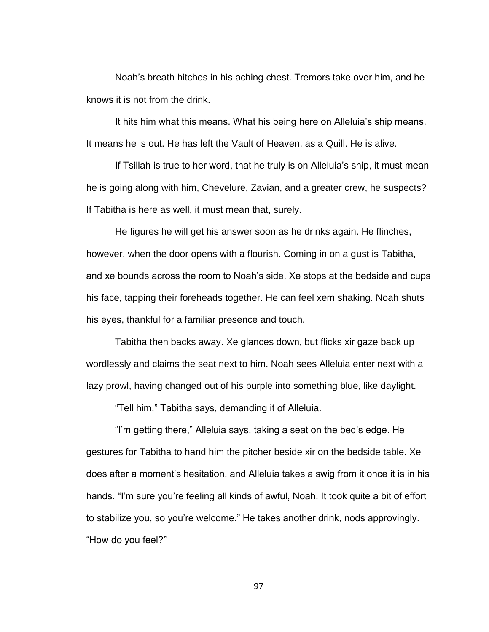Noah's breath hitches in his aching chest. Tremors take over him, and he knows it is not from the drink.

It hits him what this means. What his being here on Alleluia's ship means. It means he is out. He has left the Vault of Heaven, as a Quill. He is alive.

If Tsillah is true to her word, that he truly is on Alleluia's ship, it must mean he is going along with him, Chevelure, Zavian, and a greater crew, he suspects? If Tabitha is here as well, it must mean that, surely.

He figures he will get his answer soon as he drinks again. He flinches, however, when the door opens with a flourish. Coming in on a gust is Tabitha, and xe bounds across the room to Noah's side. Xe stops at the bedside and cups his face, tapping their foreheads together. He can feel xem shaking. Noah shuts his eyes, thankful for a familiar presence and touch.

Tabitha then backs away. Xe glances down, but flicks xir gaze back up wordlessly and claims the seat next to him. Noah sees Alleluia enter next with a lazy prowl, having changed out of his purple into something blue, like daylight.

"Tell him," Tabitha says, demanding it of Alleluia.

"I'm getting there," Alleluia says, taking a seat on the bed's edge. He gestures for Tabitha to hand him the pitcher beside xir on the bedside table. Xe does after a moment's hesitation, and Alleluia takes a swig from it once it is in his hands. "I'm sure you're feeling all kinds of awful, Noah. It took quite a bit of effort to stabilize you, so you're welcome." He takes another drink, nods approvingly. "How do you feel?"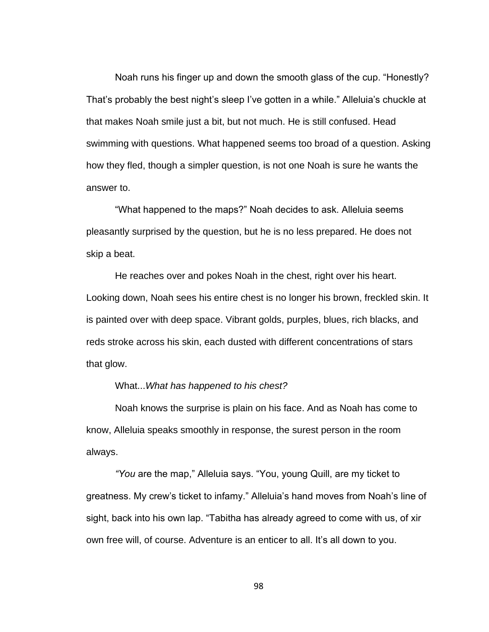Noah runs his finger up and down the smooth glass of the cup. "Honestly? That's probably the best night's sleep I've gotten in a while." Alleluia's chuckle at that makes Noah smile just a bit, but not much. He is still confused. Head swimming with questions. What happened seems too broad of a question. Asking how they fled, though a simpler question, is not one Noah is sure he wants the answer to.

"What happened to the maps?" Noah decides to ask. Alleluia seems pleasantly surprised by the question, but he is no less prepared. He does not skip a beat.

He reaches over and pokes Noah in the chest, right over his heart. Looking down, Noah sees his entire chest is no longer his brown, freckled skin. It is painted over with deep space. Vibrant golds, purples, blues, rich blacks, and reds stroke across his skin, each dusted with different concentrations of stars that glow.

# What...*What has happened to his chest?*

Noah knows the surprise is plain on his face. And as Noah has come to know, Alleluia speaks smoothly in response, the surest person in the room always.

*"You* are the map," Alleluia says. "You, young Quill, are my ticket to greatness. My crew's ticket to infamy." Alleluia's hand moves from Noah's line of sight, back into his own lap. "Tabitha has already agreed to come with us, of xir own free will, of course. Adventure is an enticer to all. It's all down to you.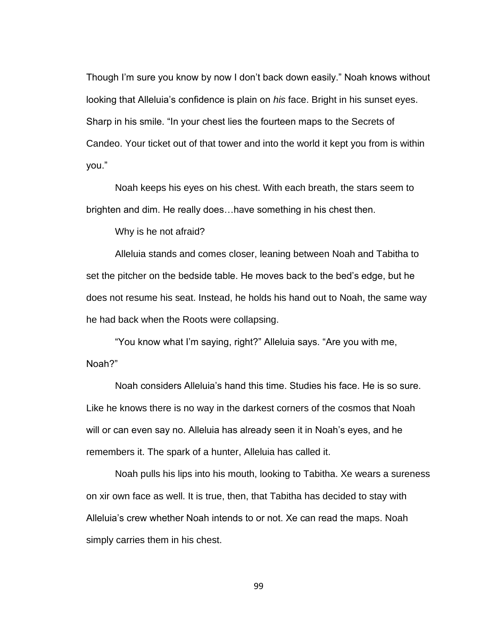Though I'm sure you know by now I don't back down easily." Noah knows without looking that Alleluia's confidence is plain on *his* face. Bright in his sunset eyes. Sharp in his smile. "In your chest lies the fourteen maps to the Secrets of Candeo. Your ticket out of that tower and into the world it kept you from is within you."

Noah keeps his eyes on his chest. With each breath, the stars seem to brighten and dim. He really does…have something in his chest then.

Why is he not afraid?

Alleluia stands and comes closer, leaning between Noah and Tabitha to set the pitcher on the bedside table. He moves back to the bed's edge, but he does not resume his seat. Instead, he holds his hand out to Noah, the same way he had back when the Roots were collapsing.

"You know what I'm saying, right?" Alleluia says. "Are you with me, Noah?"

Noah considers Alleluia's hand this time. Studies his face. He is so sure. Like he knows there is no way in the darkest corners of the cosmos that Noah will or can even say no. Alleluia has already seen it in Noah's eyes, and he remembers it. The spark of a hunter, Alleluia has called it.

Noah pulls his lips into his mouth, looking to Tabitha. Xe wears a sureness on xir own face as well. It is true, then, that Tabitha has decided to stay with Alleluia's crew whether Noah intends to or not. Xe can read the maps. Noah simply carries them in his chest.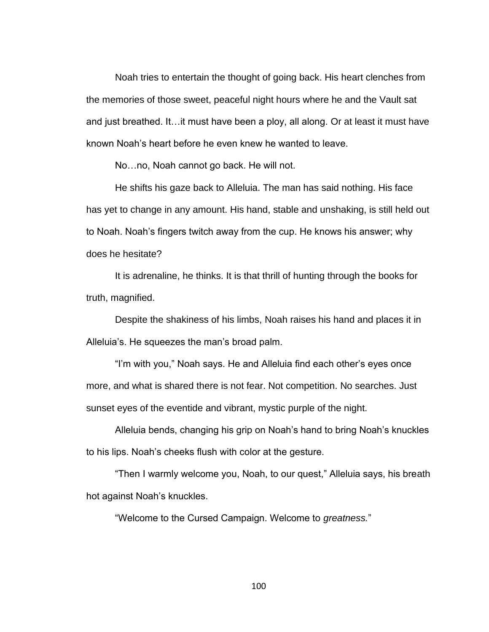Noah tries to entertain the thought of going back. His heart clenches from the memories of those sweet, peaceful night hours where he and the Vault sat and just breathed. It…it must have been a ploy, all along. Or at least it must have known Noah's heart before he even knew he wanted to leave.

No…no, Noah cannot go back. He will not.

He shifts his gaze back to Alleluia. The man has said nothing. His face has yet to change in any amount. His hand, stable and unshaking, is still held out to Noah. Noah's fingers twitch away from the cup. He knows his answer; why does he hesitate?

It is adrenaline, he thinks. It is that thrill of hunting through the books for truth, magnified.

Despite the shakiness of his limbs, Noah raises his hand and places it in Alleluia's. He squeezes the man's broad palm.

"I'm with you," Noah says. He and Alleluia find each other's eyes once more, and what is shared there is not fear. Not competition. No searches. Just sunset eyes of the eventide and vibrant, mystic purple of the night.

Alleluia bends, changing his grip on Noah's hand to bring Noah's knuckles to his lips. Noah's cheeks flush with color at the gesture.

"Then I warmly welcome you, Noah, to our quest," Alleluia says, his breath hot against Noah's knuckles.

"Welcome to the Cursed Campaign. Welcome to *greatness.*"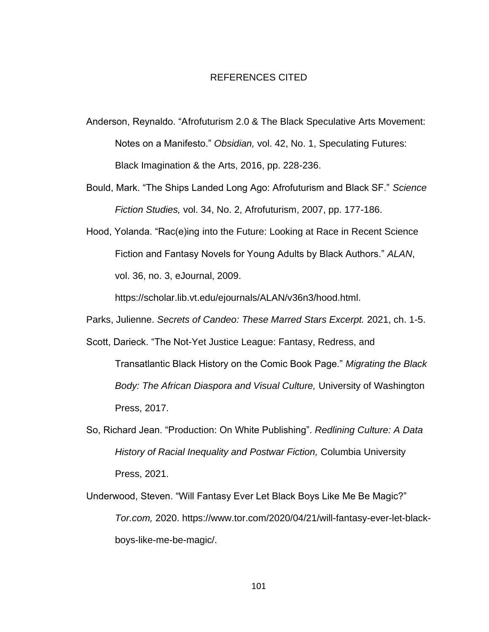## REFERENCES CITED

- Anderson, Reynaldo. "Afrofuturism 2.0 & The Black Speculative Arts Movement: Notes on a Manifesto." *Obsidian,* vol. 42, No. 1, Speculating Futures: Black Imagination & the Arts, 2016, pp. 228-236.
- Bould, Mark. "The Ships Landed Long Ago: Afrofuturism and Black SF." *Science Fiction Studies,* vol. 34, No. 2, Afrofuturism, 2007, pp. 177-186.
- Hood, Yolanda. "Rac(e)ing into the Future: Looking at Race in Recent Science Fiction and Fantasy Novels for Young Adults by Black Authors." *ALAN*, vol. 36, no. 3, eJournal, 2009.

https://scholar.lib.vt.edu/ejournals/ALAN/v36n3/hood.html.

- Parks, Julienne. *Secrets of Candeo: These Marred Stars Excerpt.* 2021, ch. 1-5.
- Scott, Darieck. "The Not-Yet Justice League: Fantasy, Redress, and Transatlantic Black History on the Comic Book Page." *Migrating the Black Body: The African Diaspora and Visual Culture,* University of Washington Press, 2017.
- So, Richard Jean. "Production: On White Publishing". *Redlining Culture: A Data History of Racial Inequality and Postwar Fiction,* Columbia University Press, 2021.
- Underwood, Steven. "Will Fantasy Ever Let Black Boys Like Me Be Magic?" *Tor.com,* 2020. https://www.tor.com/2020/04/21/will-fantasy-ever-let-blackboys-like-me-be-magic/.